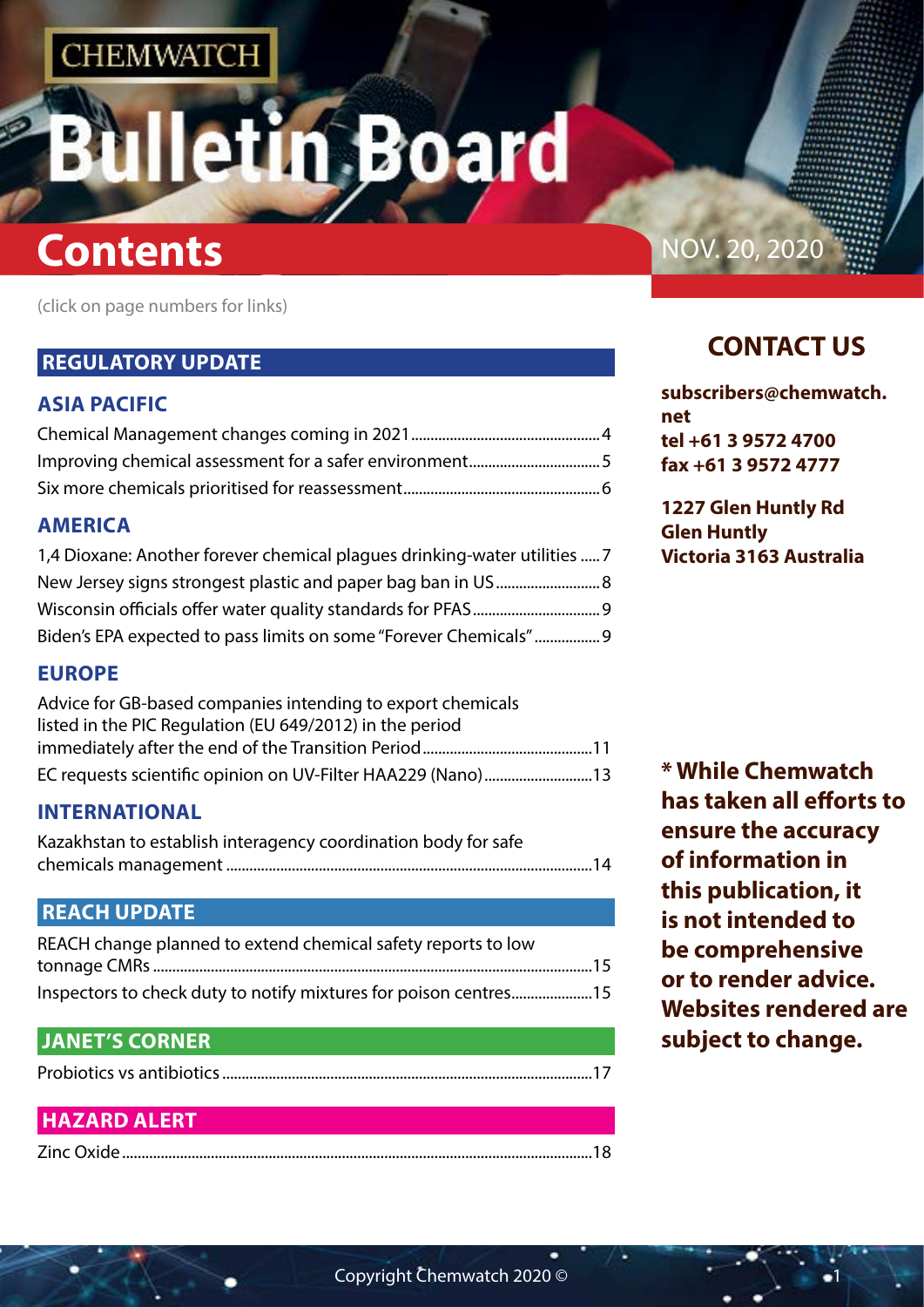# n Board

## **Contents Nov. 20, 2020**

(click on page numbers for links)

### **[REGULATORY UPDATE](#page-1-0)**

### **[ASIA PACIFIC](#page-1-0)**

### **[AMERICA](#page-3-0)**

| 1,4 Dioxane: Another forever chemical plagues drinking-water utilities  7 |  |
|---------------------------------------------------------------------------|--|
|                                                                           |  |
|                                                                           |  |
| Biden's EPA expected to pass limits on some "Forever Chemicals" 9         |  |

#### **[EUROPE](#page-5-0)**

| Advice for GB-based companies intending to export chemicals |
|-------------------------------------------------------------|
| listed in the PIC Regulation (EU 649/2012) in the period    |
|                                                             |
|                                                             |

### **[INTERNATIONAL](#page-6-0)**

[Kazakhstan to establish interagency coordination body for safe](#page-6-0)  chemicals management [...............................................................................................14](#page-6-0)

### **[REACH UPDATE](#page-7-0)**

| REACH change planned to extend chemical safety reports to low |  |
|---------------------------------------------------------------|--|
|                                                               |  |
|                                                               |  |

### **[JANET'S CORNER](#page-8-0)**

### **[HAZARD ALERT](#page-8-0)**

|--|

## **CONTACT US**

**[subscribers@chemwatch.](mailto:subscribers@chemwatch.net) [net](mailto:subscribers@chemwatch.net) tel +61 3 9572 4700 fax +61 3 9572 4777**

**1227 Glen Huntly Rd Glen Huntly Victoria 3163 Australia**

**\* While Chemwatch has taken all efforts to ensure the accuracy of information in this publication, it is not intended to be comprehensive or to render advice. Websites rendered are subject to change.**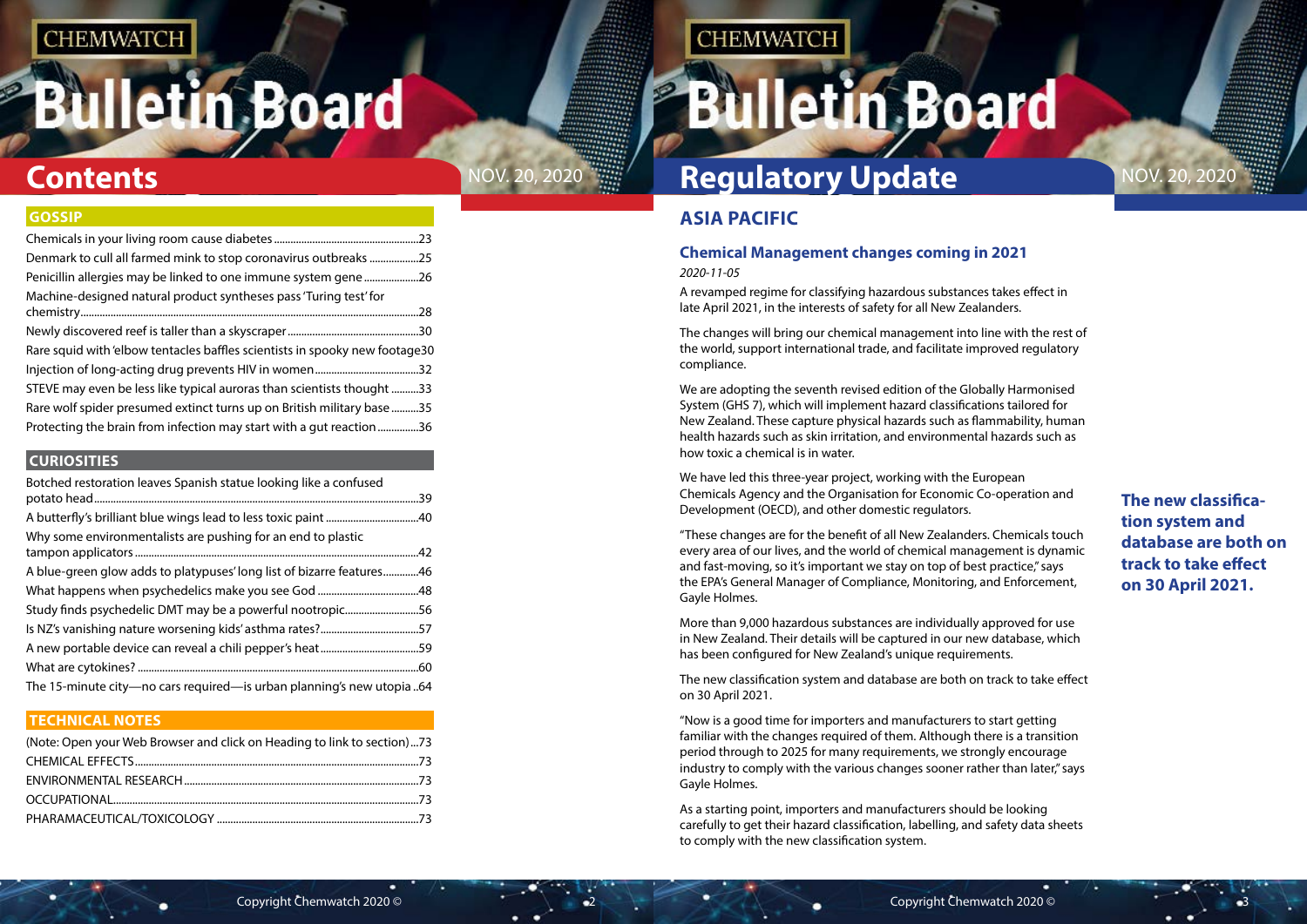# <span id="page-1-0"></span>**Bulletin Board**



Nov. 20, 2020

**The new classification system and database are both on track to take effect on 30 April 2021.**

## **Contents**

**[GOSSIP](#page-11-0)** [Chemicals in your living room cause diabetes.....................................................23](#page-11-0) [Denmark to cull all farmed mink to stop coronavirus outbreaks..................25](#page-12-0) [Penicillin allergies may be linked to one immune system gene](#page-12-0) ....................26 [Machine-designed natural product syntheses pass 'Turing test' for](#page-13-0)  [chemistry............................................................................................................................28](#page-13-0) [Newly discovered reef is taller than a skyscraper................................................30](#page-14-0) [Rare squid with 'elbow tentacles baffles scientists in spooky new footage30](#page-14-0) [Injection of long-acting drug prevents HIV in women......................................32](#page-15-0) [STEVE may even be less like typical auroras than scientists thought](#page-16-0) ..........33 [Rare wolf spider presumed extinct turns up on British military base..........35](#page-17-0) [Protecting the brain from infection may start with a gut reaction...............36](#page-17-0)

#### **[CURIOSITIES](#page-19-0)**

| Botched restoration leaves Spanish statue looking like a confused    | 39  |
|----------------------------------------------------------------------|-----|
|                                                                      | .40 |
| Why some environmentalists are pushing for an end to plastic         |     |
|                                                                      | .42 |
| A blue-green glow adds to platypuses' long list of bizarre features  | .46 |
|                                                                      | .48 |
| Study finds psychedelic DMT may be a powerful nootropic              | .56 |
|                                                                      | .57 |
|                                                                      | .59 |
|                                                                      | .60 |
| The 15-minute city-no cars required-is urban planning's new utopia64 |     |

#### **[TECHNICAL NOTES](#page-36-0)**

| (Note: Open your Web Browser and click on Heading to link to section)73 |  |
|-------------------------------------------------------------------------|--|
|                                                                         |  |
|                                                                         |  |
|                                                                         |  |
|                                                                         |  |

## **CHEMWATCH**

## **Bulletin Board**

### **ASIA PACIFIC**

#### **Chemical Management changes coming in 2021** *2020-11-05*

A revamped regime for classifying hazardous substances takes effect in late April 2021, in the interests of safety for all New Zealanders.

The changes will bring our chemical management into line with the rest of the world, support international trade, and facilitate improved regulatory compliance.

We are adopting the seventh revised edition of the Globally Harmonised System (GHS 7), which will implement hazard classifications tailored for New Zealand. These capture physical hazards such as flammability, human health hazards such as skin irritation, and environmental hazards such as how toxic a chemical is in water.

We have led this three-year project, working with the European Chemicals Agency and the Organisation for Economic Co-operation and Development (OECD), and other domestic regulators.

"These changes are for the benefit of all New Zealanders. Chemicals touch every area of our lives, and the world of chemical management is dynamic and fast-moving, so it's important we stay on top of best practice," says the EPA's General Manager of Compliance, Monitoring, and Enforcement, Gayle Holmes.

More than 9,000 hazardous substances are individually approved for use in New Zealand. Their details will be captured in our new database, which has been configured for New Zealand's unique requirements.

The new classification system and database are both on track to take effect on 30 April 2021.

"Now is a good time for importers and manufacturers to start getting familiar with the changes required of them. Although there is a transition period through to 2025 for many requirements, we strongly encourage industry to comply with the various changes sooner rather than later," says Gayle Holmes.

As a starting point, importers and manufacturers should be looking carefully to get their hazard classification, labelling, and safety data sheets to comply with the new classification system.

## **Regulatory Update**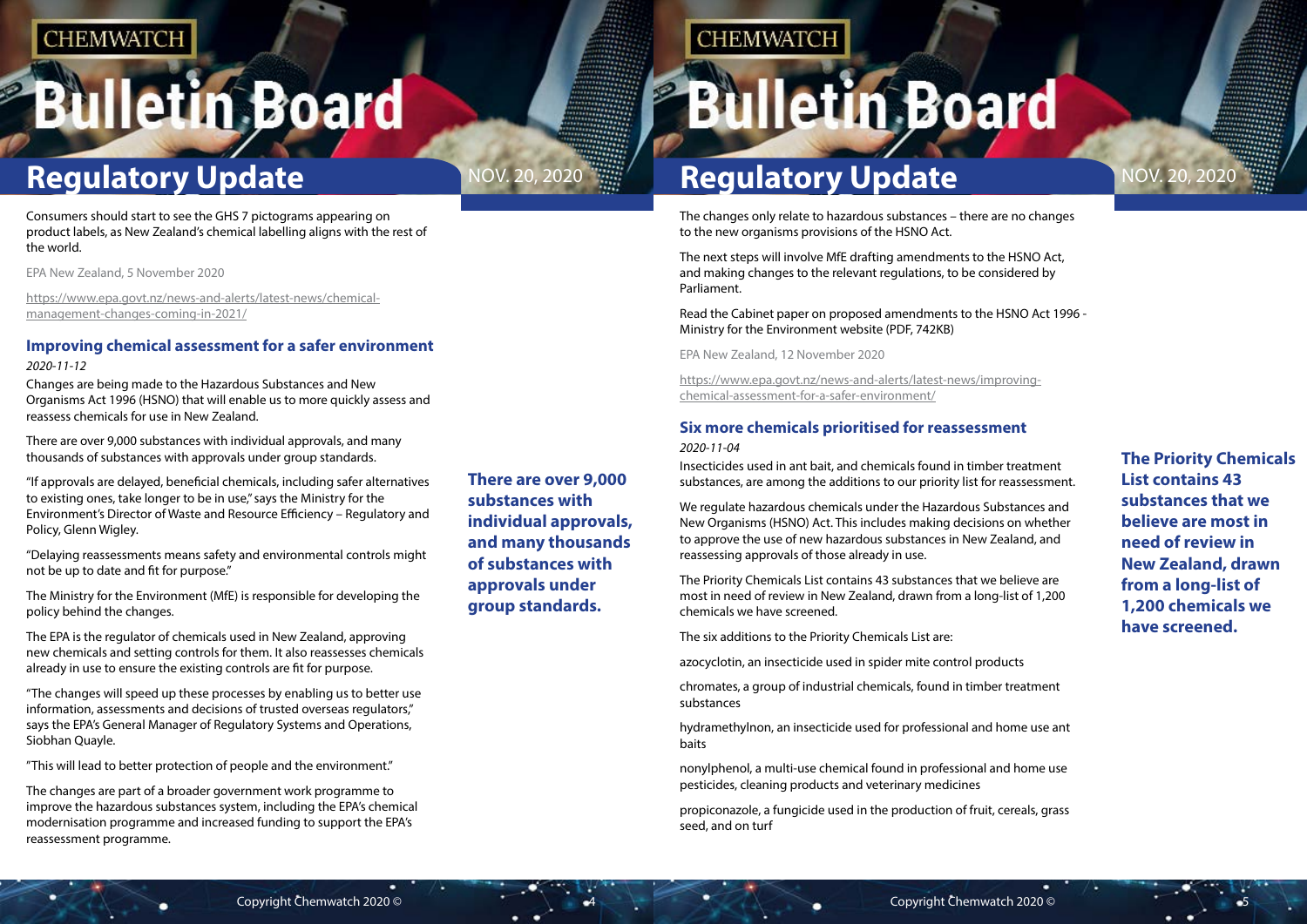# <span id="page-2-0"></span>**Bulletin Board**

## **Regulatory Update**

**There are over 9,000 substances with individual approvals, and many thousands of substances with approvals under group standards.**

## **CHEMWATCH**

**Bulletin Board** 

## NOV. 20, 2020 **Regulatory Update** Nov. 20, 2020

**The Priority Chemicals List contains 43 substances that we believe are most in need of review in New Zealand, drawn from a long-list of 1,200 chemicals we have screened.**

Consumers should start to see the GHS 7 pictograms appearing on product labels, as New Zealand's chemical labelling aligns with the rest of the world.

EPA New Zealand, 5 November 2020

[https://www.epa.govt.nz/news-and-alerts/latest-news/chemical](https://www.epa.govt.nz/news-and-alerts/latest-news/chemical-management-changes-coming-in-2021/)[management-changes-coming-in-2021/](https://www.epa.govt.nz/news-and-alerts/latest-news/chemical-management-changes-coming-in-2021/)

### **Improving chemical assessment for a safer environment**

#### *2020-11-12*

Changes are being made to the Hazardous Substances and New Organisms Act 1996 (HSNO) that will enable us to more quickly assess and reassess chemicals for use in New Zealand.

There are over 9,000 substances with individual approvals, and many thousands of substances with approvals under group standards.

"If approvals are delayed, beneficial chemicals, including safer alternatives to existing ones, take longer to be in use," says the Ministry for the Environment's Director of Waste and Resource Efficiency – Regulatory and Policy, Glenn Wigley.

"Delaying reassessments means safety and environmental controls might not be up to date and fit for purpose."

The Ministry for the Environment (MfE) is responsible for developing the policy behind the changes.

The EPA is the regulator of chemicals used in New Zealand, approving new chemicals and setting controls for them. It also reassesses chemicals already in use to ensure the existing controls are fit for purpose.

"The changes will speed up these processes by enabling us to better use information, assessments and decisions of trusted overseas regulators," says the EPA's General Manager of Regulatory Systems and Operations, Siobhan Quayle.

"This will lead to better protection of people and the environment."

The changes are part of a broader government work programme to improve the hazardous substances system, including the EPA's chemical modernisation programme and increased funding to support the EPA's reassessment programme.

The changes only relate to hazardous substances – there are no changes to the new organisms provisions of the HSNO Act.

The next steps will involve MfE drafting amendments to the HSNO Act, and making changes to the relevant regulations, to be considered by Parliament.

[Read the Cabinet paper on proposed amendments to the HSNO Act 1996 -](https://www.mfe.govt.nz/sites/default/files/media/Hazards/Watermarked%20Cabinet%20paper%20Hazardous%20Substances%20and%20New%20Organisms%20Act%201996_%20%20Proposed%20Amendments%20%28002%29.pdf)  [Ministry for the Environment website \(PDF, 742KB\)](https://www.mfe.govt.nz/sites/default/files/media/Hazards/Watermarked%20Cabinet%20paper%20Hazardous%20Substances%20and%20New%20Organisms%20Act%201996_%20%20Proposed%20Amendments%20%28002%29.pdf)

EPA New Zealand, 12 November 2020

[https://www.epa.govt.nz/news-and-alerts/latest-news/improving](https://www.epa.govt.nz/news-and-alerts/latest-news/improving-chemical-assessment-for-a-safer-environment/)[chemical-assessment-for-a-safer-environment/](https://www.epa.govt.nz/news-and-alerts/latest-news/improving-chemical-assessment-for-a-safer-environment/)

### **Six more chemicals prioritised for reassessment** *2020-11-04*

Insecticides used in ant bait, and chemicals found in timber treatment substances, are among the additions to our priority list for reassessment.

We regulate hazardous chemicals under the Hazardous Substances and New Organisms (HSNO) Act. This includes making decisions on whether to approve the use of new hazardous substances in New Zealand, and reassessing approvals of those already in use.

The Priority Chemicals List contains 43 substances that we believe are most in need of review in New Zealand, drawn from a long-list of 1,200 chemicals we have screened.

The six additions to the Priority Chemicals List are:

azocyclotin, an insecticide used in spider mite control products

chromates, a group of industrial chemicals, found in timber treatment substances

hydramethylnon, an insecticide used for professional and home use ant baits

nonylphenol, a multi-use chemical found in professional and home use pesticides, cleaning products and veterinary medicines

propiconazole, a fungicide used in the production of fruit, cereals, grass seed, and on turf

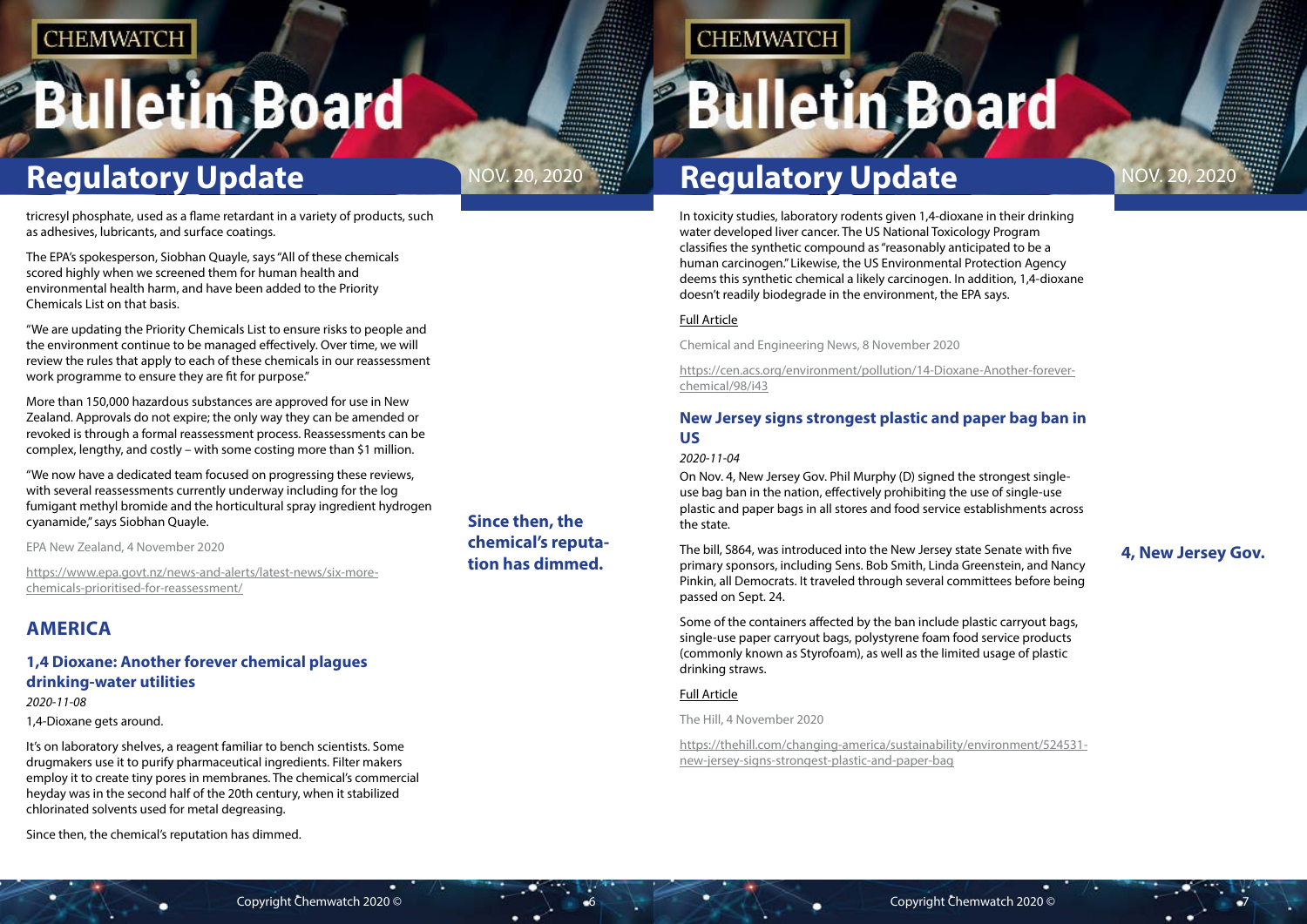# <span id="page-3-0"></span>**Bulletin Board**



**Since then, the chemical's reputa-**

**CHEMWATCH** 

## **Regulatory Update Regulatory Update**

tricresyl phosphate, used as a flame retardant in a variety of products, such as adhesives, lubricants, and surface coatings.

The EPA's spokesperson, Siobhan Quayle, says "All of these chemicals scored highly when we screened them for human health and environmental health harm, and have been added to the Priority Chemicals List on that basis.

"We are updating the Priority Chemicals List to ensure risks to people and the environment continue to be managed effectively. Over time, we will review the rules that apply to each of these chemicals in our reassessment work programme to ensure they are fit for purpose."

More than 150,000 hazardous substances are approved for use in New Zealand. Approvals do not expire; the only way they can be amended or revoked is through a formal reassessment process. Reassessments can be complex, lengthy, and costly – with some costing more than \$1 million.

"We now have a dedicated team focused on progressing these reviews, with several reassessments currently underway including for the log fumigant methyl bromide and the horticultural spray ingredient hydrogen cyanamide," says Siobhan Quayle.

EPA New Zealand, 4 November 2020

[https://www.epa.govt.nz/news-and-alerts/latest-news/six-more](https://www.epa.govt.nz/news-and-alerts/latest-news/six-more-chemicals-prioritised-for-reassessment/)[chemicals-prioritised-for-reassessment/](https://www.epa.govt.nz/news-and-alerts/latest-news/six-more-chemicals-prioritised-for-reassessment/)

### **AMERICA**

### **1,4 Dioxane: Another forever chemical plagues drinking-water utilities**

*2020-11-08*

1,4-Dioxane gets around.

**tion has dimmed. 4, New Jersey Gov.** primary sponsors, including Sens. Bob Smith, Linda Greenstein, and Nancy The bill, [S864,](https://www.njleg.state.nj.us/2020/Bills/S1000/864_R4.HTM) was introduced into the New Jersey state Senate with five Pinkin, all Democrats. It traveled through several committees before being passed on Sept. 24.

It's on laboratory shelves, a reagent familiar to bench scientists. Some drugmakers use it [to purify](https://www.njawwa.org/page/EmergingContaminant) pharmaceutical ingredients. Filter makers employ it to create tiny pores in membranes. The chemical's commercial heyday was in the second half of the 20th century, when it stabilized chlorinated solvents used for metal degreasing.

Since then, the chemical's reputation has dimmed.

In toxicity studies, laboratory rodents given 1,4-dioxane in their drinking water developed liver cancer. The US National Toxicology Program [classifies](https://ntp.niehs.nih.gov/ntp/roc/content/profiles/dioxane.pdf) the synthetic compound as "reasonably anticipated to be a human carcinogen." Likewise, the US Environmental Protection Agency deems this synthetic chemical a [likely carcinogen](https://www.amazon.com/Environmental-Investigation-Remediation-4-Dioxane-Stabilizers/dp/B00XX9NSE0). In addition, 1,4-dioxane doesn't readily biodegrade in the environment, the EPA says.

#### [Full Article](https://cen.acs.org/environment/pollution/14-Dioxane-Another-forever-chemical/98/i43)

Chemical and Engineering News, 8 November 2020

[https://cen.acs.org/environment/pollution/14-Dioxane-Another-forever](https://cen.acs.org/environment/pollution/14-Dioxane-Another-forever-chemical/98/i43)[chemical/98/i43](https://cen.acs.org/environment/pollution/14-Dioxane-Another-forever-chemical/98/i43)

### **New Jersey signs strongest plastic and paper bag ban in US**

#### *2020-11-04*

On Nov. 4, New Jersey Gov. Phil Murphy (D) signed the strongest singleuse bag ban in the nation, effectively prohibiting the use of single-use plastic and paper bags in all stores and food service establishments across the state.

Some of the containers affected by the ban include plastic carryout bags, single-use paper carryout bags, polystyrene foam food service products (commonly known as Styrofoam), as well as the limited usage of plastic drinking straws.

#### [Full Article](https://thehill.com/changing-america/sustainability/environment/524531-new-jersey-signs-strongest-plastic-and-paper-bag)

The Hill, 4 November 2020

[https://thehill.com/changing-america/sustainability/environment/524531](https://thehill.com/changing-america/sustainability/environment/524531-new-jersey-signs-strongest-plastic-and-paper-bag) [new-jersey-signs-strongest-plastic-and-paper-bag](https://thehill.com/changing-america/sustainability/environment/524531-new-jersey-signs-strongest-plastic-and-paper-bag)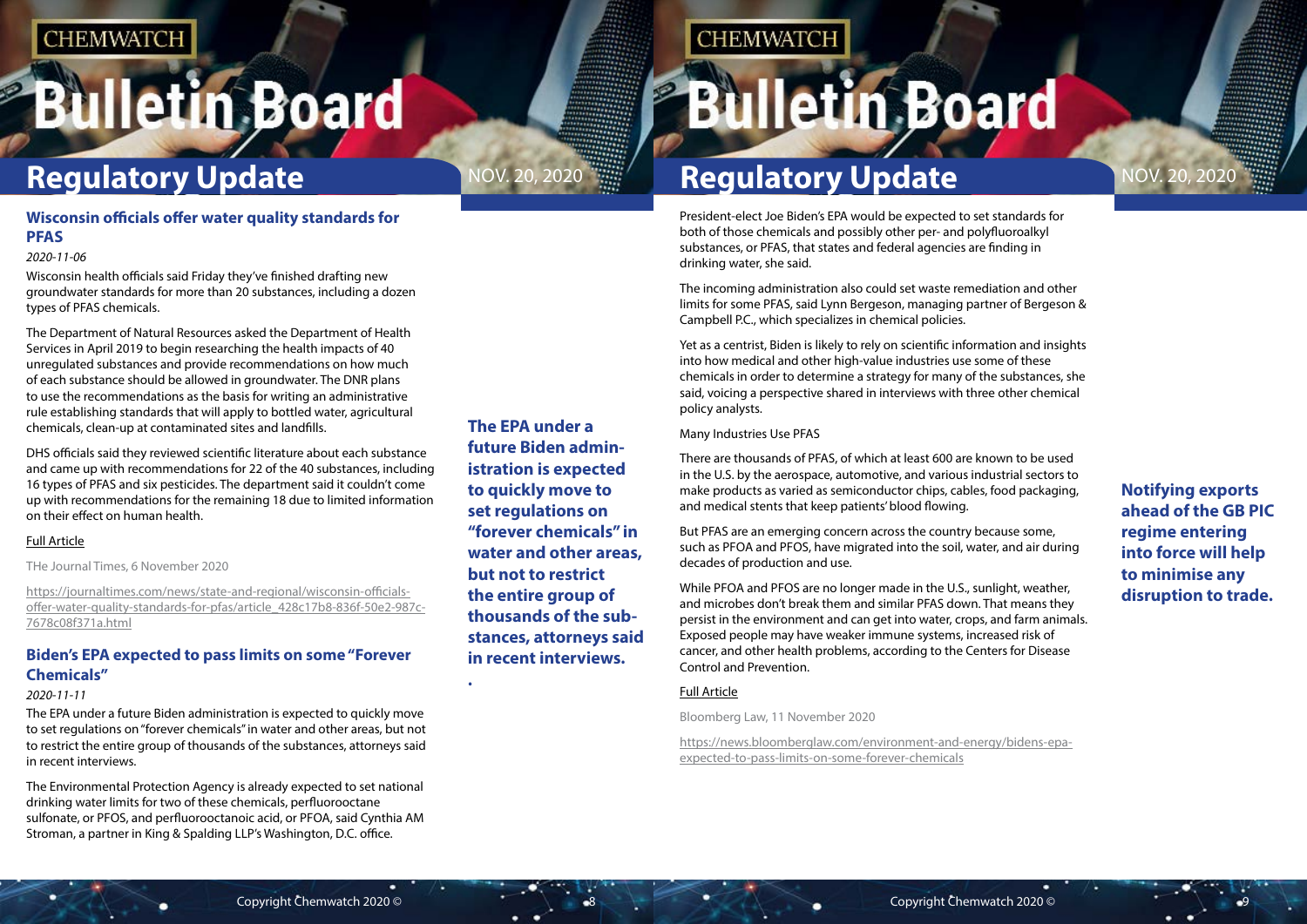# <span id="page-4-0"></span>**Bulletin Board**



**The EPA under a future Biden administration is expected to quickly move to set regulations on "forever chemicals" in water and other areas, but not to restrict the entire group of thousands of the substances, attorneys said in recent interviews.**

**.**

## **CHEMWATCH**

# **Bulletin Board**

**Notifying exports ahead of the GB PIC regime entering into force will help to minimise any disruption to trade.**

## **Regulatory Update Regulatory Update**

### **Wisconsin officials offer water quality standards for PFAS**

#### *2020-11-06*

Wisconsin health officials said Friday they've finished drafting new groundwater standards for more than 20 substances, including a dozen types of PFAS chemicals.

The Department of Natural Resources asked the Department of Health Services in April 2019 to begin researching the health impacts of 40 unregulated substances and provide recommendations on how much of each substance should be allowed in groundwater. The DNR plans to use the recommendations as the basis for writing an administrative rule establishing standards that will apply to bottled water, agricultural chemicals, clean-up at contaminated sites and landfills.

DHS officials said they reviewed scientific literature about each substance and came up with recommendations for 22 of the 40 substances, including 16 types of PFAS and six pesticides. The department said it couldn't come up with recommendations for the remaining 18 due to limited information on their effect on human health.

#### [Full Article](https://journaltimes.com/news/state-and-regional/wisconsin-officials-offer-water-quality-standards-for-pfas)

THe Journal Times, 6 November 2020

[https://journaltimes.com/news/state-and-regional/wisconsin-officials](https://journaltimes.com/news/state-and-regional/wisconsin-officials-offer-water-quality-standards-for-pfas/article_428c17b8-836f-50e2-987c-7678c08f371a.html)[offer-water-quality-standards-for-pfas/article\\_428c17b8-836f-50e2-987c-](https://journaltimes.com/news/state-and-regional/wisconsin-officials-offer-water-quality-standards-for-pfas/article_428c17b8-836f-50e2-987c-7678c08f371a.html)[7678c08f371a.html](https://journaltimes.com/news/state-and-regional/wisconsin-officials-offer-water-quality-standards-for-pfas/article_428c17b8-836f-50e2-987c-7678c08f371a.html)

### **Biden's EPA expected to pass limits on some "Forever Chemicals"**

#### *2020-11-11*

The EPA under a future Biden administration is expected to quickly move to set regulations on "forever chemicals" in water and other areas, but not to restrict the entire group of thousands of the substances, attorneys said in recent interviews.

The Environmental Protection Agency is already expected to set national drinking water limits for two of these chemicals, perfluorooctane sulfonate, or PFOS, and perfluorooctanoic acid, or PFOA, said Cynthia AM Stroman, a partner in King & Spalding LLP's Washington, D.C. office.

President-elect Joe Biden's EPA would be expected to set standards for both of those chemicals and possibly other per- and polyfluoroalkyl substances, or PFAS, that states and federal agencies are finding in drinking water, she said.

The incoming administration also could set waste remediation and other limits for some PFAS, said Lynn Bergeson, managing partner of Bergeson & Campbell P.C., which specializes in chemical policies.

Yet as a centrist, Biden is likely to rely on scientific information and insights into how medical and other high-value industries use some of these chemicals in order to determine a strategy for many of the substances, she said, voicing a perspective shared in interviews with three other chemical policy analysts.

Many Industries Use PFAS

There are thousands of PFAS, of which at least 600 are known to be used in the U.S. by the aerospace, automotive, and various industrial sectors to make products as varied as semiconductor chips, cables, food packaging, and medical stents that keep patients' blood flowing.

But PFAS are an emerging concern across the country because some, such as PFOA and PFOS, have migrated into the soil, water, and air during decades of production and use.

While PFOA and PFOS are no longer made in the U.S., sunlight, weather, and microbes don't break them and similar PFAS down. That means they persist in the environment and can get into water, crops, and farm animals. Exposed people may have weaker immune systems, increased risk of cancer, and other health problems, according to the Centers for Disease Control and Prevention.

#### [Full Article](https://news.bloomberglaw.com/environment-and-energy/bidens-epa-expected-to-pass-limits-on-some-forever-chemicals)

Bloomberg Law, 11 November 2020

[https://news.bloomberglaw.com/environment-and-energy/bidens-epa](https://news.bloomberglaw.com/environment-and-energy/bidens-epa-expected-to-pass-limits-on-some-forever-chemicals)[expected-to-pass-limits-on-some-forever-chemicals](https://news.bloomberglaw.com/environment-and-energy/bidens-epa-expected-to-pass-limits-on-some-forever-chemicals)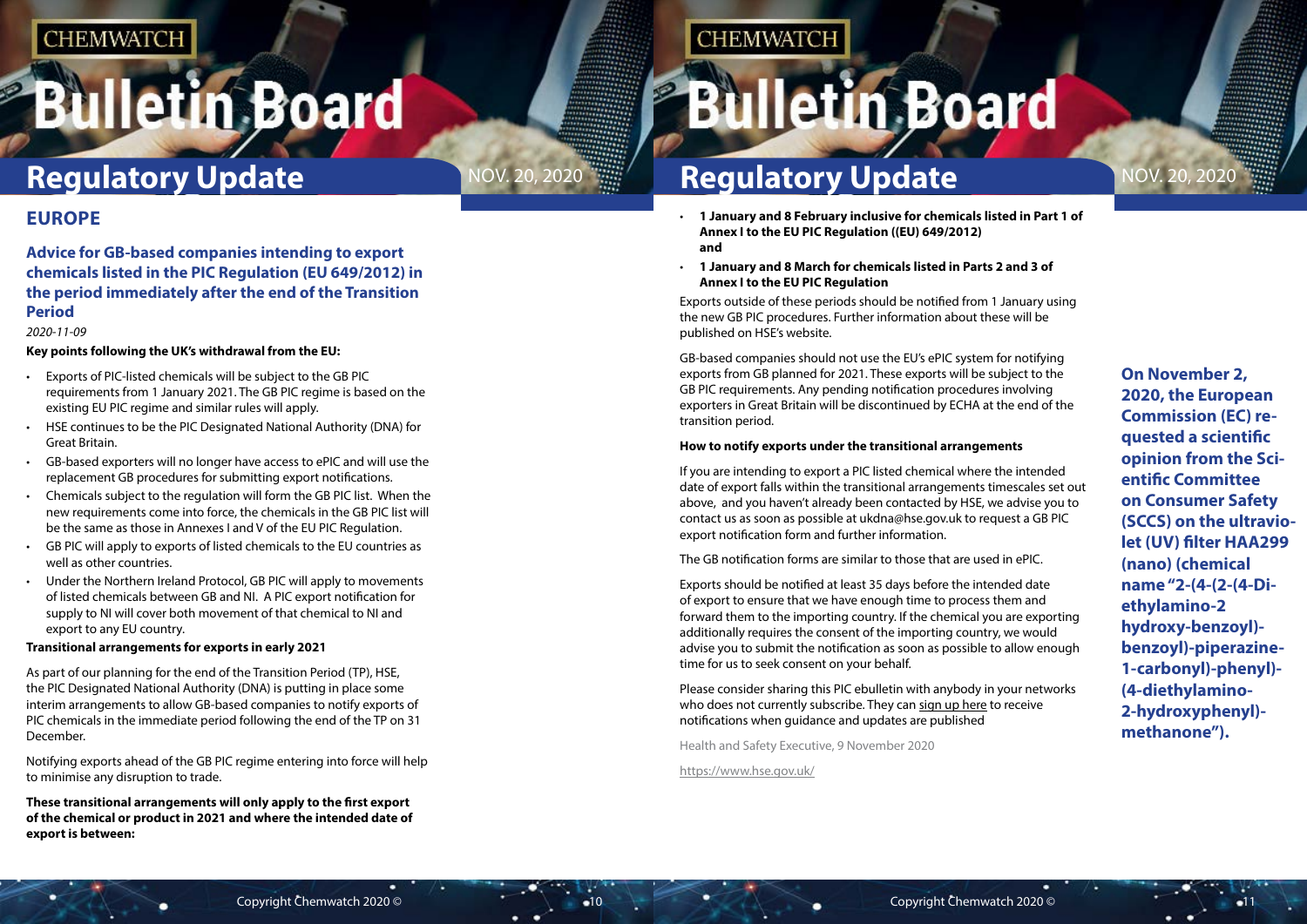# <span id="page-5-0"></span>**Bulletin Board**

**On November 2, 2020, the European Commission (EC) requested a scientific opinion from the Scientific Committee on Consumer Safety (SCCS) on the ultraviolet (UV) filter HAA299 (nano) (chemical name "2-(4-(2-(4-Diethylamino-2 hydroxy-benzoyl) benzoyl)-piperazine-1-carbonyl)-phenyl)- (4-diethylamino-2-hydroxyphenyl) methanone").**

## **Regulatory Update Regulatory Update**

### **EUROPE**

**Advice for GB-based companies intending to export chemicals listed in the PIC Regulation (EU 649/2012) in the period immediately after the end of the Transition Period**

#### *2020-11-09*

#### **Key points following the UK's withdrawal from the EU:**

- Exports of PIC-listed chemicals will be subject to the GB PIC requirements from 1 January 2021. The GB PIC regime is based on the existing EU PIC regime and similar rules will apply.
- HSE continues to be the PIC Designated National Authority (DNA) for Great Britain.
- GB-based exporters will no longer have access to ePIC and will use the replacement GB procedures for submitting export notifications.
- Chemicals subject to the regulation will form the GB PIC list. When the new requirements come into force, the chemicals in the GB PIC list will be the same as those in Annexes I and V of the EU PIC Regulation.
- GB PIC will apply to exports of listed chemicals to the EU countries as well as other countries.
- Under the Northern Ireland Protocol, GB PIC will apply to movements of listed chemicals between GB and NI. A PIC export notification for supply to NI will cover both movement of that chemical to NI and export to any EU country.

#### **Transitional arrangements for exports in early 2021**

As part of our planning for the end of the Transition Period (TP), HSE, the PIC Designated National Authority (DNA) is putting in place some interim arrangements to allow GB-based companies to notify exports of PIC chemicals in the immediate period following the end of the TP on 31 December.

Notifying exports ahead of the GB PIC regime entering into force will help to minimise any disruption to trade.

**These transitional arrangements will only apply to the first export of the chemical or product in 2021 and where the intended date of export is between:**

## NOV. 20, 2020  $\frac{m}{2}$  Regulatory Update Nov. 20, 2020

**CHEMWATCH** 

- **1 January and 8 February inclusive for chemicals listed in Part 1 of Annex I to the EU PIC Regulation ((EU) 649/2012) and**
- **1 January and 8 March for chemicals listed in Parts 2 and 3 of Annex I to the EU PIC Regulation**

Exports outside of these periods should be notified from 1 January using the new GB PIC procedures. Further information about these will be published on HSE's website.

GB-based companies should not use the EU's ePIC system for notifying exports from GB planned for 2021. These exports will be subject to the GB PIC requirements. Any pending notification procedures involving exporters in Great Britain will be discontinued by ECHA at the end of the transition period.

#### **How to notify exports under the transitional arrangements**

If you are intending to export a PIC listed chemical where the intended date of export falls within the transitional arrangements timescales set out above, and you haven't already been contacted by HSE, we advise you to contact us as soon as possible at ukdna@hse.gov.uk to request a GB PIC export notification form and further information.

The GB notification forms are similar to those that are used in ePIC.

Exports should be notified at least 35 days before the intended date of export to ensure that we have enough time to process them and forward them to the importing country. If the chemical you are exporting additionally requires the consent of the importing country, we would advise you to submit the notification as soon as possible to allow enough time for us to seek consent on your behalf.

Please consider sharing this PIC ebulletin with anybody in your networks who does not currently subscribe. They can [sign up here](https://lnks.gd/l/eyJhbGciOiJIUzI1NiJ9.eyJidWxsZXRpbl9saW5rX2lkIjoxMDIsInVyaSI6ImJwMjpjbGljayIsImJ1bGxldGluX2lkIjoiMjAyMDExMDkuMzAwNzA4MzEiLCJ1cmwiOiJodHRwczovL3B1YmxpYy5nb3ZkZWxpdmVyeS5jb20vYWNjb3VudHMvVUtIU0Uvc3Vic2NyaWJlci9uZXc_dG9waWNfaWQ9VUtIU0VfMjYmZW1haWw9JmNvbW1pdD1TdWJzY3JpYmUifQ.DMWLSVaM8mRJ0LCdHFmD9UPuDcri_Is3mde79xyBLEg/s/1292798658/br/88146408442-l) to receive notifications when guidance and updates are published

Health and Safety Executive, 9 November 2020

<https://www.hse.gov.uk/>

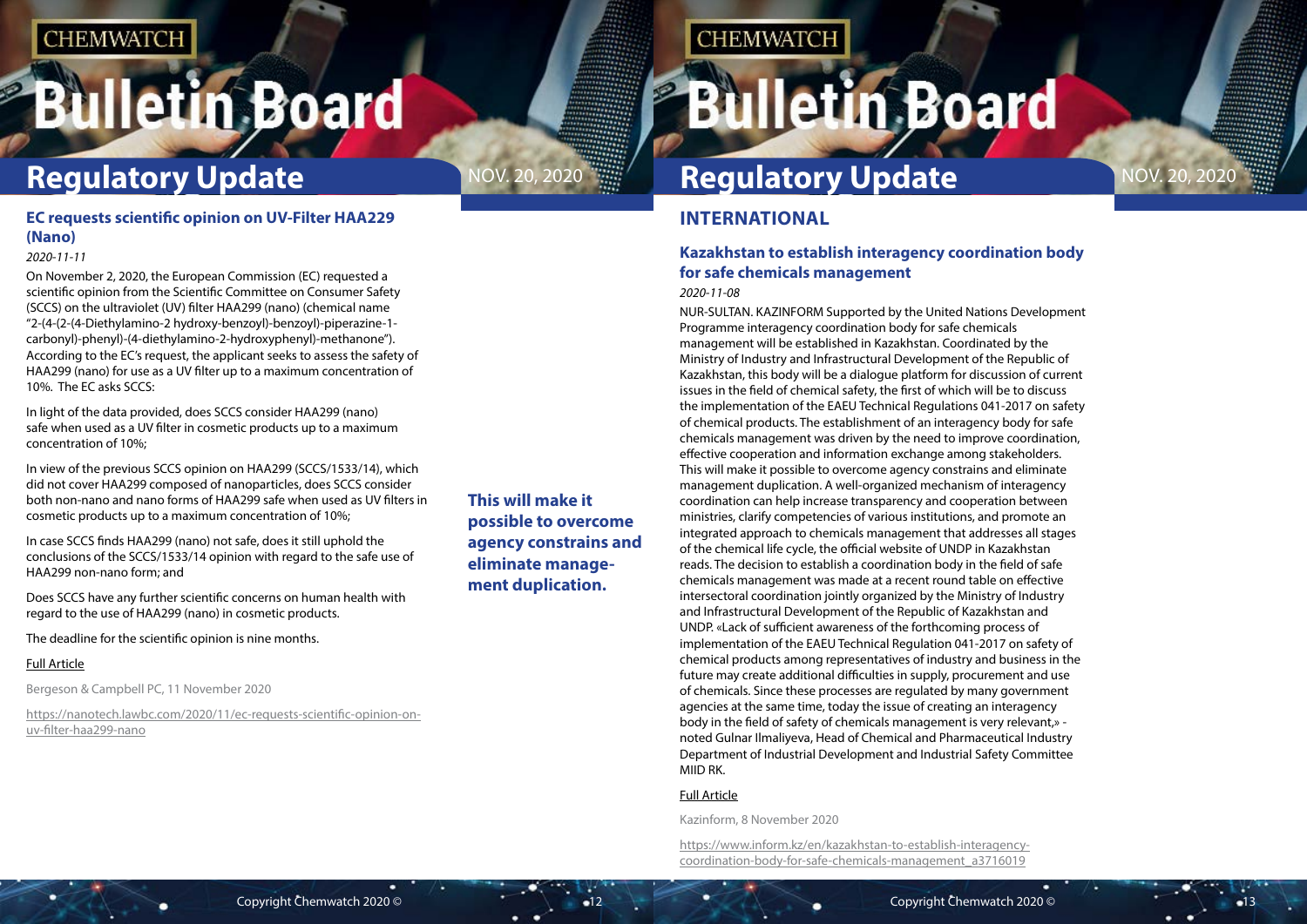# <span id="page-6-0"></span>**Bulletin Board**

## **Regulatory Update**

**This will make it** 

**possible to overcome agency constrains and** 

**eliminate management duplication.**

### **EC requests scientific opinion on UV-Filter HAA229 (Nano)**

#### *2020-11-11*

On November 2, 2020, the European Commission (EC) requested a scientific opinion from the Scientific Committee on Consumer Safety (SCCS) on the ultraviolet (UV) filter HAA299 (nano) (chemical name "2-(4-(2-(4-Diethylamino-2 hydroxy-benzoyl)-benzoyl)-piperazine-1 carbonyl)-phenyl)-(4-diethylamino-2-hydroxyphenyl)-methanone"). According to the EC's request, the applicant seeks to assess the safety of HAA299 (nano) for use as a UV filter up to a maximum concentration of 10%. The EC asks SCCS:

In light of the data provided, does SCCS consider HAA299 (nano) safe when used as a UV filter in cosmetic products up to a maximum concentration of 10%;

In view of the previous SCCS opinion on HAA299 (SCCS/1533/14), which did not cover HAA299 composed of nanoparticles, does SCCS consider both non-nano and nano forms of HAA299 safe when used as UV filters in cosmetic products up to a maximum concentration of 10%;

In case SCCS finds HAA299 (nano) not safe, does it still uphold the conclusions of the SCCS/1533/14 opinion with regard to the safe use of HAA299 non-nano form; and

Does SCCS have any further scientific concerns on human health with regard to the use of HAA299 (nano) in cosmetic products.

#### The deadline for the scientific opinion is nine months.

#### [Full Article](https://nanotech.lawbc.com/2020/11/ec-requests-scientific-opinion-on-uv-filter-haa299-nano)

Bergeson & Campbell PC, 11 November 2020

[https://nanotech.lawbc.com/2020/11/ec-requests-scientific-opinion-on](https://nanotech.lawbc.com/2020/11/ec-requests-scientific-opinion-on-uv-filter-haa299-nano)[uv-filter-haa299-nano](https://nanotech.lawbc.com/2020/11/ec-requests-scientific-opinion-on-uv-filter-haa299-nano)

## NOV. 20, 2020  $\frac{m}{2}$  Regulatory Update Nov. 20, 2020

### **INTERNATIONAL**

**CHEMWATCH** 

### **Kazakhstan to establish interagency coordination body for safe chemicals management**

#### *2020-11-08*

NUR-SULTAN. KAZINFORM Supported by the United Nations Development Programme interagency coordination body for safe chemicals management will be established in Kazakhstan. Coordinated by the Ministry of Industry and Infrastructural Development of the Republic of Kazakhstan, this body will be a dialogue platform for discussion of current issues in the field of chemical safety, the first of which will be to discuss the implementation of the EAEU Technical Regulations 041-2017 on safety of chemical products. The establishment of an interagency body for safe chemicals management was driven by the need to improve coordination, effective cooperation and information exchange among stakeholders. This will make it possible to overcome agency constrains and eliminate management duplication. A well-organized mechanism of interagency coordination can help increase transparency and cooperation between ministries, clarify competencies of various institutions, and promote an integrated approach to chemicals management that addresses all stages of the chemical life cycle, the official website of UNDP in Kazakhstan reads. The decision to establish a coordination body in the field of safe chemicals management was made at a recent round table on effective intersectoral coordination jointly organized by the Ministry of Industry and Infrastructural Development of the Republic of Kazakhstan and UNDP. «Lack of sufficient awareness of the forthcoming process of implementation of the EAEU Technical Regulation 041-2017 on safety of chemical products among representatives of industry and business in the future may create additional difficulties in supply, procurement and use of chemicals. Since these processes are regulated by many government agencies at the same time, today the issue of creating an interagency body in the field of safety of chemicals management is very relevant,» noted Gulnar Ilmaliyeva, Head of Chemical and Pharmaceutical Industry Department of Industrial Development and Industrial Safety Committee MIID RK.

#### [Full Article](https://www.inform.kz/en/kazakhstan-to-establish-interagency-coordination-body-for-safe-chemicals-management_a3716019)

Kazinform, 8 November 2020

[https://www.inform.kz/en/kazakhstan-to-establish-interagency](https://www.inform.kz/en/kazakhstan-to-establish-interagency-coordination-body-for-safe-chemicals-management_a3716019)[coordination-body-for-safe-chemicals-management\\_a3716019](https://www.inform.kz/en/kazakhstan-to-establish-interagency-coordination-body-for-safe-chemicals-management_a3716019)

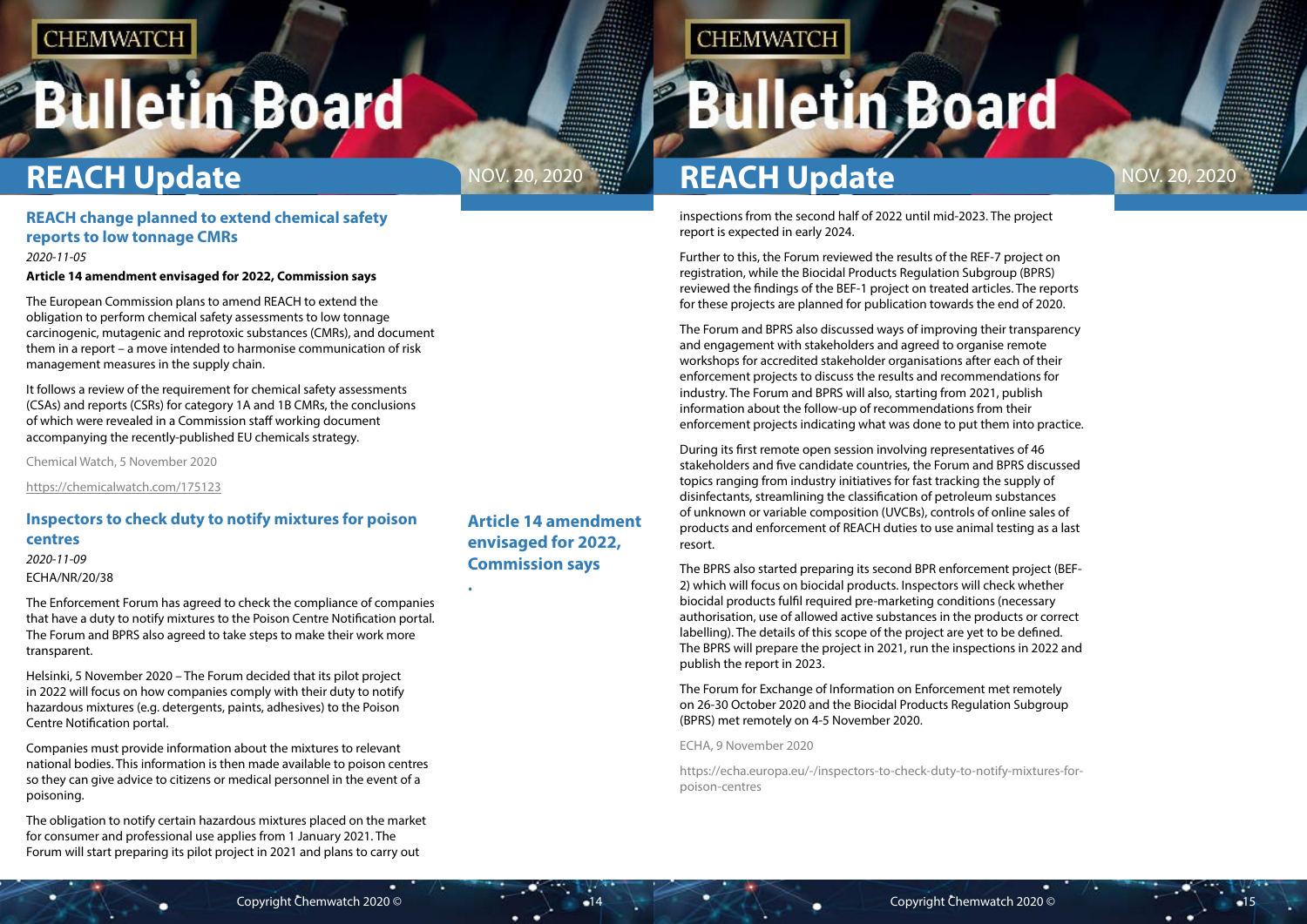# <span id="page-7-0"></span>**Bulletin Board**



### **Article 14 amendment envisaged for 2022, Commission says**

**.**

## **CHEMWATCH**

**Illetin Board** 

### **REACH change planned to extend chemical safety reports to low tonnage CMRs**

*2020-11-05*

**Article 14 amendment envisaged for 2022, Commission says**

The European Commission plans to amend REACH to extend the obligation to perform chemical safety assessments to low tonnage carcinogenic, mutagenic and reprotoxic substances (CMRs), and document them in a report – a move intended to harmonise communication of risk management measures in the supply chain.

It follows a review of the requirement for chemical safety assessments [\(CSAs](https://chemicalwatch.com/69979/chemical-safety-assessment-as-a-tool-for-risk-management-august-2018)) and reports (CSRs) for category 1A and 1B CMRs, the conclusions of which were revealed in a Commission staff working document accompanying the recently-published EU chemicals [strategy.](https://chemicalwatch.com/167171/european-commission-publishes-radical-wide-ranging-chemicals-strategy)

Chemical Watch, 5 November 2020

<https://chemicalwatch.com/175123>

### **Inspectors to check duty to notify mixtures for poison centres**

*2020-11-09* ECHA/NR/20/38

The Enforcement Forum has agreed to check the compliance of companies that have a duty to notify mixtures to the Poison Centre Notification portal. The Forum and BPRS also agreed to take steps to make their work more transparent.

Helsinki, 5 November 2020 – The Forum decided that its pilot project in 2022 will focus on how companies comply with their duty to notify hazardous mixtures (e.g. detergents, paints, adhesives) to the Poison Centre Notification portal.

Companies must provide information about the mixtures to relevant national bodies. This information is then made available to poison centres so they can give advice to citizens or medical personnel in the event of a poisoning.

The obligation to notify certain hazardous mixtures placed on the market for consumer and professional use applies from 1 January 2021. The Forum will start preparing its pilot project in 2021 and plans to carry out

## **REACH Update**

inspections from the second half of 2022 until mid-2023. The project report is expected in early 2024.

Further to this, the Forum reviewed the results of the REF-7 project on registration, while the Biocidal Products Regulation Subgroup (BPRS) reviewed the findings of the BEF-1 project on treated articles. The reports for these projects are planned for publication towards the end of 2020.

The Forum and BPRS also discussed ways of improving their transparency and engagement with stakeholders and agreed to organise remote workshops for accredited stakeholder organisations after each of their enforcement projects to discuss the results and recommendations for industry. The Forum and BPRS will also, starting from 2021, publish information about the follow-up of recommendations from their enforcement projects indicating what was done to put them into practice.

During its first remote open session involving representatives of 46 stakeholders and five candidate countries, the Forum and BPRS discussed topics ranging from industry initiatives for fast tracking the supply of disinfectants, streamlining the classification of petroleum substances of unknown or variable composition (UVCBs), controls of online sales of products and enforcement of REACH duties to use animal testing as a last resort.

The BPRS also started preparing its second BPR enforcement project (BEF-2) which will focus on biocidal products. Inspectors will check whether biocidal products fulfil required pre-marketing conditions (necessary authorisation, use of allowed active substances in the products or correct labelling). The details of this scope of the project are yet to be defined. The BPRS will prepare the project in 2021, run the inspections in 2022 and publish the report in 2023.

The Forum for Exchange of Information on Enforcement met remotely on 26-30 October 2020 and the Biocidal Products Regulation Subgroup (BPRS) met remotely on 4-5 November 2020.

ECHA, 9 November 2020

https://echa.europa.eu/-/inspectors-to-check-duty-to-notify-mixtures-forpoison-centres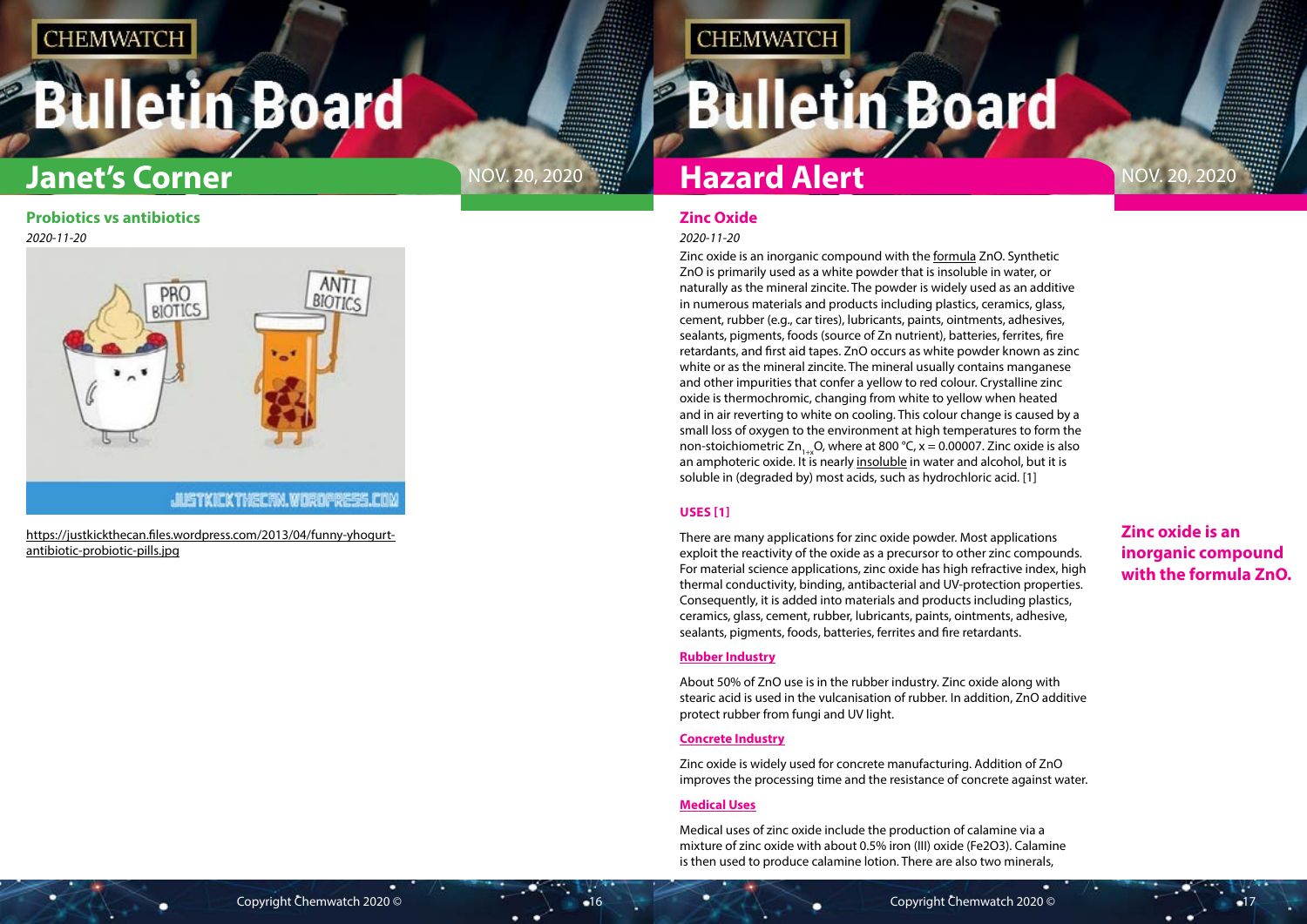# <span id="page-8-0"></span>**Bulletin Board**

Nov. 20, 2020

Nov. 20, 2020

### **Zinc oxide is an inorganic compound with the formula ZnO.**

### **Probiotics vs antibiotics**

*2020-11-20*



[https://justkickthecan.files.wordpress.com/2013/04/funny-yhogurt](https://justkickthecan.files.wordpress.com/2013/04/funny-yhogurt-antibiotic-probiotic-pills.jpg)[antibiotic-probiotic-pills.jpg](https://justkickthecan.files.wordpress.com/2013/04/funny-yhogurt-antibiotic-probiotic-pills.jpg)

## **CHEMWATCH Bulletin Board**

## **Janet's Corner**

### **Zinc Oxide**

#### *2020-11-20*

Zinc oxide is an inorganic compound with the [formula](http://en.wikipedia.org/wiki/Chemical_formula) ZnO. Synthetic ZnO is primarily used as a white powder that is insoluble in water, or naturally as the mineral zincite. The powder is widely used as an additive in numerous materials and products including plastics, ceramics, glass, cement, rubber (e.g., car tires), lubricants, paints, ointments, adhesives, sealants, pigments, foods (source of Zn nutrient), batteries, ferrites, fire retardants, and first aid tapes. ZnO occurs as white powder known as zinc white or as the mineral zincite. The mineral usually contains manganese and other impurities that confer a yellow to red colour. Crystalline zinc oxide is thermochromic, changing from white to yellow when heated and in air reverting to white on cooling. This colour change is caused by a small loss of oxygen to the environment at high temperatures to form the non-stoichiometric Zn<sub>1+x</sub>O, where at 800 °C, x = 0.00007. Zinc oxide is also an amphoteric oxide. It is nearly [insoluble](http://en.wikipedia.org/wiki/Solubility) in water and alcohol, but it is soluble in (degraded by) most acids, such as hydrochloric acid. [1]

### **USES [1]**

There are many applications for zinc oxide powder. Most applications exploit the reactivity of the oxide as a precursor to other zinc compounds. For material science applications, zinc oxide has high refractive index, high thermal conductivity, binding, antibacterial and UV-protection properties. Consequently, it is added into materials and products including plastics, ceramics, glass, cement, rubber, lubricants, paints, ointments, adhesive, sealants, pigments, foods, batteries, ferrites and fire retardants.

### **Rubber Industry**

About 50% of ZnO use is in the rubber industry. Zinc oxide along with [stearic acid](http://en.wikipedia.org/wiki/Stearic_acid) is used in the [vulcanisation](http://en.wikipedia.org/wiki/Vulcanization) of rubber. In addition, ZnO additive protect rubber from fungi and UV light.

#### **Concrete Industry**

Zinc oxide is widely used for [concrete](http://en.wikipedia.org/wiki/Concrete) manufacturing. Addition of ZnO improves the processing time and the resistance of concrete against water.

### **Medical Uses**

Medical uses of zinc oxide include the production of calamine via a mixture of zinc oxide with about 0.5% [iron \(III\) oxide](http://en.wikipedia.org/wiki/Iron(III)_oxide) (Fe2O3). Calamine is then used to produce calamine lotion. There are also two minerals,

## **Hazard Alert**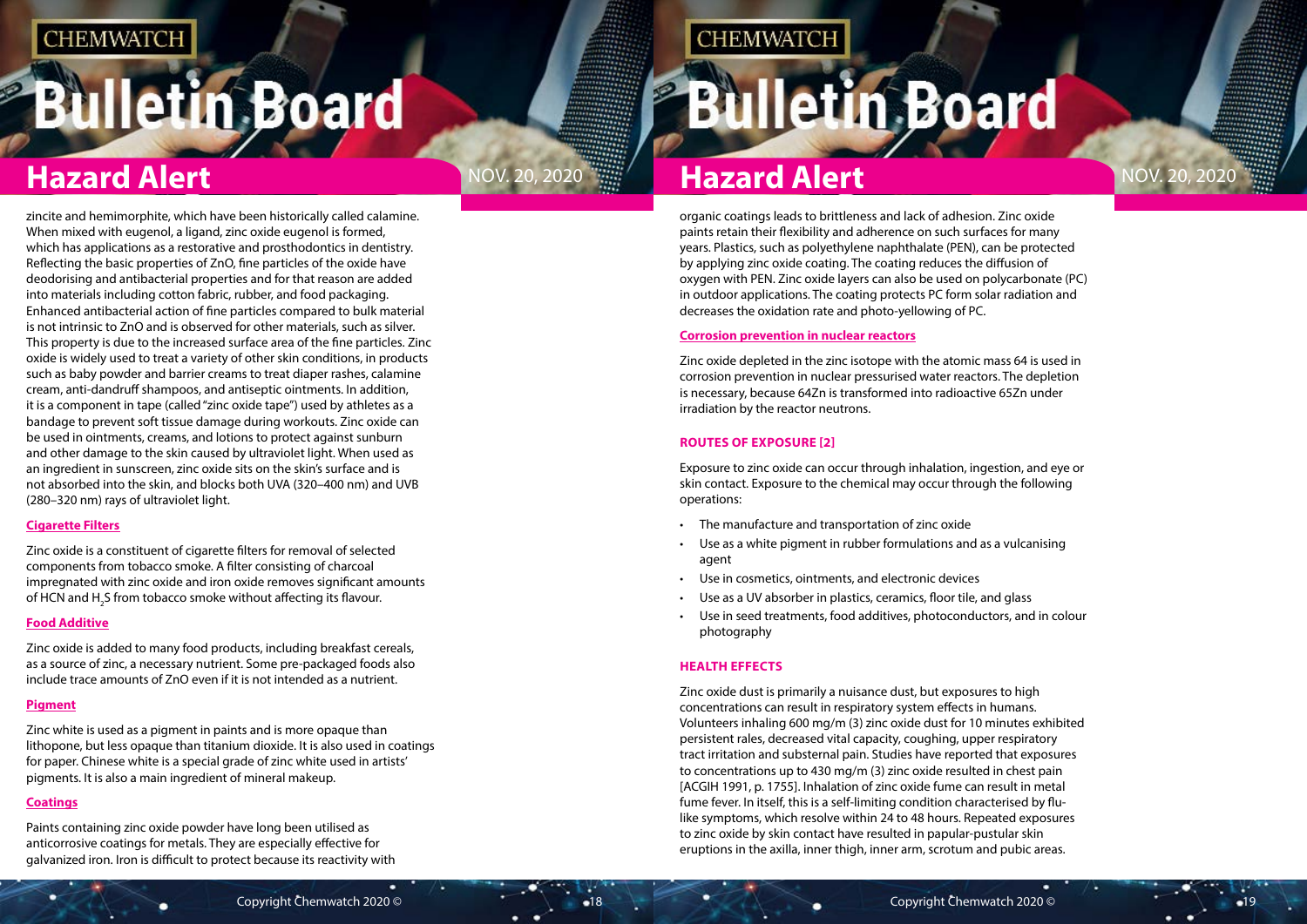# **Bulletin Board**



Zinc oxide is a constituent of [cigarette filters](http://en.wikipedia.org/wiki/Cigarette_filter) for removal of selected components from tobacco smoke. A filter consisting of charcoal impregnated with zinc oxide and iron oxide removes significant amounts of [HCN](http://en.wikipedia.org/wiki/Hydrogen_cyanide) and  $H_2$ S from tobacco smoke without affecting its flavour.

[zincite](http://en.wikipedia.org/wiki/Zincite) and [hemimorphite](http://en.wikipedia.org/wiki/Hemimorphite), which have been historically called [calamine](http://en.wikipedia.org/wiki/Calamine_(mineral)). When mixed with [eugenol,](http://en.wikipedia.org/wiki/Eugenol) a [ligand](http://en.wikipedia.org/wiki/Ligand), [zinc oxide eugenol](http://en.wikipedia.org/wiki/Zinc_oxide_eugenol) is formed, which has applications as a [restorative](http://en.wikipedia.org/wiki/Dental_restoration) and [prosthodontics](http://en.wikipedia.org/wiki/Prosthodontics) in [dentistry.](http://en.wikipedia.org/wiki/Dentistry) Reflecting the basic properties of ZnO, fine particles of the oxide have deodorising and antibacterial properties and for that reason are added into materials including cotton fabric, rubber, and food packaging. Enhanced antibacterial action of fine particles compared to bulk material is not intrinsic to ZnO and is observed for other materials, such as [silver.](http://en.wikipedia.org/wiki/Silver) This property is due to the increased surface area of the fine particles. Zinc oxide is widely used to treat a variety of other skin conditions, in products such as [baby powder](http://en.wikipedia.org/wiki/Baby_powder) and [barrier creams](http://en.wikipedia.org/wiki/Barrier_cream) to treat [diaper rashes](http://en.wikipedia.org/wiki/Diaper_rash), [calamine](http://en.wikipedia.org/wiki/Calamine) cream, anti-[dandruff](http://en.wikipedia.org/wiki/Dandruff) [shampoos,](http://en.wikipedia.org/wiki/Shampoo) and [antiseptic](http://en.wikipedia.org/wiki/Antiseptic) ointments. In addition, it is a component in tape (called "zinc oxide tape") used by athletes as a bandage to prevent soft tissue damage during workouts. Zinc oxide can be used in ointments, creams, and [lotions](http://en.wikipedia.org/wiki/Lotion) to protect against [sunburn](http://en.wikipedia.org/wiki/Sunburn)  and other damage to the skin caused by [ultraviolet light](http://en.wikipedia.org/wiki/Ultraviolet_light). When used as an ingredient in [sunscreen](http://en.wikipedia.org/wiki/Sunscreen), zinc oxide sits on the skin's surface and is not absorbed into the skin, and blocks both UVA (320–400 nm) and UVB (280–320 nm) rays of [ultraviolet light.](http://en.wikipedia.org/wiki/Ultraviolet_light)

#### **Cigarette Filters**

#### **Food Additive**

Zinc oxide is added to many food products, including [breakfast cereals,](http://en.wikipedia.org/wiki/Breakfast_cereal) as a source of zinc, a necessary [nutrient](http://en.wikipedia.org/wiki/Nutrient). Some pre-packaged foods also include trace amounts of ZnO even if it is not intended as a nutrient.

#### **Pigment**

Zinc white is used as a pigment in [paints](http://en.wikipedia.org/wiki/Paint) and is more opaque than [lithopone,](http://en.wikipedia.org/wiki/Lithopone) but less opaque than [titanium dioxide.](http://en.wikipedia.org/wiki/Titanium_dioxide) It is also used in coatings for paper. Chinese white is a special grade of zinc white used in artists' [pigments](http://en.wikipedia.org/wiki/Pigment). It is also a main ingredient of mineral makeup.

### **Coatings**

Paints containing zinc oxide powder have long been utilised as anticorrosive coatings for metals. They are especially effective for galvanized iron. Iron is difficult to protect because its reactivity with

organic coatings leads to brittleness and lack of adhesion. Zinc oxide paints retain their flexibility and adherence on such surfaces for many years. Plastics, such as [polyethylene naphthalate](http://en.wikipedia.org/wiki/Polyethylene_naphthalate) (PEN), can be protected by applying zinc oxide coating. The coating reduces the diffusion of oxygen with PEN. Zinc oxide layers can also be used on [polycarbonate](http://en.wikipedia.org/wiki/Polycarbonate) (PC) in outdoor applications. The coating protects PC form solar radiation and decreases the oxidation rate and photo-yellowing of PC.

#### **Corrosion prevention in nuclear reactors**

Zinc oxide depleted in the [zinc isotope](http://en.wikipedia.org/wiki/Isotopes_of_zinc) with the [atomic mass](http://en.wikipedia.org/wiki/Atomic_mass) 64 is used in corrosion prevention in nuclear [pressurised water reactors.](http://en.wikipedia.org/wiki/Pressurized_water_reactor) The depletion is necessary, because 64Zn is [transformed](http://en.wikipedia.org/wiki/Neutron_activation) into radioactive 65Zn under irradiation by the reactor neutrons.

#### **ROUTES OF EXPOSURE [2]**

**CHEMWATCH** 

Exposure to zinc oxide can occur through inhalation, ingestion, and eye or skin contact. Exposure to the chemical may occur through the following operations:

- The manufacture and transportation of zinc oxide
- Use as a white pigment in rubber formulations and as a vulcanising agent
- Use in cosmetics, ointments, and electronic devices
- Use as a UV absorber in plastics, ceramics, floor tile, and glass
- Use in seed treatments, food additives, photoconductors, and in colour photography

#### **HEALTH EFFECTS**

Zinc oxide dust is primarily a nuisance dust, but exposures to high concentrations can result in respiratory system effects in humans. Volunteers inhaling 600 mg/m (3) zinc oxide dust for 10 minutes exhibited persistent rales, decreased vital capacity, coughing, upper respiratory tract irritation and substernal pain. Studies have reported that exposures to concentrations up to 430 mg/m (3) zinc oxide resulted in chest pain [ACGIH 1991, p. 1755]. Inhalation of zinc oxide fume can result in metal fume fever. In itself, this is a self-limiting condition characterised by flulike symptoms, which resolve within 24 to 48 hours. Repeated exposures to zinc oxide by skin contact have resulted in papular-pustular skin eruptions in the axilla, inner thigh, inner arm, scrotum and pubic areas.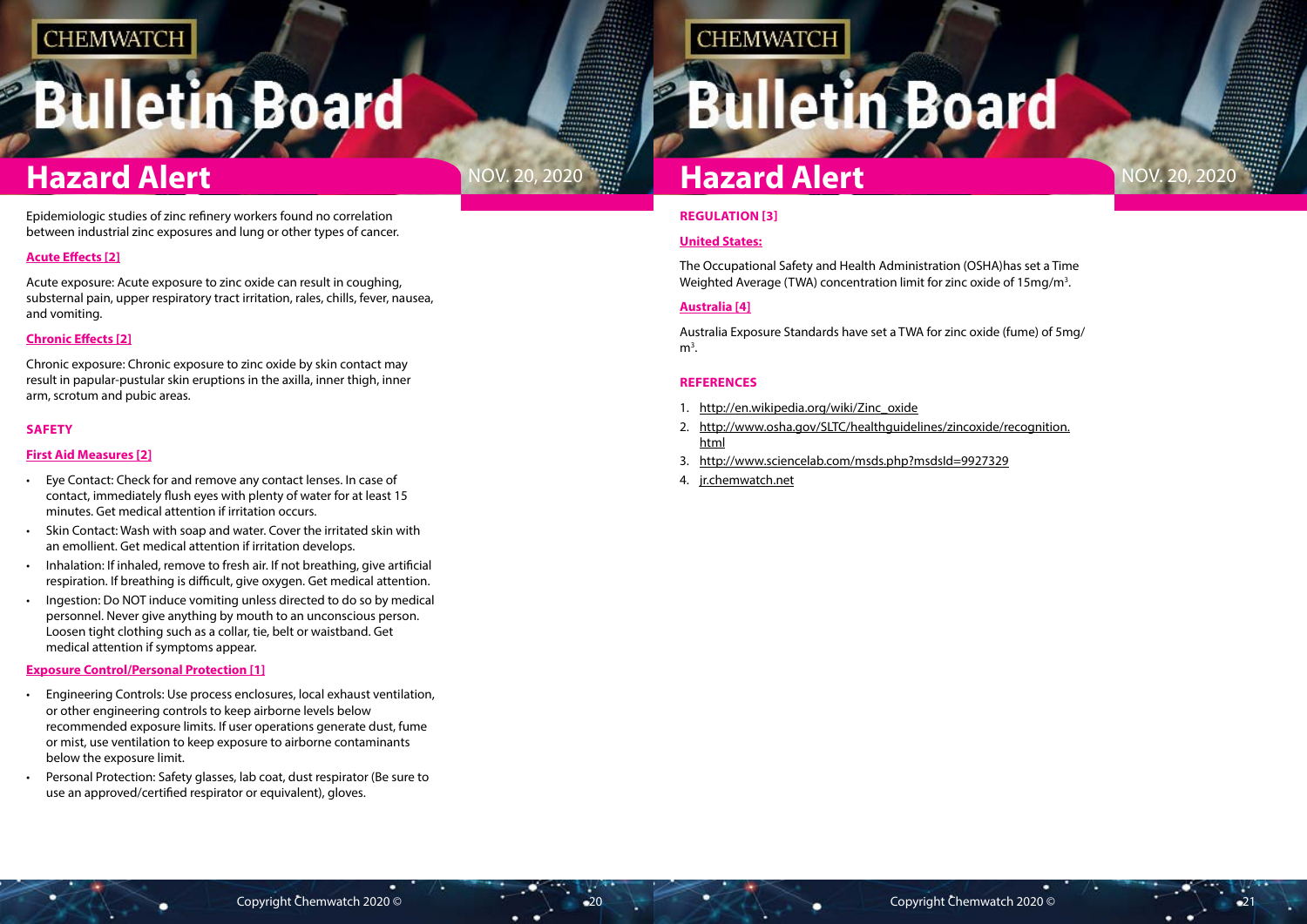## **Bulletin Board**





Epidemiologic studies of zinc refinery workers found no correlation between industrial zinc exposures and lung or other types of cancer.

#### **Acute Effects [2]**

Acute exposure: Acute exposure to zinc oxide can result in coughing, substernal pain, upper respiratory tract irritation, rales, chills, fever, nausea, and vomiting.

#### **Chronic Effects [2]**

Chronic exposure: Chronic exposure to zinc oxide by skin contact may result in papular-pustular skin eruptions in the axilla, inner thigh, inner arm, scrotum and pubic areas.

#### **SAFETY**

#### **First Aid Measures [2]**

The Occupational Safety and Health Administration (OSHA)has set a Time Weighted Average (TWA) concentration limit for zinc oxide of 15mg/m<sup>3</sup>.

- Eye Contact: Check for and remove any contact lenses. In case of contact, immediately flush eyes with plenty of water for at least 15 minutes. Get medical attention if irritation occurs.
- Skin Contact: Wash with soap and water. Cover the irritated skin with an emollient. Get medical attention if irritation develops.
- Inhalation: If inhaled, remove to fresh air. If not breathing, give artificial respiration. If breathing is difficult, give oxygen. Get medical attention.
- Ingestion: Do NOT induce vomiting unless directed to do so by medical personnel. Never give anything by mouth to an unconscious person. Loosen tight clothing such as a collar, tie, belt or waistband. Get medical attention if symptoms appear.

Australia Exposure Standards have set a TWA for zinc oxide (fume) of 5mg/  $m<sup>3</sup>$ .

#### **Exposure Control/Personal Protection [1]**

- Engineering Controls: Use process enclosures, local exhaust ventilation, or other engineering controls to keep airborne levels below recommended exposure limits. If user operations generate dust, fume or mist, use ventilation to keep exposure to airborne contaminants below the exposure limit.
- Personal Protection: Safety glasses, lab coat, dust respirator (Be sure to use an approved/certified respirator or equivalent), gloves.

## **CHEMWATCH**

# **Iletin Board**

#### **REGULATION [3]**

#### **United States:**

#### **Australia [4]**

#### **REFERENCES**

- 1. [http://en.wikipedia.org/wiki/Zinc\\_oxide](http://en.wikipedia.org/wiki/Zinc_oxide)
- 2. [http://www.osha.gov/SLTC/healthguidelines/zincoxide/recognition.](http://www.osha.gov/SLTC/healthguidelines/zincoxide/recognition.html) [html](http://www.osha.gov/SLTC/healthguidelines/zincoxide/recognition.html)
- 3. <http://www.sciencelab.com/msds.php?msdsId=9927329>
- 4. [jr.chemwatch.net](file:///E:/Chemwatch/AA%20Bulletin%202020/201120/jr.chemwatch.net)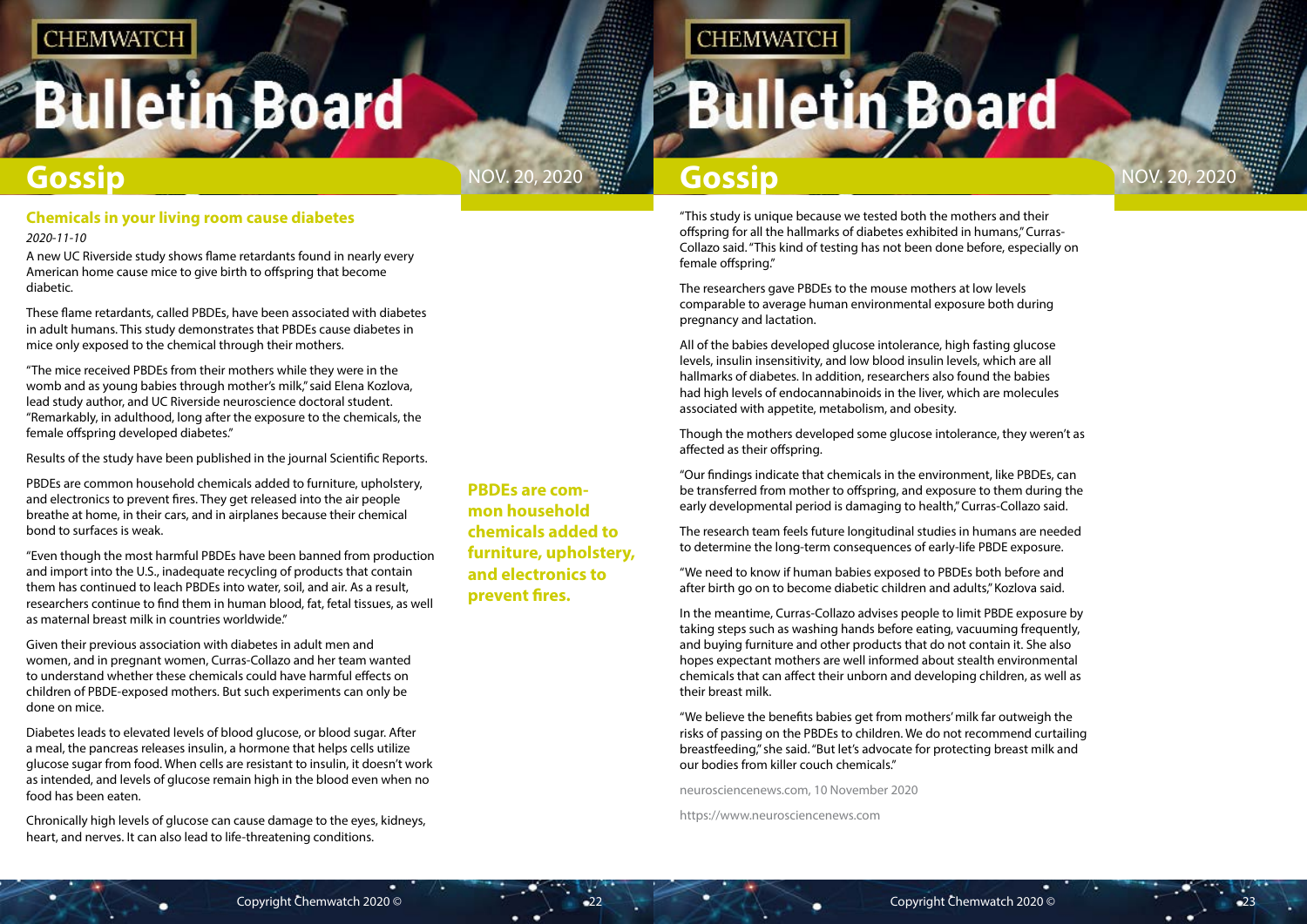# <span id="page-11-0"></span>**Illetin Board**





**PBDEs are common household** 

**chemicals added to** 

**furniture, upholstery,** 

**and electronics to** 

**prevent fires.**

## **Gossip**

**CHEMWATCH** 

### **Chemicals in your living room cause diabetes**

*2020-11-10*

A new UC Riverside study shows flame retardants found in nearly every American home cause mice to give birth to offspring that become diabetic.

These flame retardants, called PBDEs, have been associated with diabetes in adult humans. This study demonstrates that PBDEs cause diabetes in mice only exposed to the chemical through their mothers.

"The mice received PBDEs from their mothers while they were in the womb and as young babies through mother's milk," said Elena Kozlova, lead study author, and UC Riverside neuroscience doctoral student. "Remarkably, in adulthood, long after the exposure to the chemicals, the female offspring developed diabetes."

Results of the study have been published in the journal Scientific Reports.

PBDEs are common household chemicals added to furniture, upholstery, and electronics to prevent fires. They get released into the air people breathe at home, in their cars, and in airplanes because their chemical bond to surfaces is weak.

"Even though the most harmful PBDEs have been banned from production and import into the U.S., inadequate recycling of products that contain them has continued to leach PBDEs into water, soil, and air. As a result, researchers continue to find them in human blood, fat, fetal tissues, as well as maternal breast milk in countries worldwide."

Given their previous association with diabetes in adult men and women, and in pregnant women, Curras-Collazo and her team wanted to understand whether these chemicals could have harmful effects on children of PBDE-exposed mothers. But such experiments can only be done on mice.

Diabetes leads to elevated levels of blood glucose, or blood sugar. After a meal, the pancreas releases insulin, a hormone that helps cells utilize glucose sugar from food. When cells are resistant to insulin, it doesn't work as intended, and levels of glucose remain high in the blood even when no food has been eaten.

Chronically high levels of glucose can cause damage to the eyes, kidneys, heart, and nerves. It can also lead to life-threatening conditions.

## **Gossip**

"This study is unique because we tested both the mothers and their offspring for all the hallmarks of diabetes exhibited in humans," Curras-Collazo said. "This kind of testing has not been done before, especially on female offspring."

The researchers gave PBDEs to the mouse mothers at low levels comparable to average human environmental exposure both during pregnancy and lactation.

All of the babies developed glucose intolerance, high fasting glucose levels, insulin insensitivity, and low blood insulin levels, which are all hallmarks of diabetes. In addition, researchers also found the babies had high levels of endocannabinoids in the liver, which are molecules associated with appetite, metabolism, and obesity.

Though the mothers developed some glucose intolerance, they weren't as affected as their offspring.

"Our findings indicate that chemicals in the environment, like PBDEs, can be transferred from mother to offspring, and exposure to them during the early developmental period is damaging to health," Curras-Collazo said.

The research team feels future longitudinal studies in humans are needed to determine the long-term consequences of early-life PBDE exposure.

"We need to know if human babies exposed to PBDEs both before and after birth go on to become diabetic children and adults," Kozlova said.

In the meantime, Curras-Collazo advises people to limit PBDE exposure by taking steps such as washing hands before eating, vacuuming frequently, and buying furniture and other products that do not contain it. She also hopes expectant mothers are well informed about stealth environmental chemicals that can affect their unborn and developing children, as well as their breast milk.

"We believe the benefits babies get from mothers' milk far outweigh the risks of passing on the PBDEs to children. We do not recommend curtailing breastfeeding," she said. "But let's advocate for protecting breast milk and our bodies from killer couch chemicals."

neurosciencenews.com, 10 November 2020

https://www.neurosciencenews.com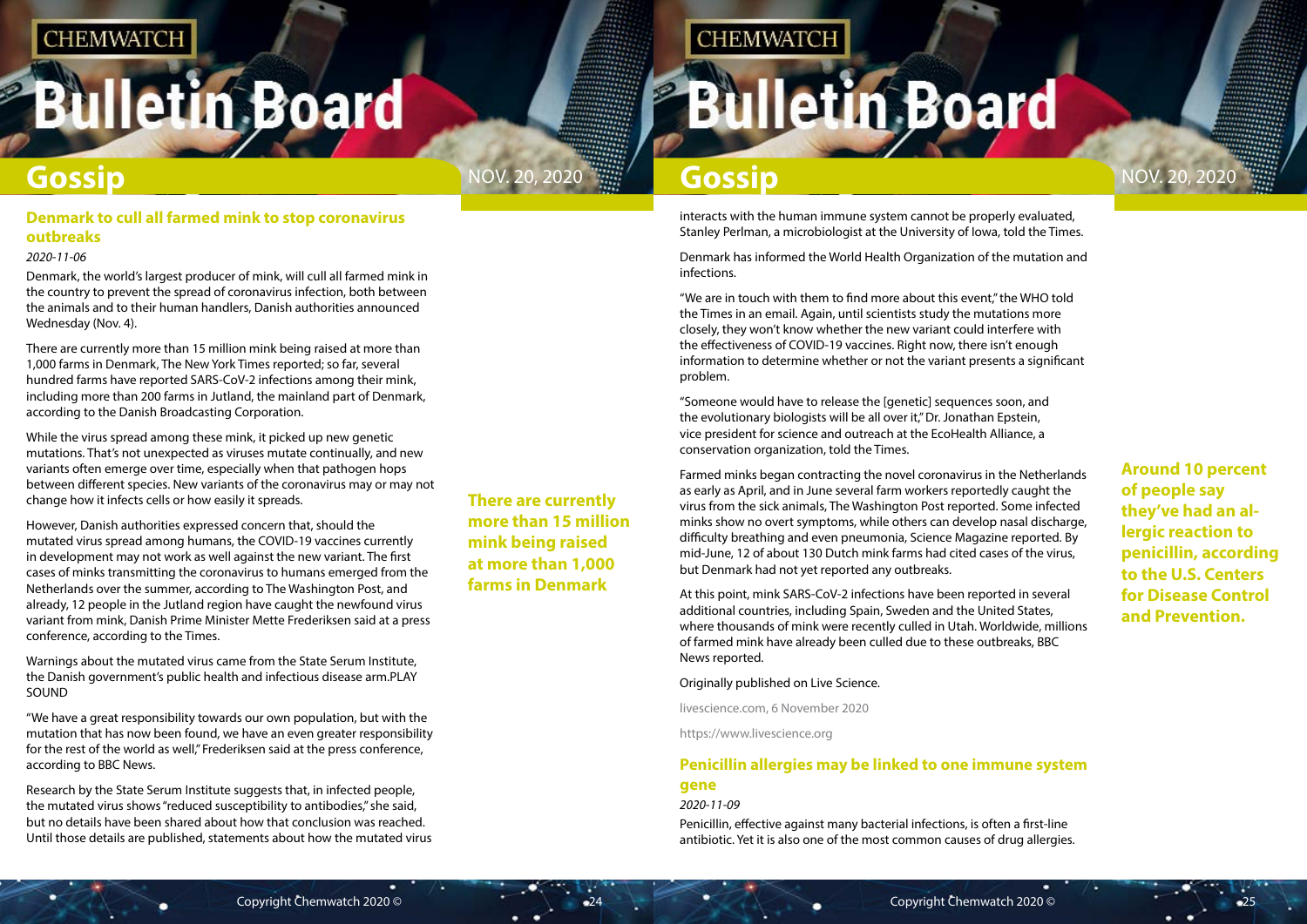# <span id="page-12-0"></span>**Bulletin Board**

## **Gossip Gossip Gossip Gossip**



**There are currently more than 15 million mink being raised at more than 1,000 farms in Denmark**

**CHEMWATCH** 

**Around 10 percent of people say they've had an allergic reaction to penicillin, according to the U.S. Centers for Disease Control and Prevention.**

### **Denmark to cull all farmed mink to stop coronavirus outbreaks**

#### *2020-11-06*

Denmark, the world's largest producer of mink, will cull all farmed mink in the country to prevent the spread of coronavirus infection, both between the animals and to their human handlers, Danish authorities announced Wednesday (Nov. 4).

There are currently more than 15 million mink being raised at more than 1,000 farms in Denmark, The New York Times reported; so far, several hundred farms have reported SARS-CoV-2 infections among their mink, including more than 200 farms in Jutland, the mainland part of Denmark, according to the Danish Broadcasting Corporation.

Warnings about the mutated virus came from the State Serum Institute, the Danish government's public health and infectious disease arm.PLAY **SOUND** 

While the virus spread among these mink, it picked up new genetic mutations. That's not unexpected as viruses mutate continually, and new variants often emerge over time, especially when that pathogen hops between different species. New variants of the coronavirus may or may not change how it infects cells or how easily it spreads.

However, Danish authorities expressed concern that, should the mutated virus spread among humans, the COVID-19 vaccines currently in development may not work as well against the new variant. The first cases of minks transmitting the coronavirus to humans emerged from the Netherlands over the summer, according to The Washington Post, and already, 12 people in the Jutland region have caught the newfound virus variant from mink, Danish Prime Minister Mette Frederiksen said at a press conference, according to the Times.

"We have a great responsibility towards our own population, but with the mutation that has now been found, we have an even greater responsibility for the rest of the world as well," Frederiksen said at the press conference, according to BBC News.

Research by the State Serum Institute suggests that, in infected people, the mutated virus shows "reduced susceptibility to antibodies," she said, but no details have been shared about how that conclusion was reached. Until those details are published, statements about how the mutated virus interacts with the human immune system cannot be properly evaluated, Stanley Perlman, a microbiologist at the University of Iowa, told the Times.

Denmark has informed the World Health Organization of the mutation and infections.

"We are in touch with them to find more about this event," the WHO told the Times in an email. Again, until scientists study the mutations more closely, they won't know whether the new variant could interfere with the effectiveness of COVID-19 vaccines. Right now, there isn't enough information to determine whether or not the variant presents a significant problem.

"Someone would have to release the [genetic] sequences soon, and the evolutionary biologists will be all over it," Dr. Jonathan Epstein, vice president for science and outreach at the EcoHealth Alliance, a conservation organization, told the Times.

Farmed minks began contracting the novel coronavirus in the Netherlands as early as April, and in June several farm workers reportedly caught the virus from the sick animals, The Washington Post reported. Some infected minks show no overt symptoms, while others can develop nasal discharge, difficulty breathing and even pneumonia, Science Magazine reported. By mid-June, 12 of about 130 Dutch mink farms had cited cases of the virus, but Denmark had not yet reported any outbreaks.

At this point, mink SARS-CoV-2 infections have been reported in several additional countries, including Spain, Sweden and the United States, where thousands of mink were recently culled in Utah. Worldwide, millions of farmed mink have already been culled due to these outbreaks, BBC News reported.

Originally published on Live Science.

livescience.com, 6 November 2020

https://www.livescience.org

### **Penicillin allergies may be linked to one immune system gene**

#### *2020-11-09*

Penicillin, effective against many bacterial infections, is often a first-line antibiotic. Yet it is also one of the most common causes of drug allergies.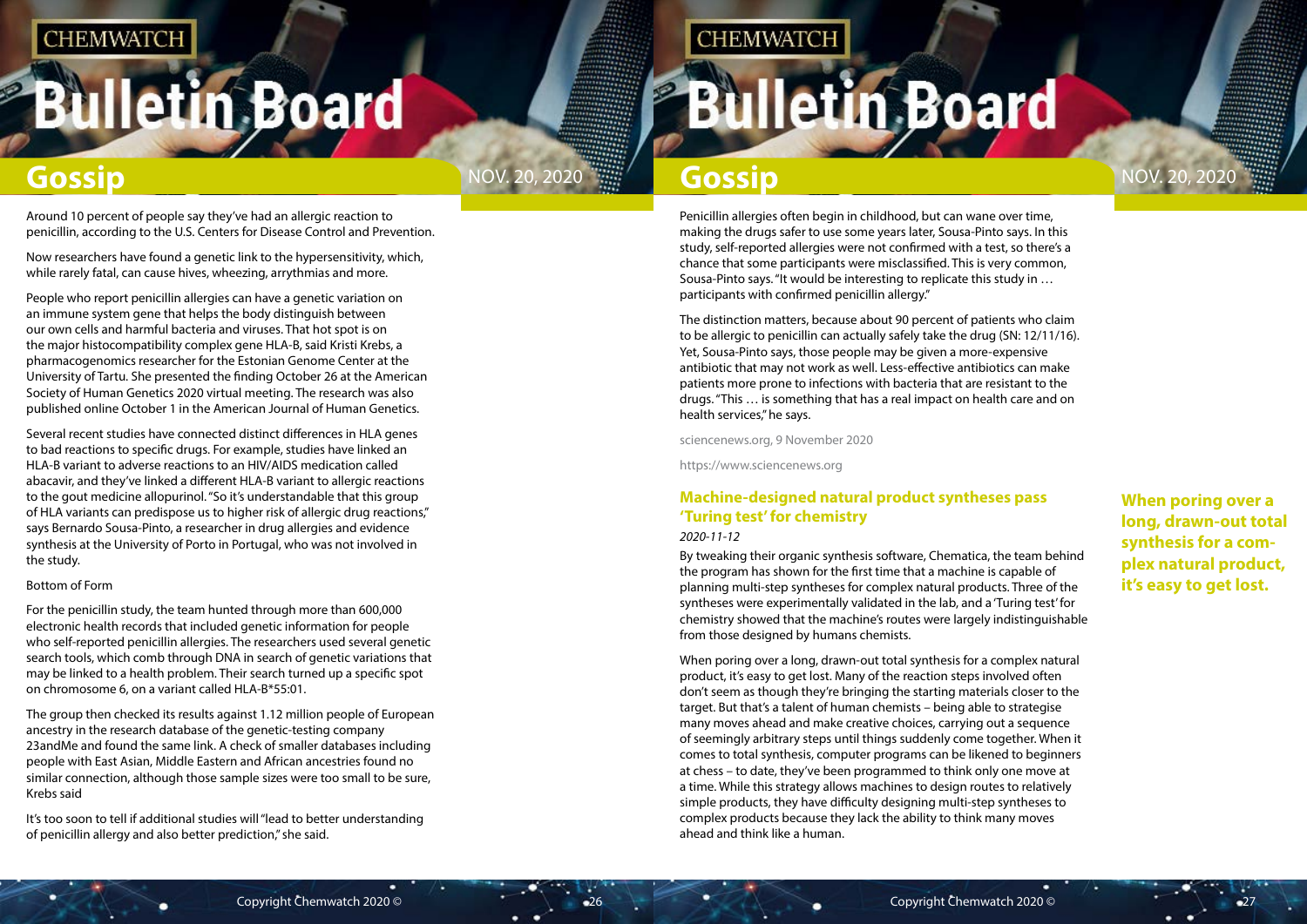# <span id="page-13-0"></span>**Bulletin Board**

**When poring over a long, drawn-out total synthesis for a complex natural product, it's easy to get lost.**

Around 10 percent of people say they've had an allergic reaction to penicillin, according to the U.S. Centers for Disease Control and Prevention.

Now researchers have found a genetic link to the hypersensitivity, which, while rarely fatal, can cause hives, wheezing, arrythmias and more.

People who report penicillin allergies can have a genetic variation on an immune system gene that helps the body distinguish between our own cells and harmful bacteria and viruses. That hot spot is on the major histocompatibility complex gene HLA-B, said Kristi Krebs, a pharmacogenomics researcher for the Estonian Genome Center at the University of Tartu. She presented the finding October 26 at the American Society of Human Genetics 2020 virtual meeting. The research was also published online October 1 in the American Journal of Human Genetics.

Several recent studies have connected distinct differences in HLA genes to bad reactions to specific drugs. For example, studies have linked an HLA-B variant to adverse reactions to an HIV/AIDS medication called abacavir, and they've linked a different HLA-B variant to allergic reactions to the gout medicine allopurinol. "So it's understandable that this group of HLA variants can predispose us to higher risk of allergic drug reactions," says Bernardo Sousa-Pinto, a researcher in drug allergies and evidence synthesis at the University of Porto in Portugal, who was not involved in the study.

#### Bottom of Form

For the penicillin study, the team hunted through more than 600,000 electronic health records that included genetic information for people who self-reported penicillin allergies. The researchers used several genetic search tools, which comb through DNA in search of genetic variations that may be linked to a health problem. Their search turned up a specific spot on chromosome 6, on a variant called HLA-B\*55:01.

The group then checked its results against 1.12 million people of European ancestry in the research database of the genetic-testing company 23andMe and found the same link. A check of smaller databases including people with East Asian, Middle Eastern and African ancestries found no similar connection, although those sample sizes were too small to be sure, Krebs said

It's too soon to tell if additional studies will "lead to better understanding of penicillin allergy and also better prediction," she said.

## **CHEMWATCH**

# **Illetin Board**

#### NOV. 20, 2020 **Nov. 20, 2020 Gossip Gossip Gossip Gossip**

Penicillin allergies often begin in childhood, but can wane over time, making the drugs safer to use some years later, Sousa-Pinto says. In this study, self-reported allergies were not confirmed with a test, so there's a chance that some participants were misclassified. This is very common, Sousa-Pinto says. "It would be interesting to replicate this study in … participants with confirmed penicillin allergy."

The distinction matters, because about 90 percent of patients who claim to be allergic to penicillin can actually safely take the drug (SN: 12/11/16). Yet, Sousa-Pinto says, those people may be given a more-expensive antibiotic that may not work as well. Less-effective antibiotics can make patients more prone to infections with bacteria that are resistant to the drugs. "This … is something that has a real impact on health care and on health services," he says.

sciencenews.org, 9 November 2020

https://www.sciencenews.org

### **Machine-designed natural product syntheses pass 'Turing test' for chemistry** *2020-11-12*

By tweaking their organic synthesis software, Chematica, the team behind the program has shown for the first time that a machine is capable of planning multi-step syntheses for complex natural products. Three of the syntheses were experimentally validated in the lab, and a 'Turing test' for chemistry showed that the machine's routes were largely indistinguishable from those designed by humans chemists.

When poring over a long, drawn-out total synthesis for a complex natural product, it's easy to get lost. Many of the reaction steps involved often don't seem as though they're bringing the starting materials closer to the target. But that's a talent of human chemists – being able to strategise many moves ahead and make creative choices, carrying out a sequence of seemingly arbitrary steps until things suddenly come together. When it comes to total synthesis, computer programs can be likened to beginners at chess – to date, they've been programmed to think only one move at a time. While this strategy allows machines to design routes to relatively simple products, they have difficulty designing multi-step syntheses to complex products because they lack the ability to think many moves ahead and think like a human.

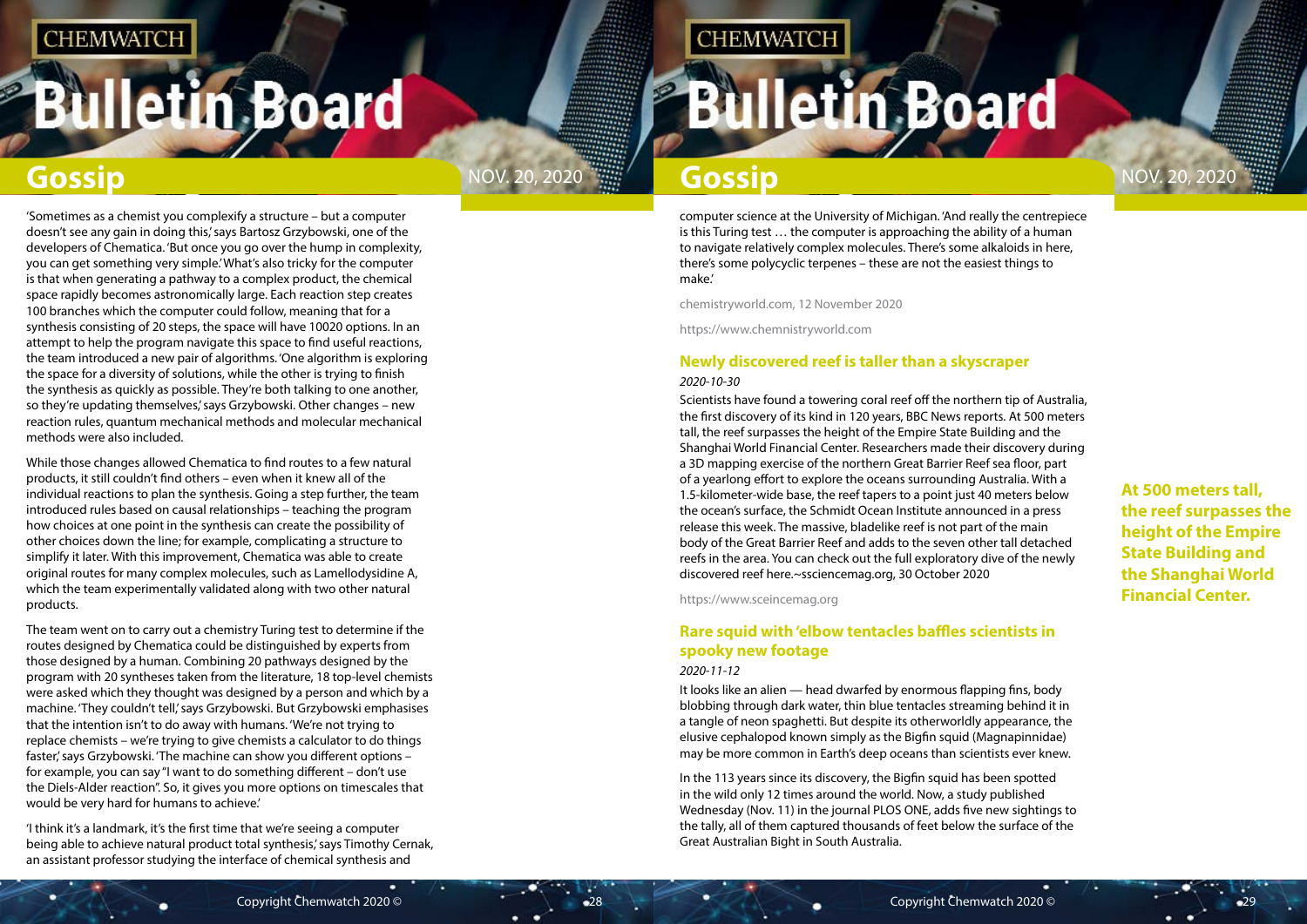# <span id="page-14-0"></span>**Bulletin Board**

**At 500 meters tall, the reef surpasses the height of the Empire State Building and the Shanghai World Financial Center.**

## **Gossip Gossip**

'Sometimes as a chemist you complexify a structure – but a computer doesn't see any gain in doing this,' says Bartosz Grzybowski, one of the developers of Chematica. 'But once you go over the hump in complexity, you can get something very simple.' What's also tricky for the computer is that when generating a pathway to a complex product, the chemical space rapidly becomes astronomically large. Each reaction step creates 100 branches which the computer could follow, meaning that for a synthesis consisting of 20 steps, the space will have 10020 options. In an attempt to help the program navigate this space to find useful reactions, the team introduced a new pair of algorithms. 'One algorithm is exploring the space for a diversity of solutions, while the other is trying to finish the synthesis as quickly as possible. They're both talking to one another, so they're updating themselves,' says Grzybowski. Other changes – new reaction rules, quantum mechanical methods and molecular mechanical methods were also included.

While those changes allowed Chematica to find routes to a few natural products, it still couldn't find others – even when it knew all of the individual reactions to plan the synthesis. Going a step further, the team introduced rules based on causal relationships – teaching the program how choices at one point in the synthesis can create the possibility of other choices down the line; for example, complicating a structure to simplify it later. With this improvement, Chematica was able to create original routes for many complex molecules, such as Lamellodysidine A, which the team experimentally validated along with two other natural products.

The team went on to carry out a chemistry Turing test to determine if the routes designed by Chematica could be distinguished by experts from those designed by a human. Combining 20 pathways designed by the program with 20 syntheses taken from the literature, 18 top-level chemists were asked which they thought was designed by a person and which by a machine. 'They couldn't tell,' says Grzybowski. But Grzybowski emphasises that the intention isn't to do away with humans. 'We're not trying to replace chemists – we're trying to give chemists a calculator to do things faster,' says Grzybowski. 'The machine can show you different options – for example, you can say "I want to do something different – don't use the Diels-Alder reaction". So, it gives you more options on timescales that would be very hard for humans to achieve.'

'I think it's a landmark, it's the first time that we're seeing a computer being able to achieve natural product total synthesis,' says Timothy Cernak, an assistant professor studying the interface of chemical synthesis and

## **CHEMWATCH**

# **Bulletin Board**

## NOV. 20, 2020 **August 2006 1999 12:30 COSSID** 2007 2007 2008 2009 2009 2009 2009 2009

computer science at the University of Michigan. 'And really the centrepiece is this Turing test … the computer is approaching the ability of a human to navigate relatively complex molecules. There's some alkaloids in here, there's some polycyclic terpenes – these are not the easiest things to make.'

chemistryworld.com, 12 November 2020

https://www.chemnistryworld.com

### **Newly discovered reef is taller than a skyscraper** *2020-10-30*

Scientists have found a towering coral reef off the northern tip of Australia, the first discovery of its kind in 120 years, BBC News reports. At 500 meters tall, the reef surpasses the height of the Empire State Building and the Shanghai World Financial Center. Researchers made their discovery during a 3D mapping exercise of the northern Great Barrier Reef sea floor, part of a yearlong effort to explore the oceans surrounding Australia. With a 1.5-kilometer-wide base, the reef tapers to a point just 40 meters below the ocean's surface, the Schmidt Ocean Institute announced in a press release this week. The massive, bladelike reef is not part of the main body of the Great Barrier Reef and adds to the seven other tall detached reefs in the area. You can check out the full exploratory dive of the newly discovered reef here.~ssciencemag.org, 30 October 2020

https://www.sceincemag.org

### **Rare squid with 'elbow tentacles baffles scientists in spooky new footage**

#### *2020-11-12*

It looks like an alien — head dwarfed by enormous flapping fins, body blobbing through dark water, thin blue tentacles streaming behind it in a tangle of neon spaghetti. But despite its otherworldly appearance, the elusive cephalopod known simply as the Bigfin squid (Magnapinnidae) may be more common in Earth's deep oceans than scientists ever knew.

In the 113 years since its discovery, the Bigfin squid has been spotted in the wild only 12 times around the world. Now, a study published Wednesday (Nov. 11) in the journal PLOS ONE, adds five new sightings to the tally, all of them captured thousands of feet below the surface of the Great Australian Bight in South Australia.

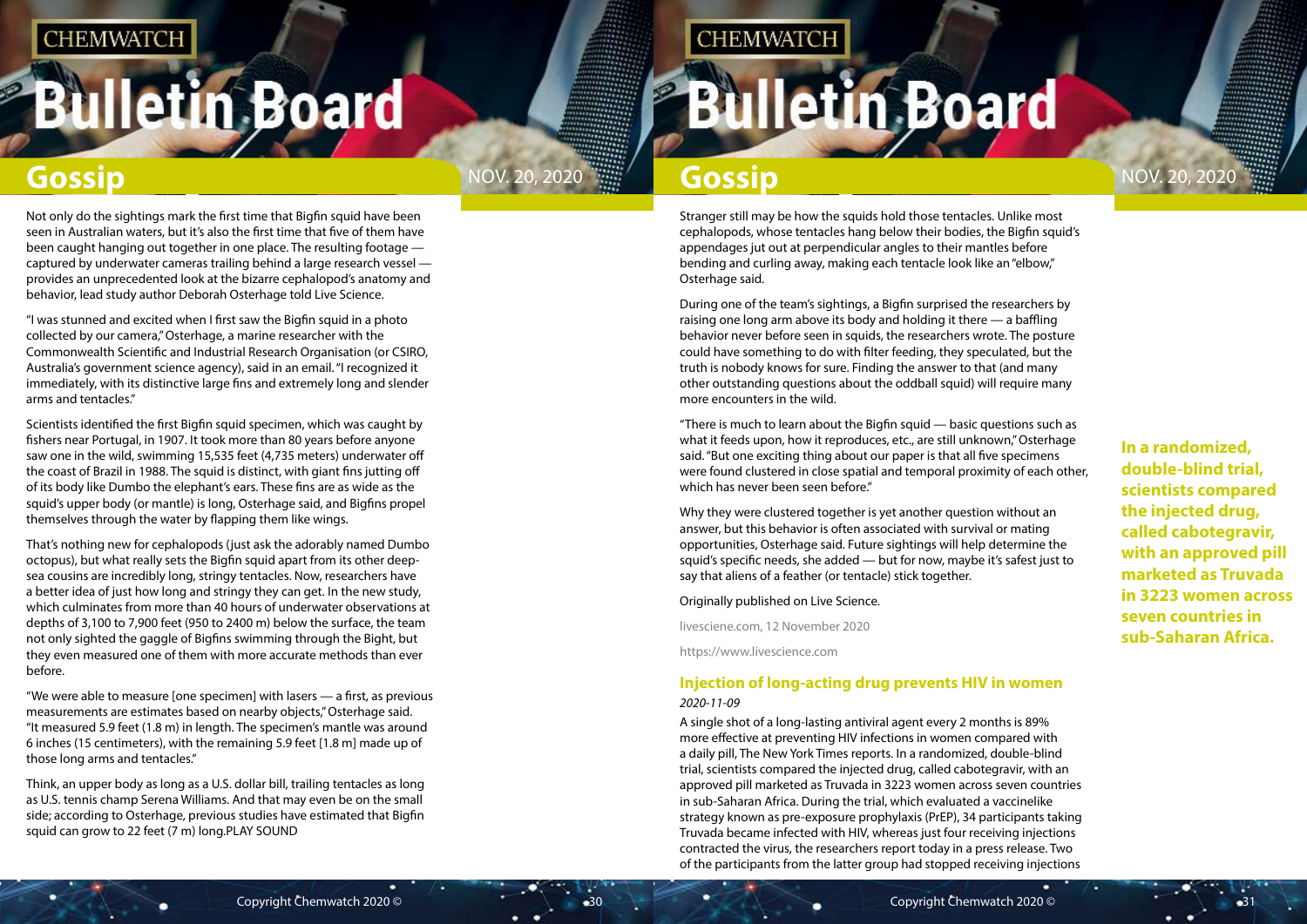# <span id="page-15-0"></span>**Bulletin Board**

**In a randomized, double-blind trial, scientists compared the injected drug, called cabotegravir, with an approved pill marketed as Truvada in 3223 women across seven countries in sub-Saharan Africa.**

## **Gossip Gossip**

Not only do the sightings mark the first time that Bigfin squid have been seen in Australian waters, but it's also the first time that five of them have been caught hanging out together in one place. The resulting footage captured by underwater cameras trailing behind a large research vessel provides an unprecedented look at the bizarre cephalopod's anatomy and behavior, lead study author Deborah Osterhage told Live Science.

"I was stunned and excited when I first saw the Bigfin squid in a photo collected by our camera," Osterhage, a marine researcher with the Commonwealth Scientific and Industrial Research Organisation (or CSIRO, Australia's government science agency), said in an email. "I recognized it immediately, with its distinctive large fins and extremely long and slender arms and tentacles."

Scientists identified the first Bigfin squid specimen, which was caught by fishers near Portugal, in 1907. It took more than 80 years before anyone saw one in the wild, swimming 15,535 feet (4,735 meters) underwater off the coast of Brazil in 1988. The squid is distinct, with giant fins jutting off of its body like Dumbo the elephant's ears. These fins are as wide as the squid's upper body (or mantle) is long, Osterhage said, and Bigfins propel themselves through the water by flapping them like wings.

That's nothing new for cephalopods (just ask the adorably named Dumbo octopus), but what really sets the Bigfin squid apart from its other deepsea cousins are incredibly long, stringy tentacles. Now, researchers have a better idea of just how long and stringy they can get. In the new study, which culminates from more than 40 hours of underwater observations at depths of 3,100 to 7,900 feet (950 to 2400 m) below the surface, the team not only sighted the gaggle of Bigfins swimming through the Bight, but they even measured one of them with more accurate methods than ever before.

"We were able to measure [one specimen] with lasers — a first, as previous measurements are estimates based on nearby objects," Osterhage said. "It measured 5.9 feet (1.8 m) in length. The specimen's mantle was around 6 inches (15 centimeters), with the remaining 5.9 feet [1.8 m] made up of those long arms and tentacles."

Think, an upper body as long as a U.S. dollar bill, trailing tentacles as long as U.S. tennis champ Serena Williams. And that may even be on the small side; according to Osterhage, previous studies have estimated that Bigfin squid can grow to 22 feet (7 m) long.PLAY SOUND

## **CHEMWATCH**

# **Bulletin Board**

## NOV. 20, 2020 **Nov. 20, 2020**

Stranger still may be how the squids hold those tentacles. Unlike most cephalopods, whose tentacles hang below their bodies, the Bigfin squid's appendages jut out at perpendicular angles to their mantles before bending and curling away, making each tentacle look like an "elbow," Osterhage said.

During one of the team's sightings, a Bigfin surprised the researchers by raising one long arm above its body and holding it there — a baffling behavior never before seen in squids, the researchers wrote. The posture could have something to do with filter feeding, they speculated, but the truth is nobody knows for sure. Finding the answer to that (and many other outstanding questions about the oddball squid) will require many more encounters in the wild.

"There is much to learn about the Bigfin squid — basic questions such as what it feeds upon, how it reproduces, etc., are still unknown," Osterhage said. "But one exciting thing about our paper is that all five specimens were found clustered in close spatial and temporal proximity of each other, which has never been seen before."

Why they were clustered together is yet another question without an answer, but this behavior is often associated with survival or mating opportunities, Osterhage said. Future sightings will help determine the squid's specific needs, she added — but for now, maybe it's safest just to say that aliens of a feather (or tentacle) stick together.

Originally published on Live Science.

livesciene.com, 12 November 2020

https://www.livescience.com

## **Injection of long-acting drug prevents HIV in women**

#### *2020-11-09*

A single shot of a long-lasting antiviral agent every 2 months is 89% more effective at preventing HIV infections in women compared with a daily pill, The New York Times reports. In a randomized, double-blind trial, scientists compared the injected drug, called cabotegravir, with an approved pill marketed as Truvada in 3223 women across seven countries in sub-Saharan Africa. During the trial, which evaluated a vaccinelike strategy known as pre-exposure prophylaxis (PrEP), 34 participants taking Truvada became infected with HIV, whereas just four receiving injections contracted the virus, the researchers report today in a press release. Two of the participants from the latter group had stopped receiving injections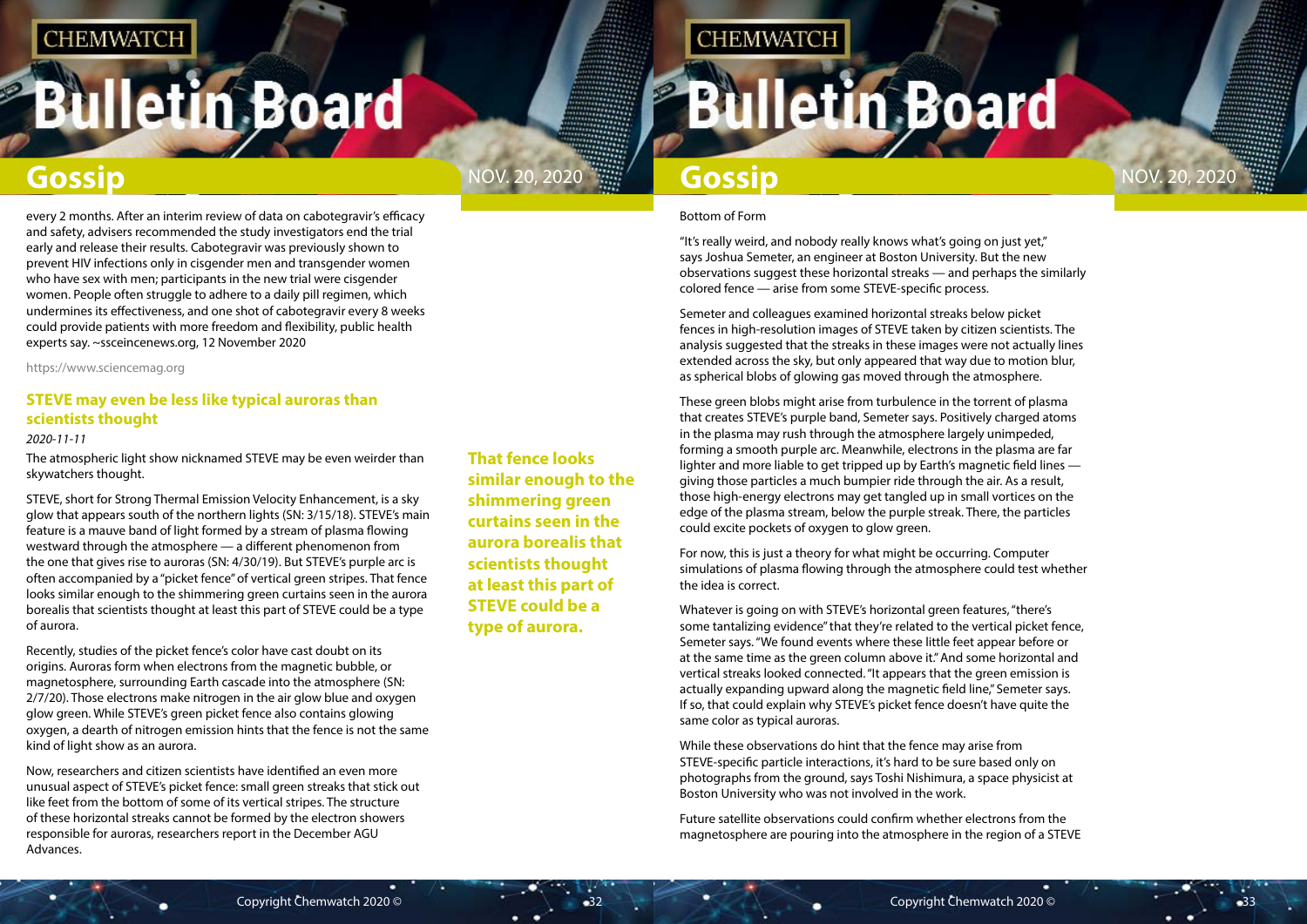# <span id="page-16-0"></span>**Bulletin Board**

NOV. 20, 2020 **Nov. 20, 2020 Gossip Gossip Gossip Gossip** 

**That fence looks** 

**similar enough to the** 

**shimmering green curtains seen in the aurora borealis that** 

**scientists thought at least this part of** 

**STEVE could be a** 

**type of aurora.**

every 2 months. After an interim review of data on cabotegravir's efficacy and safety, advisers recommended the study investigators end the trial early and release their results. Cabotegravir was previously shown to prevent HIV infections only in cisgender men and transgender women who have sex with men; participants in the new trial were cisgender women. People often struggle to adhere to a daily pill regimen, which undermines its effectiveness, and one shot of cabotegravir every 8 weeks could provide patients with more freedom and flexibility, public health experts say. ~ssceincenews.org, 12 November 2020

https://www.sciencemag.org

### **STEVE may even be less like typical auroras than scientists thought**

#### *2020-11-11*

The atmospheric light show nicknamed STEVE may be even weirder than skywatchers thought.

STEVE, short for Strong Thermal Emission Velocity Enhancement, is a sky glow that appears south of the northern lights (SN: 3/15/18). STEVE's main feature is a mauve band of light formed by a stream of plasma flowing westward through the atmosphere — a different phenomenon from the one that gives rise to auroras (SN: 4/30/19). But STEVE's purple arc is often accompanied by a "picket fence" of vertical green stripes. That fence looks similar enough to the shimmering green curtains seen in the aurora borealis that scientists thought at least this part of STEVE could be a type of aurora.

Recently, studies of the picket fence's color have cast doubt on its origins. Auroras form when electrons from the magnetic bubble, or magnetosphere, surrounding Earth cascade into the atmosphere (SN: 2/7/20). Those electrons make nitrogen in the air glow blue and oxygen glow green. While STEVE's green picket fence also contains glowing oxygen, a dearth of nitrogen emission hints that the fence is not the same kind of light show as an aurora.

Now, researchers and citizen scientists have identified an even more unusual aspect of STEVE's picket fence: small green streaks that stick out like feet from the bottom of some of its vertical stripes. The structure of these horizontal streaks cannot be formed by the electron showers responsible for auroras, researchers report in the December AGU Advances.

**CHEMWATCH** 

#### Bottom of Form

"It's really weird, and nobody really knows what's going on just yet," says Joshua Semeter, an engineer at Boston University. But the new observations suggest these horizontal streaks — and perhaps the similarly colored fence — arise from some STEVE-specific process.

Semeter and colleagues examined horizontal streaks below picket fences in high-resolution images of STEVE taken by citizen scientists. The analysis suggested that the streaks in these images were not actually lines extended across the sky, but only appeared that way due to motion blur, as spherical blobs of glowing gas moved through the atmosphere.

These green blobs might arise from turbulence in the torrent of plasma that creates STEVE's purple band, Semeter says. Positively charged atoms in the plasma may rush through the atmosphere largely unimpeded, forming a smooth purple arc. Meanwhile, electrons in the plasma are far lighter and more liable to get tripped up by Earth's magnetic field lines giving those particles a much bumpier ride through the air. As a result, those high-energy electrons may get tangled up in small vortices on the edge of the plasma stream, below the purple streak. There, the particles could excite pockets of oxygen to glow green.

For now, this is just a theory for what might be occurring. Computer simulations of plasma flowing through the atmosphere could test whether the idea is correct.

Whatever is going on with STEVE's horizontal green features, "there's some tantalizing evidence" that they're related to the vertical picket fence, Semeter says. "We found events where these little feet appear before or at the same time as the green column above it." And some horizontal and vertical streaks looked connected. "It appears that the green emission is actually expanding upward along the magnetic field line," Semeter says. If so, that could explain why STEVE's picket fence doesn't have quite the same color as typical auroras.

While these observations do hint that the fence may arise from STEVE-specific particle interactions, it's hard to be sure based only on photographs from the ground, says Toshi Nishimura, a space physicist at Boston University who was not involved in the work.

Future satellite observations could confirm whether electrons from the magnetosphere are pouring into the atmosphere in the region of a STEVE

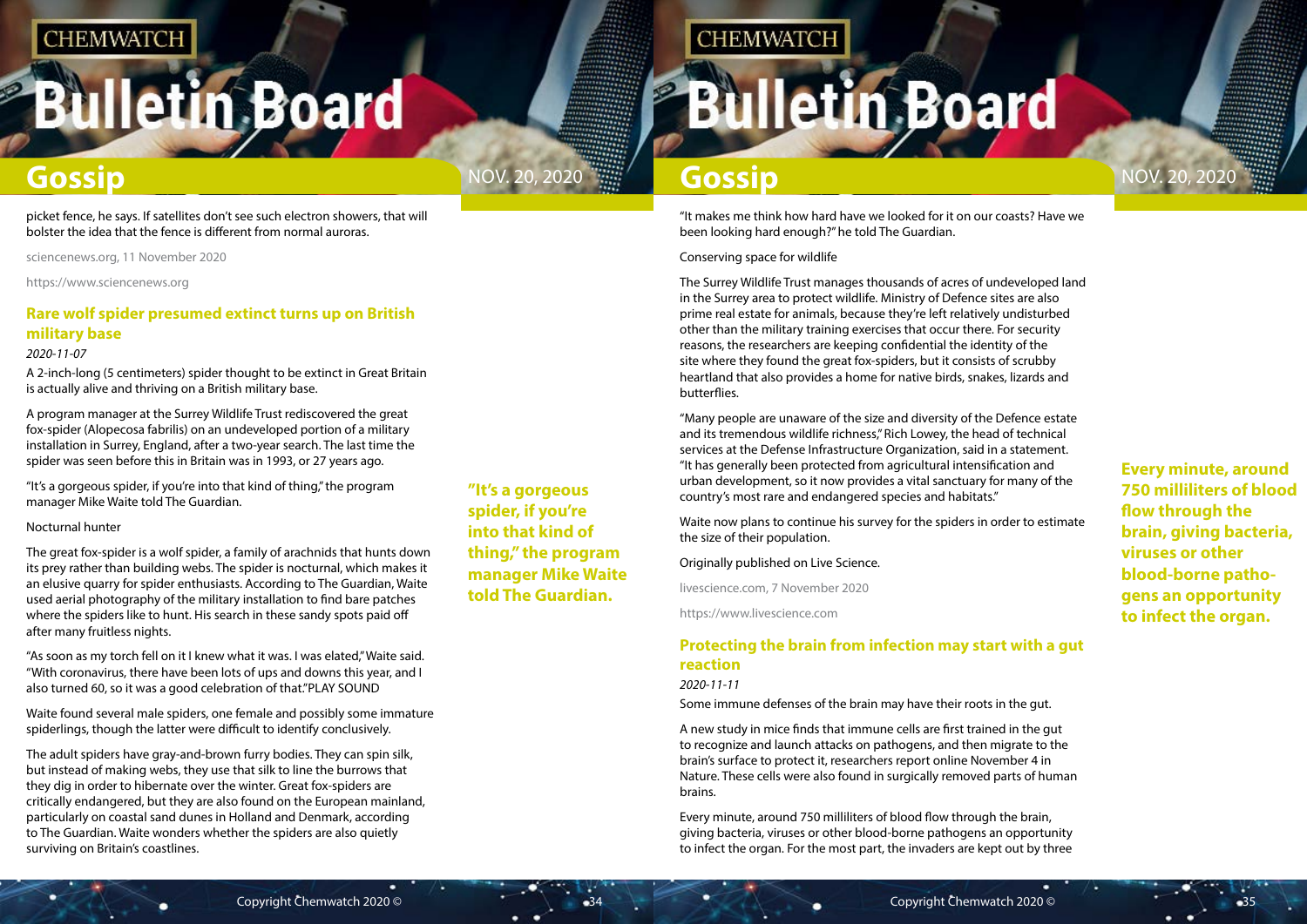# <span id="page-17-0"></span>**Bulletin Board**



### **"It's a gorgeous spider, if you're into that kind of thing," the program manager Mike Waite told The Guardian.**

## **CHEMWATCH**

## **Illetin Board**

## **Gossip Gossip Gossip Gossip**

**Every minute, around 750 milliliters of blood flow through the brain, giving bacteria, viruses or other blood-borne pathogens an opportunity to infect the organ.**

picket fence, he says. If satellites don't see such electron showers, that will bolster the idea that the fence is different from normal auroras.

sciencenews.org, 11 November 2020

https://www.sciencenews.org

#### **Rare wolf spider presumed extinct turns up on British military base**

#### *2020-11-07*

A 2-inch-long (5 centimeters) spider thought to be extinct in Great Britain is actually alive and thriving on a British military base.

A program manager at the Surrey Wildlife Trust rediscovered the great fox-spider (Alopecosa fabrilis) on an undeveloped portion of a military installation in Surrey, England, after a two-year search. The last time the spider was seen before this in Britain was in 1993, or 27 years ago.

"It's a gorgeous spider, if you're into that kind of thing," the program manager Mike Waite told The Guardian.

#### Nocturnal hunter

The adult spiders have gray-and-brown furry bodies. They can spin silk, but instead of making webs, they use that silk to line the burrows that they dig in order to hibernate over the winter. Great fox-spiders are critically endangered, but they are also found on the European mainland, particularly on coastal sand dunes in Holland and Denmark, according to The Guardian. Waite wonders whether the spiders are also quietly surviving on Britain's coastlines.

The great fox-spider is a wolf spider, a family of arachnids that hunts down its prey rather than building webs. The spider is nocturnal, which makes it an elusive quarry for spider enthusiasts. According to The Guardian, Waite used aerial photography of the military installation to find bare patches where the spiders like to hunt. His search in these sandy spots paid off after many fruitless nights.

"As soon as my torch fell on it I knew what it was. I was elated," Waite said. "With coronavirus, there have been lots of ups and downs this year, and I also turned 60, so it was a good celebration of that."PLAY SOUND

Waite found several male spiders, one female and possibly some immature spiderlings, though the latter were difficult to identify conclusively.

"It makes me think how hard have we looked for it on our coasts? Have we been looking hard enough?" he told The Guardian.

Conserving space for wildlife

The Surrey Wildlife Trust manages thousands of acres of undeveloped land in the Surrey area to protect wildlife. Ministry of Defence sites are also prime real estate for animals, because they're left relatively undisturbed other than the military training exercises that occur there. For security reasons, the researchers are keeping confidential the identity of the site where they found the great fox-spiders, but it consists of scrubby heartland that also provides a home for native birds, snakes, lizards and butterflies.

"Many people are unaware of the size and diversity of the Defence estate and its tremendous wildlife richness," Rich Lowey, the head of technical services at the Defense Infrastructure Organization, said in a statement. "It has generally been protected from agricultural intensification and urban development, so it now provides a vital sanctuary for many of the country's most rare and endangered species and habitats."

Waite now plans to continue his survey for the spiders in order to estimate the size of their population.

#### Originally published on Live Science.

livescience.com, 7 November 2020

https://www.livescience.com

### **Protecting the brain from infection may start with a gut reaction**

#### *2020-11-11*

Some immune defenses of the brain may have their roots in the gut.

A new study in mice finds that immune cells are first trained in the gut to recognize and launch attacks on pathogens, and then migrate to the brain's surface to protect it, researchers report online November 4 in Nature. These cells were also found in surgically removed parts of human brains.

Every minute, around 750 milliliters of blood flow through the brain, giving bacteria, viruses or other blood-borne pathogens an opportunity to infect the organ. For the most part, the invaders are kept out by three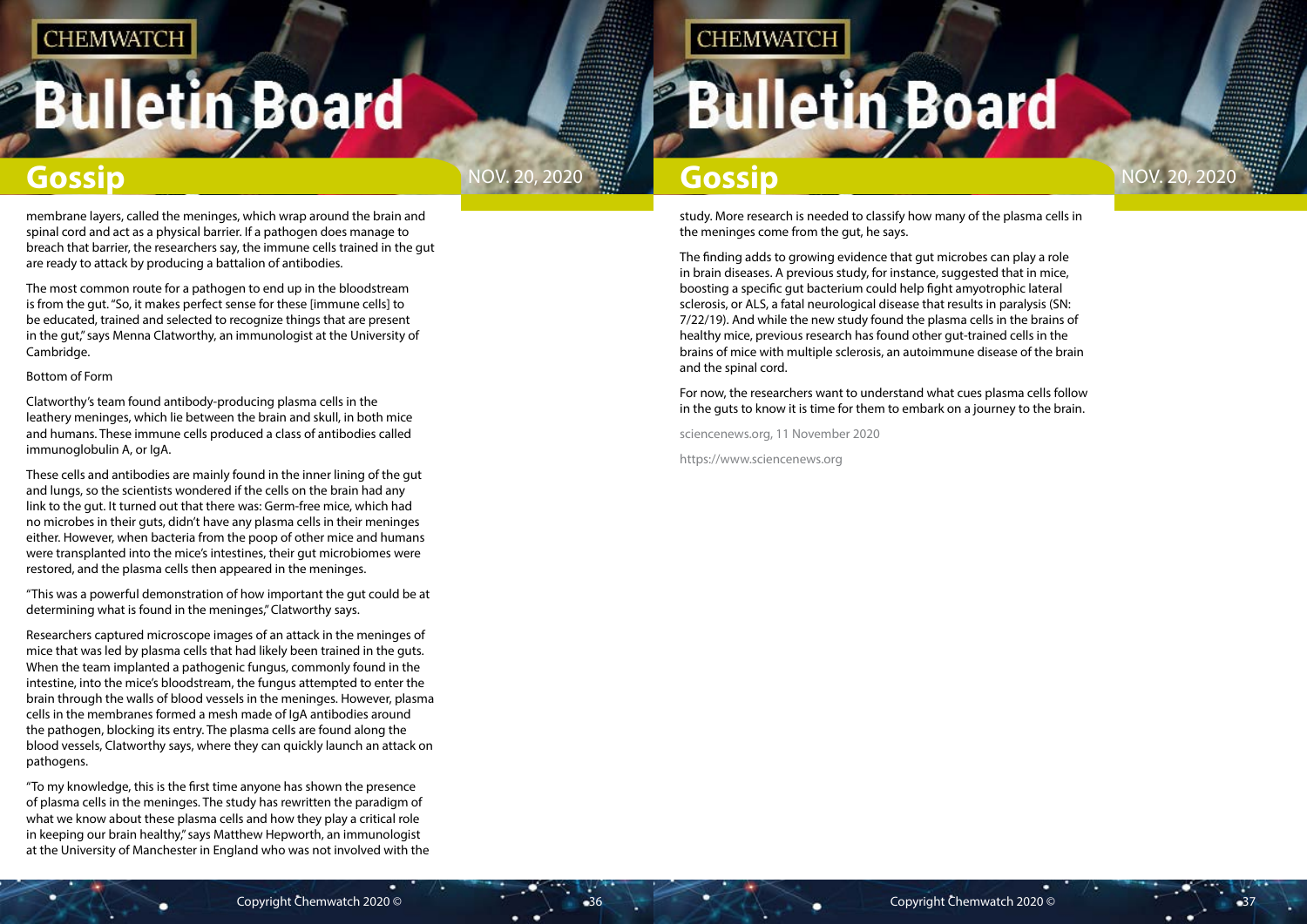# **Iletin Board**





membrane layers, called the meninges, which wrap around the brain and spinal cord and act as a physical barrier. If a pathogen does manage to breach that barrier, the researchers say, the immune cells trained in the gut are ready to attack by producing a battalion of antibodies.

The most common route for a pathogen to end up in the bloodstream is from the gut. "So, it makes perfect sense for these [immune cells] to be educated, trained and selected to recognize things that are present in the gut," says Menna Clatworthy, an immunologist at the University of Cambridge.

#### Bottom of Form

Clatworthy's team found antibody-producing plasma cells in the leathery meninges, which lie between the brain and skull, in both mice and humans. These immune cells produced a class of antibodies called immunoglobulin A, or IgA.

These cells and antibodies are mainly found in the inner lining of the gut and lungs, so the scientists wondered if the cells on the brain had any link to the gut. It turned out that there was: Germ-free mice, which had no microbes in their guts, didn't have any plasma cells in their meninges either. However, when bacteria from the poop of other mice and humans were transplanted into the mice's intestines, their gut microbiomes were restored, and the plasma cells then appeared in the meninges.

"This was a powerful demonstration of how important the gut could be at determining what is found in the meninges," Clatworthy says.

Researchers captured microscope images of an attack in the meninges of mice that was led by plasma cells that had likely been trained in the guts. When the team implanted a pathogenic fungus, commonly found in the intestine, into the mice's bloodstream, the fungus attempted to enter the brain through the walls of blood vessels in the meninges. However, plasma cells in the membranes formed a mesh made of IgA antibodies around the pathogen, blocking its entry. The plasma cells are found along the blood vessels, Clatworthy says, where they can quickly launch an attack on pathogens.

"To my knowledge, this is the first time anyone has shown the presence of plasma cells in the meninges. The study has rewritten the paradigm of what we know about these plasma cells and how they play a critical role in keeping our brain healthy," says Matthew Hepworth, an immunologist at the University of Manchester in England who was not involved with the

## **CHEMWATCH**

## **lletin Board**

study. More research is needed to classify how many of the plasma cells in the meninges come from the gut, he says.

The finding adds to growing evidence that gut microbes can play a role in brain diseases. A previous study, for instance, suggested that in mice, boosting a specific gut bacterium could help fight amyotrophic lateral sclerosis, or ALS, a fatal neurological disease that results in paralysis (SN: 7/22/19). And while the new study found the plasma cells in the brains of healthy mice, previous research has found other gut-trained cells in the brains of mice with multiple sclerosis, an autoimmune disease of the brain and the spinal cord.

For now, the researchers want to understand what cues plasma cells follow in the guts to know it is time for them to embark on a journey to the brain.

sciencenews.org, 11 November 2020

https://www.sciencenews.org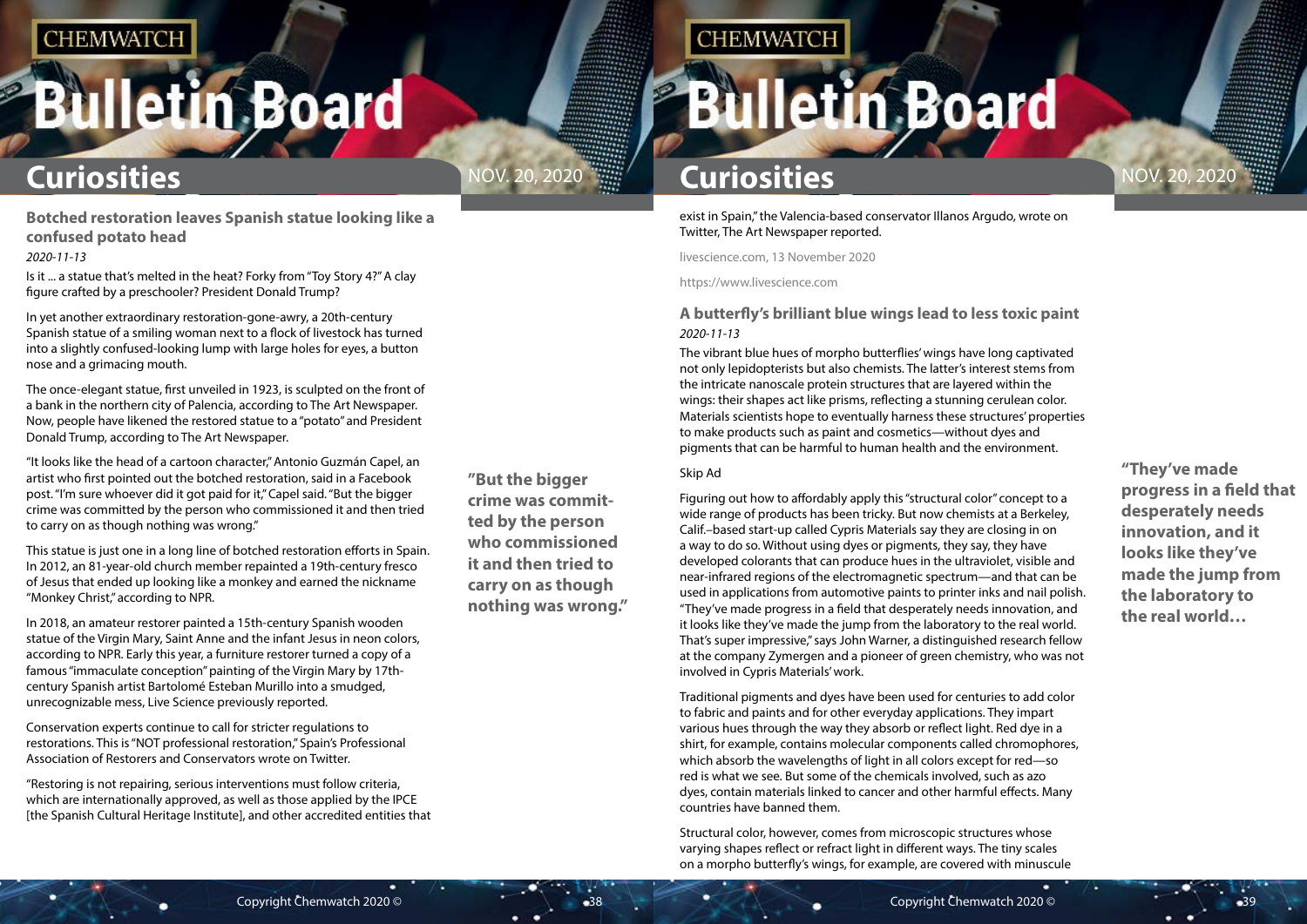# <span id="page-19-0"></span>**Bulletin Board**

### **"But the bigger crime was committed by the person who commissioned it and then tried to carry on as though nothing was wrong."**

**CHEMWATCH** 



**"They've made progress in a field that desperately needs innovation, and it looks like they've made the jump from the laboratory to the real world…**

**Botched restoration leaves Spanish statue looking like a confused potato head**

#### *2020-11-13*

Is it ... a statue that's melted in the heat? Forky from "Toy Story 4?" A clay figure crafted by a preschooler? President Donald Trump?

In yet another extraordinary restoration-gone-awry, a 20th-century Spanish statue of a smiling woman next to a flock of livestock has turned into a slightly confused-looking lump with large holes for eyes, a button nose and a grimacing mouth.

The once-elegant statue, first unveiled in 1923, is sculpted on the front of a bank in the northern city of Palencia, according to The Art Newspaper. Now, people have likened the restored statue to a "potato" and President Donald Trump, according to The Art Newspaper.

"It looks like the head of a cartoon character," Antonio Guzmán Capel, an artist who first pointed out the botched restoration, said in a Facebook post. "I'm sure whoever did it got paid for it," Capel said. "But the bigger crime was committed by the person who commissioned it and then tried to carry on as though nothing was wrong."

This statue is just one in a long line of botched restoration efforts in Spain. In 2012, an 81-year-old church member repainted a 19th-century fresco of Jesus that ended up looking like a monkey and earned the nickname "Monkey Christ," according to NPR.

In 2018, an amateur restorer painted a 15th-century Spanish wooden statue of the Virgin Mary, Saint Anne and the infant Jesus in neon colors, according to NPR. Early this year, a furniture restorer turned a copy of a famous "immaculate conception" painting of the Virgin Mary by 17thcentury Spanish artist Bartolomé Esteban Murillo into a smudged, unrecognizable mess, Live Science previously reported.

Conservation experts continue to call for stricter regulations to restorations. This is "NOT professional restoration," Spain's Professional Association of Restorers and Conservators wrote on Twitter.

"Restoring is not repairing, serious interventions must follow criteria, which are internationally approved, as well as those applied by the IPCE [the Spanish Cultural Heritage Institute], and other accredited entities that

## **Curiosities**

exist in Spain," the Valencia-based conservator Illanos Argudo, wrote on Twitter, The Art Newspaper reported.

livescience.com, 13 November 2020

https://www.livescience.com

### **A butterfly's brilliant blue wings lead to less toxic paint** *2020-11-13*

The vibrant blue hues of morpho butterflies' wings have long captivated not only lepidopterists but also chemists. The latter's interest stems from the intricate nanoscale protein structures that are layered within the wings: their shapes act like prisms, reflecting a stunning cerulean color. Materials scientists hope to eventually harness these structures' properties to make products such as paint and cosmetics—without dyes and pigments that can be harmful to human health and the environment.

Skip Ad

Figuring out how to affordably apply this "structural color" concept to a wide range of products has been tricky. But now chemists at a Berkeley, Calif.–based start-up called Cypris Materials say they are closing in on a way to do so. Without using dyes or pigments, they say, they have developed colorants that can produce hues in the ultraviolet, visible and near-infrared regions of the electromagnetic spectrum—and that can be used in applications from automotive paints to printer inks and nail polish. "They've made progress in a field that desperately needs innovation, and it looks like they've made the jump from the laboratory to the real world. That's super impressive," says John Warner, a distinguished research fellow at the company Zymergen and a pioneer of green chemistry, who was not involved in Cypris Materials' work.

Traditional pigments and dyes have been used for centuries to add color to fabric and paints and for other everyday applications. They impart various hues through the way they absorb or reflect light. Red dye in a shirt, for example, contains molecular components called chromophores, which absorb the wavelengths of light in all colors except for red—so red is what we see. But some of the chemicals involved, such as azo dyes, contain materials linked to cancer and other harmful effects. Many countries have banned them.

Structural color, however, comes from microscopic structures whose varying shapes reflect or refract light in different ways. The tiny scales on a morpho butterfly's wings, for example, are covered with minuscule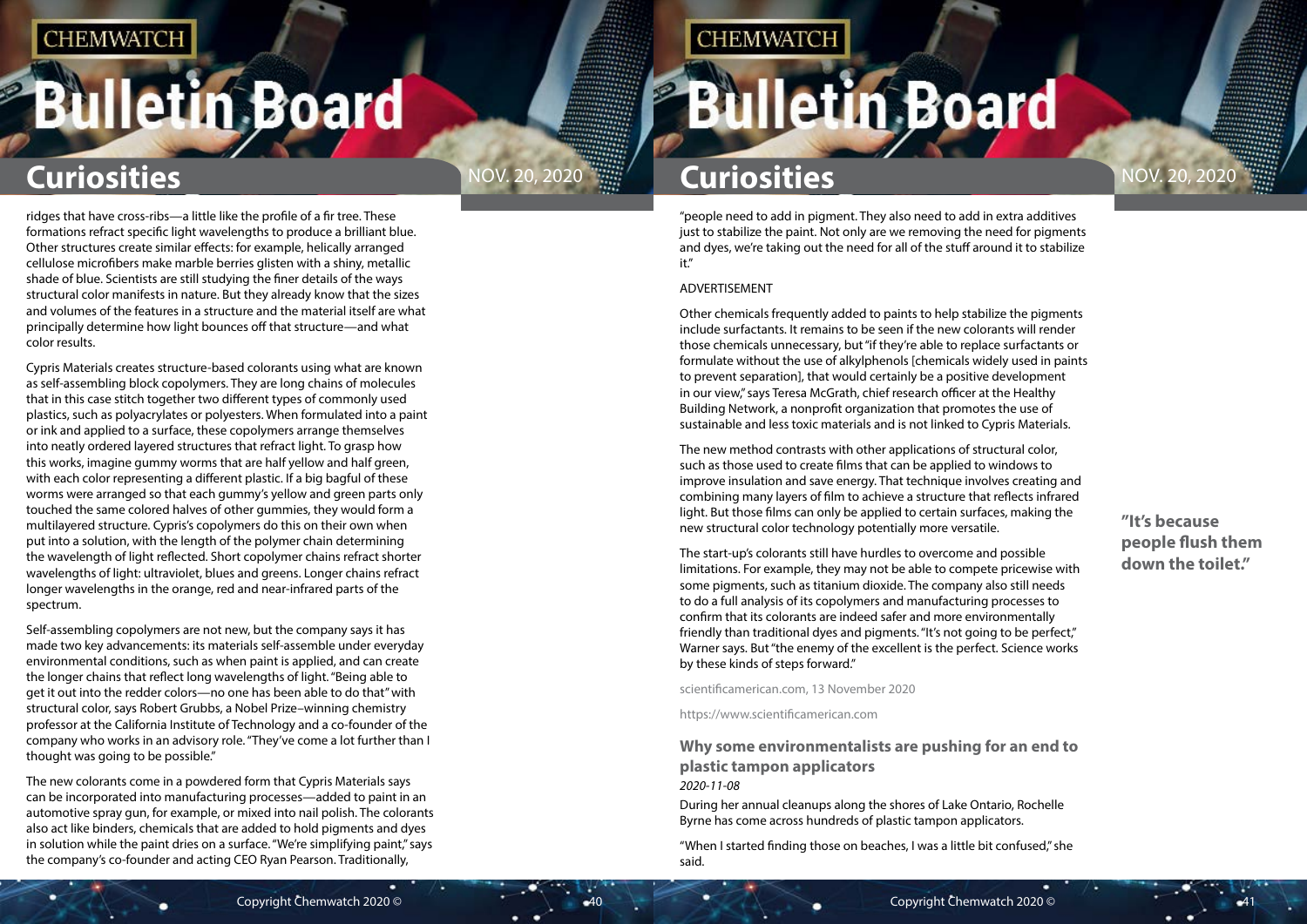# <span id="page-20-0"></span>**Bulletin Board**

**"It's because people flush them down the toilet."**

## **Curiosities Curiosities**

ridges that have cross-ribs—a little like the profile of a fir tree. These formations refract specific light wavelengths to produce a brilliant blue. Other structures create similar effects: for example, helically arranged cellulose microfibers make marble berries glisten with a shiny, metallic shade of blue. Scientists are still studying the finer details of the ways structural color manifests in nature. But they already know that the sizes and volumes of the features in a structure and the material itself are what principally determine how light bounces off that structure—and what color results.

Cypris Materials creates structure-based colorants using what are known as self-assembling block copolymers. They are long chains of molecules that in this case stitch together two different types of commonly used plastics, such as polyacrylates or polyesters. When formulated into a paint or ink and applied to a surface, these copolymers arrange themselves into neatly ordered layered structures that refract light. To grasp how this works, imagine gummy worms that are half yellow and half green, with each color representing a different plastic. If a big bagful of these worms were arranged so that each gummy's yellow and green parts only touched the same colored halves of other gummies, they would form a multilayered structure. Cypris's copolymers do this on their own when put into a solution, with the length of the polymer chain determining the wavelength of light reflected. Short copolymer chains refract shorter wavelengths of light: ultraviolet, blues and greens. Longer chains refract longer wavelengths in the orange, red and near-infrared parts of the spectrum.

Self-assembling copolymers are not new, but the company says it has made two key advancements: its materials self-assemble under everyday environmental conditions, such as when paint is applied, and can create the longer chains that reflect long wavelengths of light. "Being able to get it out into the redder colors—no one has been able to do that" with structural color, says Robert Grubbs, a Nobel Prize–winning chemistry professor at the California Institute of Technology and a co-founder of the company who works in an advisory role. "They've come a lot further than I thought was going to be possible."

The new colorants come in a powdered form that Cypris Materials says can be incorporated into manufacturing processes—added to paint in an automotive spray gun, for example, or mixed into nail polish. The colorants also act like binders, chemicals that are added to hold pigments and dyes in solution while the paint dries on a surface. "We're simplifying paint," says the company's co-founder and acting CEO Ryan Pearson. Traditionally,

## **CHEMWATCH**

# **Bulletin Board**

## NOV. 20, 2020 **Nov. 20, 2020**

"people need to add in pigment. They also need to add in extra additives just to stabilize the paint. Not only are we removing the need for pigments and dyes, we're taking out the need for all of the stuff around it to stabilize it."

#### ADVERTISEMENT

Other chemicals frequently added to paints to help stabilize the pigments include surfactants. It remains to be seen if the new colorants will render those chemicals unnecessary, but "if they're able to replace surfactants or formulate without the use of alkylphenols [chemicals widely used in paints to prevent separation], that would certainly be a positive development in our view," says Teresa McGrath, chief research officer at the Healthy Building Network, a nonprofit organization that promotes the use of sustainable and less toxic materials and is not linked to Cypris Materials.

The new method contrasts with other applications of structural color, such as those used to create films that can be applied to windows to improve insulation and save energy. That technique involves creating and combining many layers of film to achieve a structure that reflects infrared light. But those films can only be applied to certain surfaces, making the new structural color technology potentially more versatile.

The start-up's colorants still have hurdles to overcome and possible limitations. For example, they may not be able to compete pricewise with some pigments, such as titanium dioxide. The company also still needs to do a full analysis of its copolymers and manufacturing processes to confirm that its colorants are indeed safer and more environmentally friendly than traditional dyes and pigments. "It's not going to be perfect," Warner says. But "the enemy of the excellent is the perfect. Science works by these kinds of steps forward."

scientificamerican.com, 13 November 2020

https://www.scientificamerican.com

### **Why some environmentalists are pushing for an end to plastic tampon applicators** *2020-11-08*

During her annual cleanups along the shores of Lake Ontario, Rochelle Byrne has come across hundreds of plastic tampon applicators.

"When I started finding those on beaches, I was a little bit confused," she said.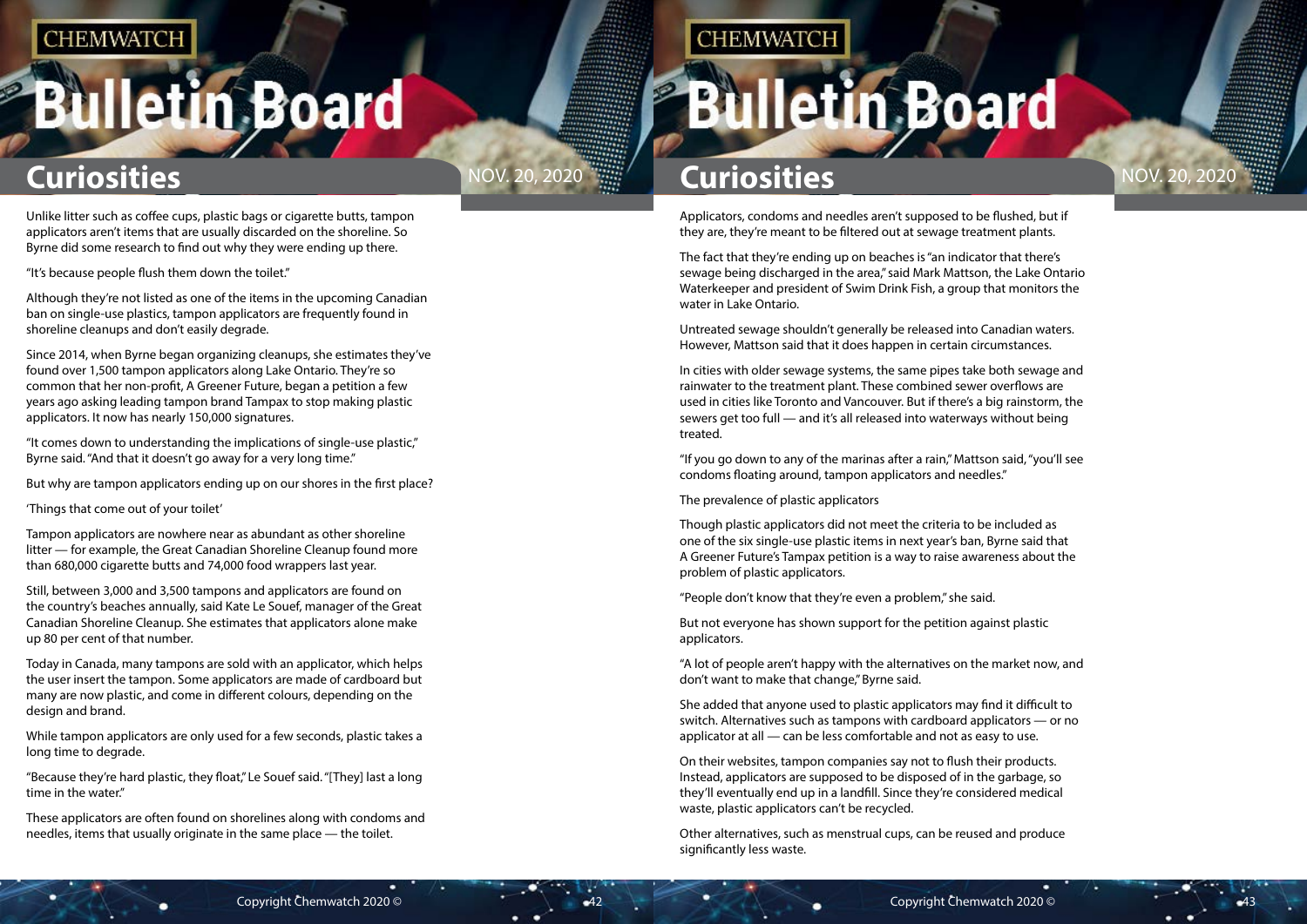# **Bulletin Board**

## **Curiosities** Nov. 20, 2020 **Curiosities** Nov. 20, 2020

Unlike litter such as coffee cups, plastic bags or cigarette butts, tampon applicators aren't items that are usually discarded on the shoreline. So Byrne did some research to find out why they were ending up there.

"It's because people flush them down the toilet."

Although they're not listed as one of the items in the upcoming Canadian ban on single-use plastics, tampon applicators are frequently found in shoreline cleanups and don't easily degrade.

Since 2014, when Byrne began organizing cleanups, she estimates they've found over 1,500 tampon applicators along Lake Ontario. They're so common that her non-profit, A Greener Future, began a petition a few years ago asking leading tampon brand Tampax to stop making plastic applicators. It now has nearly 150,000 signatures.

"It comes down to understanding the implications of single-use plastic," Byrne said. "And that it doesn't go away for a very long time."

But why are tampon applicators ending up on our shores in the first place?

'Things that come out of your toilet'

Tampon applicators are nowhere near as abundant as other shoreline litter — for example, the Great Canadian Shoreline Cleanup found more than 680,000 cigarette butts and 74,000 food wrappers last year.

Still, between 3,000 and 3,500 tampons and applicators are found on the country's beaches annually, said Kate Le Souef, manager of the Great Canadian Shoreline Cleanup. She estimates that applicators alone make up 80 per cent of that number.

Today in Canada, many tampons are sold with an applicator, which helps the user insert the tampon. Some applicators are made of cardboard but many are now plastic, and come in different colours, depending on the design and brand.

While tampon applicators are only used for a few seconds, plastic takes a long time to degrade.

"Because they're hard plastic, they float," Le Souef said. "[They] last a long time in the water."

These applicators are often found on shorelines along with condoms and needles, items that usually originate in the same place — the toilet.

## **CHEMWATCH**

# **Iletin Board**

Applicators, condoms and needles aren't supposed to be flushed, but if they are, they're meant to be filtered out at sewage treatment plants.

The fact that they're ending up on beaches is "an indicator that there's sewage being discharged in the area," said Mark Mattson, the Lake Ontario Waterkeeper and president of Swim Drink Fish, a group that monitors the water in Lake Ontario.

Untreated sewage shouldn't generally be released into Canadian waters. However, Mattson said that it does happen in certain circumstances.

In cities with older sewage systems, the same pipes take both sewage and rainwater to the treatment plant. These combined sewer overflows are used in cities like Toronto and Vancouver. But if there's a big rainstorm, the sewers get too full — and it's all released into waterways without being treated.

"If you go down to any of the marinas after a rain," Mattson said, "you'll see condoms floating around, tampon applicators and needles."

The prevalence of plastic applicators

Though plastic applicators did not meet the criteria to be included as one of the six single-use plastic items in next year's ban, Byrne said that A Greener Future's Tampax petition is a way to raise awareness about the problem of plastic applicators.

"People don't know that they're even a problem," she said.

But not everyone has shown support for the petition against plastic applicators.

"A lot of people aren't happy with the alternatives on the market now, and don't want to make that change," Byrne said.

She added that anyone used to plastic applicators may find it difficult to switch. Alternatives such as tampons with cardboard applicators — or no applicator at all — can be less comfortable and not as easy to use.

On their websites, tampon companies say not to flush their products. Instead, applicators are supposed to be disposed of in the garbage, so they'll eventually end up in a landfill. Since they're considered medical waste, plastic applicators can't be recycled.

Other alternatives, such as menstrual cups, can be reused and produce significantly less waste.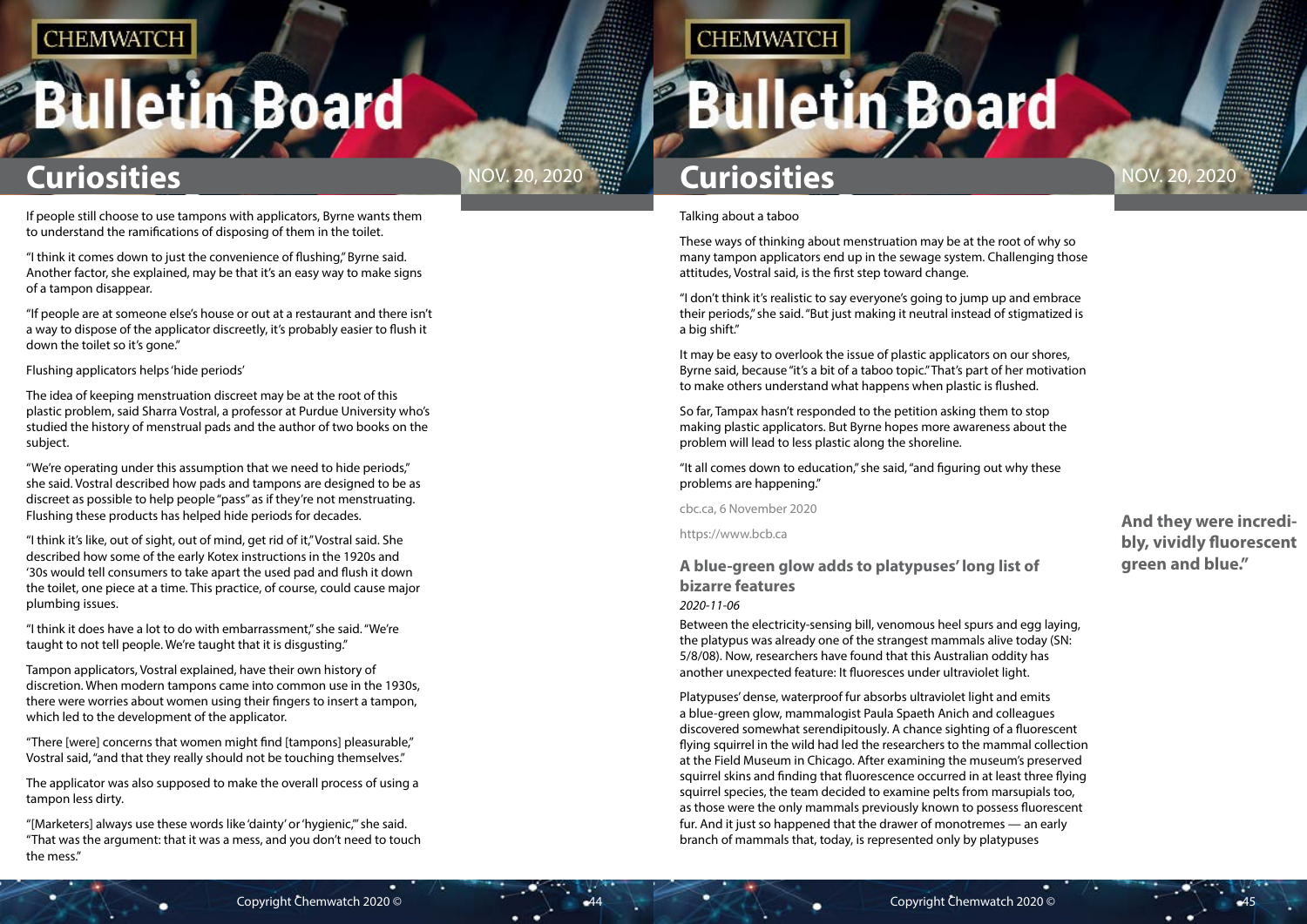# <span id="page-22-0"></span>**Bulletin Board**



**And they were incredibly, vividly fluorescent green and blue."**

## **Curiosities Curiosities**

"If people are at someone else's house or out at a restaurant and there isn't a way to dispose of the applicator discreetly, it's probably easier to flush it down the toilet so it's gone."

If people still choose to use tampons with applicators, Byrne wants them to understand the ramifications of disposing of them in the toilet.

"I think it comes down to just the convenience of flushing," Byrne said. Another factor, she explained, may be that it's an easy way to make signs of a tampon disappear.

Flushing applicators helps 'hide periods'

The idea of keeping menstruation discreet may be at the root of this plastic problem, said Sharra Vostral, a professor at Purdue University who's studied the history of menstrual pads and the author of two books on the subject.

"We're operating under this assumption that we need to hide periods," she said. Vostral described how pads and tampons are designed to be as discreet as possible to help people "pass" as if they're not menstruating. Flushing these products has helped hide periods for decades.

"I think it's like, out of sight, out of mind, get rid of it," Vostral said. She described how some of the early Kotex instructions in the 1920s and '30s would tell consumers to take apart the used pad and flush it down the toilet, one piece at a time. This practice, of course, could cause major plumbing issues.

"I think it does have a lot to do with embarrassment," she said. "We're taught to not tell people. We're taught that it is disgusting."

Tampon applicators, Vostral explained, have their own history of discretion. When modern tampons came into common use in the 1930s, there were worries about women using their fingers to insert a tampon, which led to the development of the applicator.

"There [were] concerns that women might find [tampons] pleasurable," Vostral said, "and that they really should not be touching themselves."

The applicator was also supposed to make the overall process of using a tampon less dirty.

"[Marketers] always use these words like 'dainty' or 'hygienic,'" she said. "That was the argument: that it was a mess, and you don't need to touch the mess."

Talking about a taboo

**CHEMWATCH** 

These ways of thinking about menstruation may be at the root of why so many tampon applicators end up in the sewage system. Challenging those attitudes, Vostral said, is the first step toward change.

"I don't think it's realistic to say everyone's going to jump up and embrace their periods," she said. "But just making it neutral instead of stigmatized is a big shift."

It may be easy to overlook the issue of plastic applicators on our shores, Byrne said, because "it's a bit of a taboo topic." That's part of her motivation to make others understand what happens when plastic is flushed.

So far, Tampax hasn't responded to the petition asking them to stop making plastic applicators. But Byrne hopes more awareness about the problem will lead to less plastic along the shoreline.

"It all comes down to education," she said, "and figuring out why these problems are happening."

cbc.ca, 6 November 2020

https://www.bcb.ca

### **A blue-green glow adds to platypuses' long list of bizarre features**

#### *2020-11-06*

Between the electricity-sensing bill, venomous heel spurs and egg laying, the platypus was already one of the strangest mammals alive today (SN: 5/8/08). Now, researchers have found that this Australian oddity has another unexpected feature: It fluoresces under ultraviolet light.

Platypuses' dense, waterproof fur absorbs ultraviolet light and emits a blue-green glow, mammalogist Paula Spaeth Anich and colleagues discovered somewhat serendipitously. A chance sighting of a fluorescent flying squirrel in the wild had led the researchers to the mammal collection at the Field Museum in Chicago. After examining the museum's preserved squirrel skins and finding that fluorescence occurred in at least three flying squirrel species, the team decided to examine pelts from marsupials too, as those were the only mammals previously known to possess fluorescent fur. And it just so happened that the drawer of monotremes — an early branch of mammals that, today, is represented only by platypuses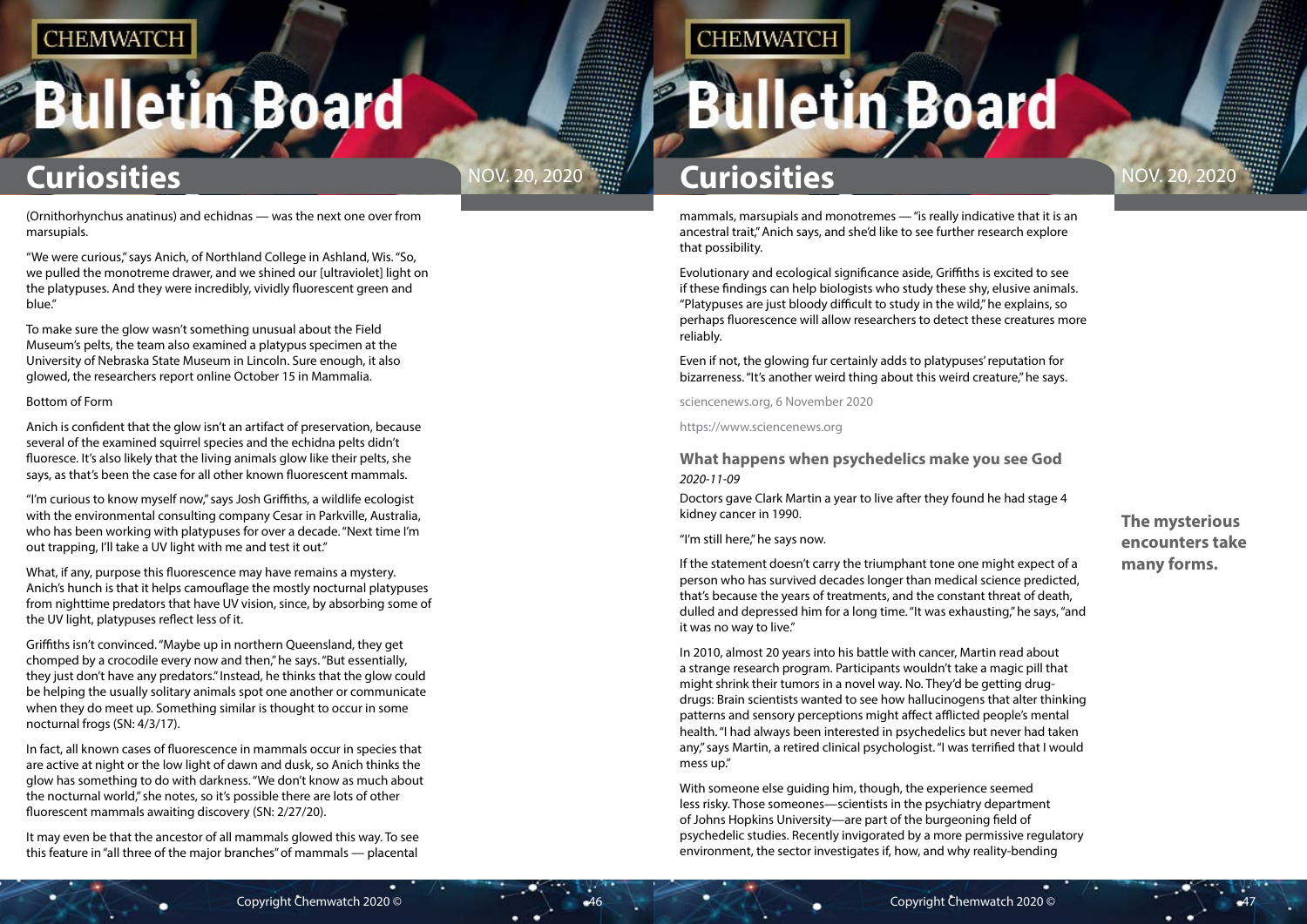# <span id="page-23-0"></span>**Bulletin Board**



**The mysterious encounters take many forms.**

## **Curiosities Curiosities**

(Ornithorhynchus anatinus) and echidnas — was the next one over from marsupials.

"We were curious," says Anich, of Northland College in Ashland, Wis. "So, we pulled the monotreme drawer, and we shined our [ultraviolet] light on the platypuses. And they were incredibly, vividly fluorescent green and blue."

To make sure the glow wasn't something unusual about the Field Museum's pelts, the team also examined a platypus specimen at the University of Nebraska State Museum in Lincoln. Sure enough, it also glowed, the researchers report online October 15 in Mammalia.

#### Bottom of Form

Anich is confident that the glow isn't an artifact of preservation, because several of the examined squirrel species and the echidna pelts didn't fluoresce. It's also likely that the living animals glow like their pelts, she says, as that's been the case for all other known fluorescent mammals.

"I'm curious to know myself now," says Josh Griffiths, a wildlife ecologist with the environmental consulting company Cesar in Parkville, Australia, who has been working with platypuses for over a decade. "Next time I'm out trapping, I'll take a UV light with me and test it out."

What, if any, purpose this fluorescence may have remains a mystery. Anich's hunch is that it helps camouflage the mostly nocturnal platypuses from nighttime predators that have UV vision, since, by absorbing some of the UV light, platypuses reflect less of it.

Griffiths isn't convinced. "Maybe up in northern Queensland, they get chomped by a crocodile every now and then," he says. "But essentially, they just don't have any predators." Instead, he thinks that the glow could be helping the usually solitary animals spot one another or communicate when they do meet up. Something similar is thought to occur in some nocturnal frogs (SN: 4/3/17).

In fact, all known cases of fluorescence in mammals occur in species that are active at night or the low light of dawn and dusk, so Anich thinks the glow has something to do with darkness. "We don't know as much about the nocturnal world," she notes, so it's possible there are lots of other fluorescent mammals awaiting discovery (SN: 2/27/20).

It may even be that the ancestor of all mammals glowed this way. To see this feature in "all three of the major branches" of mammals — placental

## **CHEMWATCH**

## **Illetin Board**

mammals, marsupials and monotremes — "is really indicative that it is an ancestral trait," Anich says, and she'd like to see further research explore that possibility.

Evolutionary and ecological significance aside, Griffiths is excited to see if these findings can help biologists who study these shy, elusive animals. "Platypuses are just bloody difficult to study in the wild," he explains, so perhaps fluorescence will allow researchers to detect these creatures more reliably.

Even if not, the glowing fur certainly adds to platypuses' reputation for bizarreness. "It's another weird thing about this weird creature," he says.

sciencenews.org, 6 November 2020

https://www.sciencenews.org

#### **What happens when psychedelics make you see God** *2020-11-09*

Doctors gave Clark Martin a year to live after they found he had stage 4 kidney cancer in 1990.

"I'm still here," he says now.

If the statement doesn't carry the triumphant tone one might expect of a person who has survived decades longer than medical science predicted, that's because the years of treatments, and the constant threat of death, dulled and depressed him for a long time. "It was exhausting," he says, "and it was no way to live."

In 2010, almost 20 years into his battle with cancer, Martin read about a strange research program. Participants wouldn't take a magic pill that might shrink their tumors in a novel way. No. They'd be getting drugdrugs: Brain scientists wanted to see how hallucinogens that alter thinking patterns and sensory perceptions might affect afflicted people's mental health. "I had always been interested in psychedelics but never had taken any," says Martin, a retired clinical psychologist. "I was terrified that I would mess up."

With someone else guiding him, though, the experience seemed less risky. Those someones—scientists in the psychiatry department of Johns Hopkins University—are part of the burgeoning field of psychedelic studies. Recently invigorated by a more permissive regulatory environment, the sector investigates if, how, and why reality-bending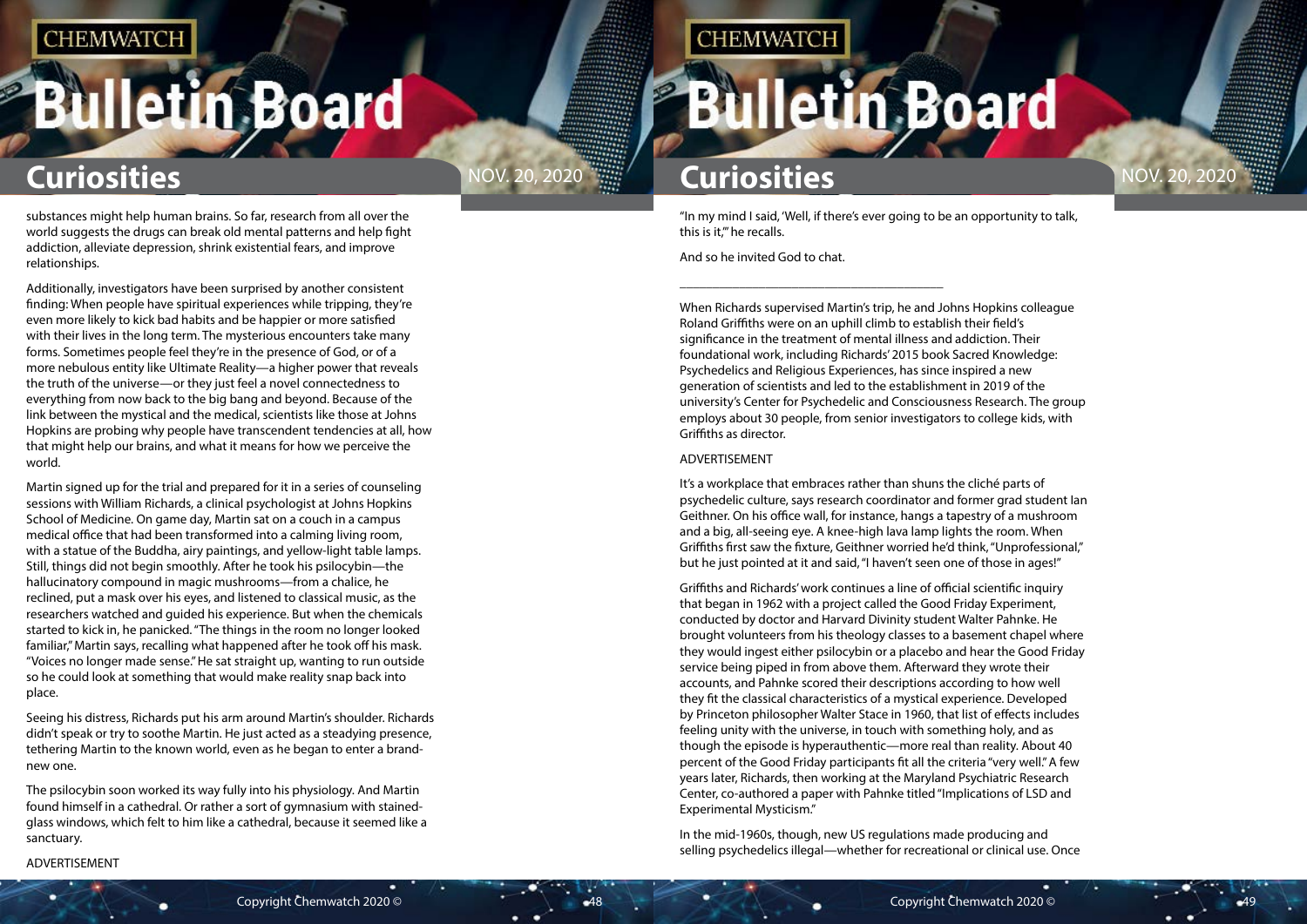# **Bulletin Board**



substances might help human brains. So far, research from all over the world suggests the drugs can break old mental patterns and help fight addiction, alleviate depression, shrink existential fears, and improve relationships.

Additionally, investigators have been surprised by another consistent finding: When people have spiritual experiences while tripping, they're even more likely to kick bad habits and be happier or more satisfied with their lives in the long term. The mysterious encounters take many forms. Sometimes people feel they're in the presence of God, or of a more nebulous entity like Ultimate Reality—a higher power that reveals the truth of the universe—or they just feel a novel connectedness to everything from now back to the big bang and beyond. Because of the link between the mystical and the medical, scientists like those at Johns Hopkins are probing why people have transcendent tendencies at all, how that might help our brains, and what it means for how we perceive the world.

Martin signed up for the trial and prepared for it in a series of counseling sessions with William Richards, a clinical psychologist at Johns Hopkins School of Medicine. On game day, Martin sat on a couch in a campus medical office that had been transformed into a calming living room, with a statue of the Buddha, airy paintings, and yellow-light table lamps. Still, things did not begin smoothly. After he took his psilocybin—the hallucinatory compound in magic mushrooms—from a chalice, he reclined, put a mask over his eyes, and listened to classical music, as the researchers watched and guided his experience. But when the chemicals started to kick in, he panicked. "The things in the room no longer looked familiar," Martin says, recalling what happened after he took off his mask. "Voices no longer made sense." He sat straight up, wanting to run outside so he could look at something that would make reality snap back into place.

Seeing his distress, Richards put his arm around Martin's shoulder. Richards didn't speak or try to soothe Martin. He just acted as a steadying presence, tethering Martin to the known world, even as he began to enter a brandnew one.

The psilocybin soon worked its way fully into his physiology. And Martin found himself in a cathedral. Or rather a sort of gymnasium with stainedglass windows, which felt to him like a cathedral, because it seemed like a sanctuary.

#### ADVERTISEMENT

**CHEMWATCH** 

# **Illetin Board**

"In my mind I said, 'Well, if there's ever going to be an opportunity to talk, this is it,'" he recalls.

And so he invited God to chat.

\_\_\_\_\_\_\_\_\_\_\_\_\_\_\_\_\_\_\_\_\_\_\_\_\_\_\_\_\_\_\_\_\_\_\_\_\_\_\_\_

When Richards supervised Martin's trip, he and Johns Hopkins colleague Roland Griffiths were on an uphill climb to establish their field's significance in the treatment of mental illness and addiction. Their foundational work, including Richards' 2015 book Sacred Knowledge: Psychedelics and Religious Experiences, has since inspired a new generation of scientists and led to the establishment in 2019 of the university's Center for Psychedelic and Consciousness Research. The group employs about 30 people, from senior investigators to college kids, with Griffiths as director.

#### ADVERTISEMENT

It's a workplace that embraces rather than shuns the cliché parts of psychedelic culture, says research coordinator and former grad student Ian Geithner. On his office wall, for instance, hangs a tapestry of a mushroom and a big, all-seeing eye. A knee-high lava lamp lights the room. When Griffiths first saw the fixture, Geithner worried he'd think, "Unprofessional," but he just pointed at it and said, "I haven't seen one of those in ages!"

Griffiths and Richards' work continues a line of official scientific inquiry that began in 1962 with a project called the Good Friday Experiment, conducted by doctor and Harvard Divinity student Walter Pahnke. He brought volunteers from his theology classes to a basement chapel where they would ingest either psilocybin or a placebo and hear the Good Friday service being piped in from above them. Afterward they wrote their accounts, and Pahnke scored their descriptions according to how well they fit the classical characteristics of a mystical experience. Developed by Princeton philosopher Walter Stace in 1960, that list of effects includes feeling unity with the universe, in touch with something holy, and as though the episode is hyperauthentic—more real than reality. About 40 percent of the Good Friday participants fit all the criteria "very well." A few years later, Richards, then working at the Maryland Psychiatric Research Center, co-authored a paper with Pahnke titled "Implications of LSD and Experimental Mysticism."

In the mid-1960s, though, new US regulations made producing and selling psychedelics illegal—whether for recreational or clinical use. Once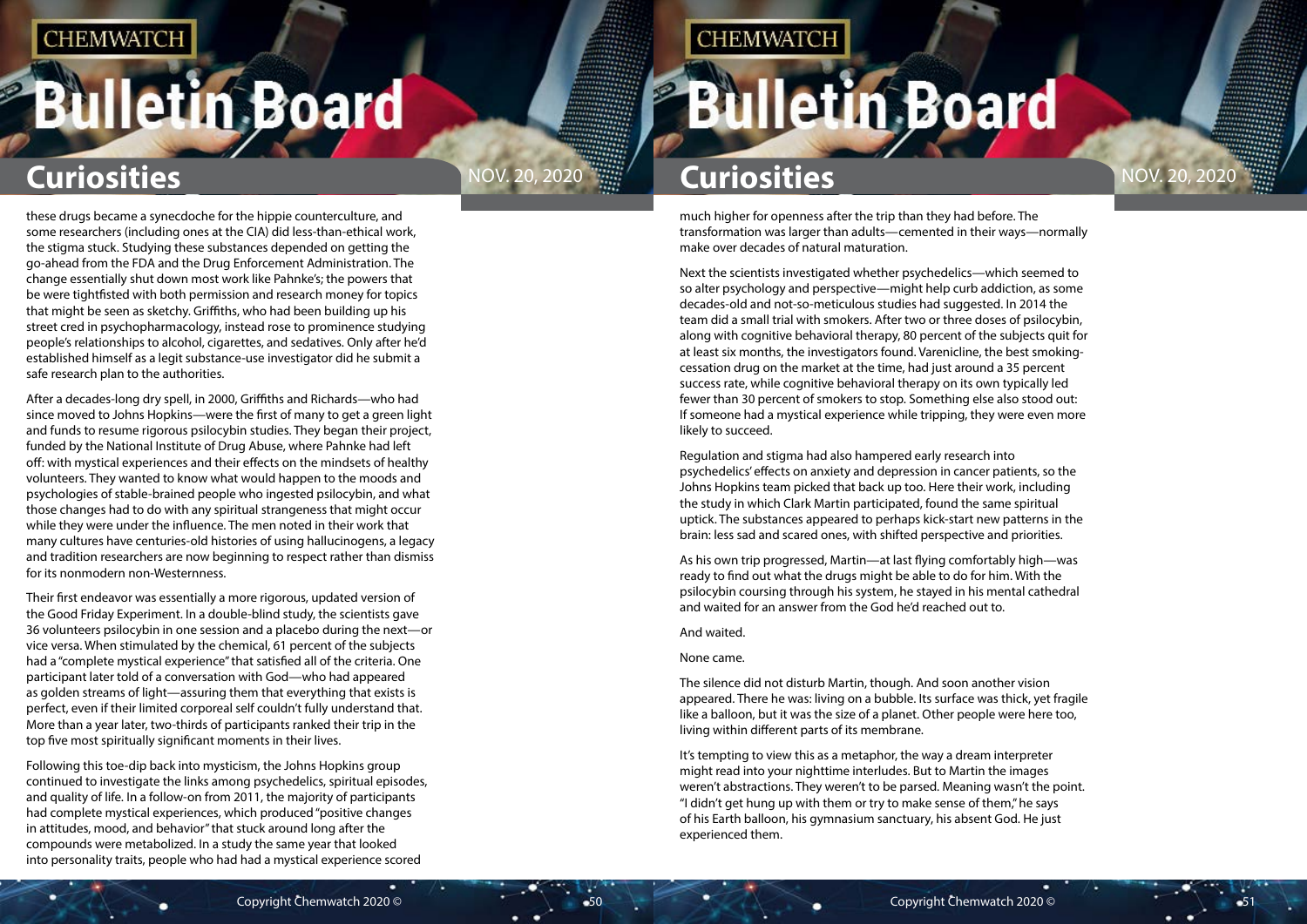# **Bulletin Board**

these drugs became a synecdoche for the hippie counterculture, and some researchers (including ones at the CIA) did less-than-ethical work, the stigma stuck. Studying these substances depended on getting the go-ahead from the FDA and the Drug Enforcement Administration. The change essentially shut down most work like Pahnke's; the powers that be were tightfisted with both permission and research money for topics that might be seen as sketchy. Griffiths, who had been building up his street cred in psychopharmacology, instead rose to prominence studying people's relationships to alcohol, cigarettes, and sedatives. Only after he'd established himself as a legit substance-use investigator did he submit a safe research plan to the authorities.

After a decades-long dry spell, in 2000, Griffiths and Richards—who had since moved to Johns Hopkins—were the first of many to get a green light and funds to resume rigorous psilocybin studies. They began their project, funded by the National Institute of Drug Abuse, where Pahnke had left off: with mystical experiences and their effects on the mindsets of healthy volunteers. They wanted to know what would happen to the moods and psychologies of stable-brained people who ingested psilocybin, and what those changes had to do with any spiritual strangeness that might occur while they were under the influence. The men noted in their work that many cultures have centuries-old histories of using hallucinogens, a legacy and tradition researchers are now beginning to respect rather than dismiss for its nonmodern non-Westernness.

Their first endeavor was essentially a more rigorous, updated version of the Good Friday Experiment. In a double-blind study, the scientists gave 36 volunteers psilocybin in one session and a placebo during the next—or vice versa. When stimulated by the chemical, 61 percent of the subjects had a "complete mystical experience" that satisfied all of the criteria. One participant later told of a conversation with God—who had appeared as golden streams of light—assuring them that everything that exists is perfect, even if their limited corporeal self couldn't fully understand that. More than a year later, two-thirds of participants ranked their trip in the top five most spiritually significant moments in their lives.

Following this toe-dip back into mysticism, the Johns Hopkins group continued to investigate the links among psychedelics, spiritual episodes, and quality of life. In a follow-on from 2011, the majority of participants had complete mystical experiences, which produced "positive changes in attitudes, mood, and behavior" that stuck around long after the compounds were metabolized. In a study the same year that looked into personality traits, people who had had a mystical experience scored

**Curiosities** Nov. 20, 2020 **Curiosities** Nov. 20, 2020

**CHEMWATCH** 

much higher for openness after the trip than they had before. The transformation was larger than adults—cemented in their ways—normally make over decades of natural maturation.

Next the scientists investigated whether psychedelics—which seemed to so alter psychology and perspective—might help curb addiction, as some decades-old and not-so-meticulous studies had suggested. In 2014 the team did a small trial with smokers. After two or three doses of psilocybin, along with cognitive behavioral therapy, 80 percent of the subjects quit for at least six months, the investigators found. Varenicline, the best smokingcessation drug on the market at the time, had just around a 35 percent success rate, while cognitive behavioral therapy on its own typically led fewer than 30 percent of smokers to stop. Something else also stood out: If someone had a mystical experience while tripping, they were even more likely to succeed.

Regulation and stigma had also hampered early research into psychedelics' effects on anxiety and depression in cancer patients, so the Johns Hopkins team picked that back up too. Here their work, including the study in which Clark Martin participated, found the same spiritual uptick. The substances appeared to perhaps kick-start new patterns in the brain: less sad and scared ones, with shifted perspective and priorities.

As his own trip progressed, Martin—at last flying comfortably high—was ready to find out what the drugs might be able to do for him. With the psilocybin coursing through his system, he stayed in his mental cathedral and waited for an answer from the God he'd reached out to.

And waited.

None came.

The silence did not disturb Martin, though. And soon another vision appeared. There he was: living on a bubble. Its surface was thick, yet fragile like a balloon, but it was the size of a planet. Other people were here too, living within different parts of its membrane.

It's tempting to view this as a metaphor, the way a dream interpreter might read into your nighttime interludes. But to Martin the images weren't abstractions. They weren't to be parsed. Meaning wasn't the point. "I didn't get hung up with them or try to make sense of them," he says of his Earth balloon, his gymnasium sanctuary, his absent God. He just experienced them.

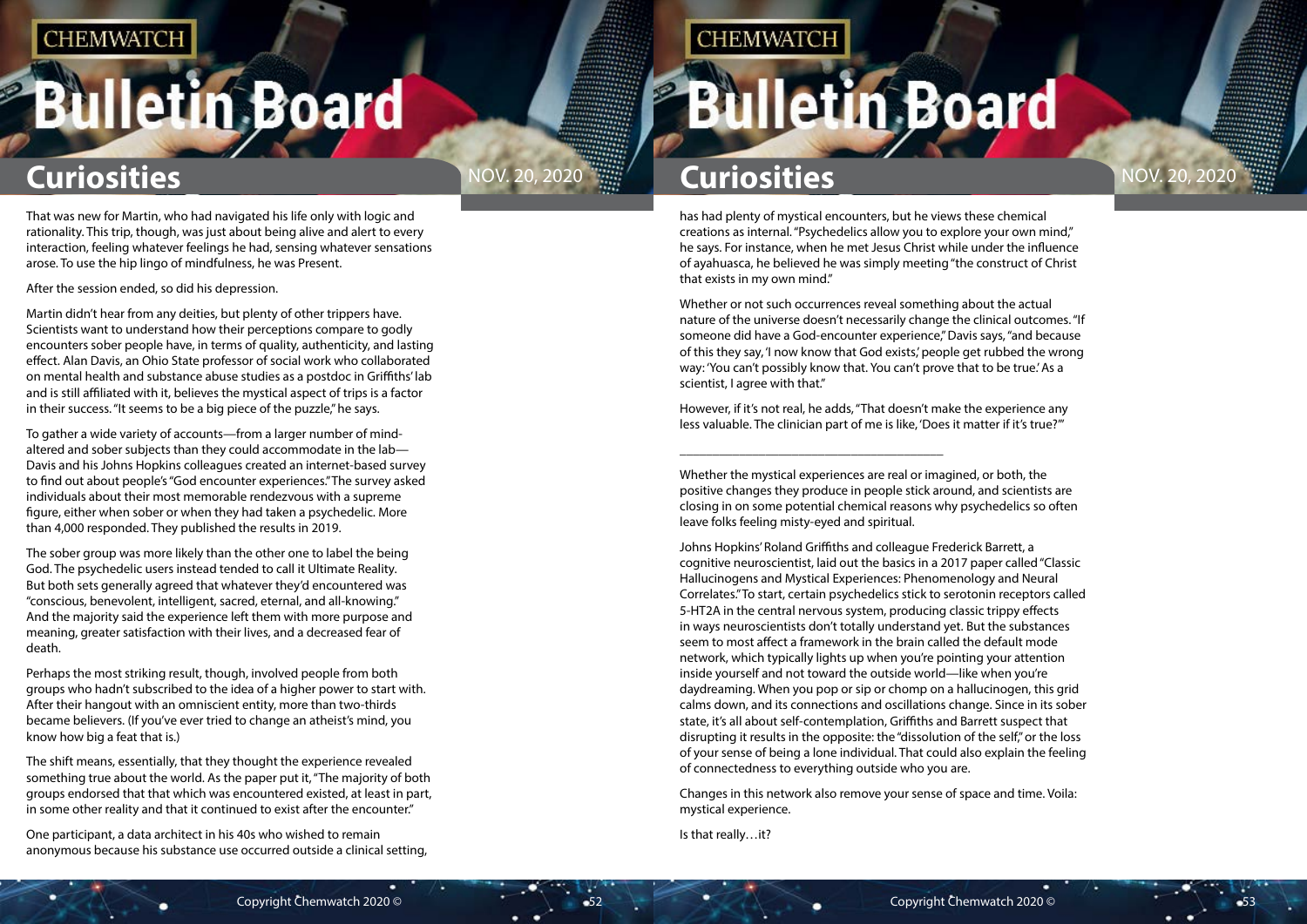# **Bulletin Board**

## **Curiosities** Nov. 20, 2020 **Curiosities** Nov. 20, 2020

That was new for Martin, who had navigated his life only with logic and rationality. This trip, though, was just about being alive and alert to every interaction, feeling whatever feelings he had, sensing whatever sensations arose. To use the hip lingo of mindfulness, he was Present.

After the session ended, so did his depression.

Martin didn't hear from any deities, but plenty of other trippers have. Scientists want to understand how their perceptions compare to godly encounters sober people have, in terms of quality, authenticity, and lasting effect. Alan Davis, an Ohio State professor of social work who collaborated on mental health and substance abuse studies as a postdoc in Griffiths' lab and is still affiliated with it, believes the mystical aspect of trips is a factor in their success. "It seems to be a big piece of the puzzle," he says.

The sober group was more likely than the other one to label the being God. The psychedelic users instead tended to call it Ultimate Reality. But both sets generally agreed that whatever they'd encountered was "conscious, benevolent, intelligent, sacred, eternal, and all-knowing." And the majority said the experience left them with more purpose and meaning, greater satisfaction with their lives, and a decreased fear of death.

To gather a wide variety of accounts—from a larger number of mindaltered and sober subjects than they could accommodate in the lab— Davis and his Johns Hopkins colleagues created an internet-based survey to find out about people's "God encounter experiences." The survey asked individuals about their most memorable rendezvous with a supreme figure, either when sober or when they had taken a psychedelic. More than 4,000 responded. They published the results in 2019.

Perhaps the most striking result, though, involved people from both groups who hadn't subscribed to the idea of a higher power to start with. After their hangout with an omniscient entity, more than two-thirds became believers. (If you've ever tried to change an atheist's mind, you know how big a feat that is.)

The shift means, essentially, that they thought the experience revealed something true about the world. As the paper put it, "The majority of both groups endorsed that that which was encountered existed, at least in part, in some other reality and that it continued to exist after the encounter."

One participant, a data architect in his 40s who wished to remain anonymous because his substance use occurred outside a clinical setting,

## **CHEMWATCH**

# **Illetin Board**

has had plenty of mystical encounters, but he views these chemical creations as internal. "Psychedelics allow you to explore your own mind," he says. For instance, when he met Jesus Christ while under the influence of ayahuasca, he believed he was simply meeting "the construct of Christ that exists in my own mind."

Whether or not such occurrences reveal something about the actual nature of the universe doesn't necessarily change the clinical outcomes. "If someone did have a God-encounter experience," Davis says, "and because of this they say, 'I now know that God exists,' people get rubbed the wrong way: 'You can't possibly know that. You can't prove that to be true.' As a scientist, I agree with that."

However, if it's not real, he adds, "That doesn't make the experience any less valuable. The clinician part of me is like, 'Does it matter if it's true?'"

\_\_\_\_\_\_\_\_\_\_\_\_\_\_\_\_\_\_\_\_\_\_\_\_\_\_\_\_\_\_\_\_\_\_\_\_\_\_\_\_

Whether the mystical experiences are real or imagined, or both, the positive changes they produce in people stick around, and scientists are closing in on some potential chemical reasons why psychedelics so often leave folks feeling misty-eyed and spiritual.

Johns Hopkins' Roland Griffiths and colleague Frederick Barrett, a cognitive neuroscientist, laid out the basics in a 2017 paper called "Classic Hallucinogens and Mystical Experiences: Phenomenology and Neural Correlates." To start, certain psychedelics stick to serotonin receptors called 5-HT2A in the central nervous system, producing classic trippy effects in ways neuroscientists don't totally understand yet. But the substances seem to most affect a framework in the brain called the default mode network, which typically lights up when you're pointing your attention inside yourself and not toward the outside world—like when you're daydreaming. When you pop or sip or chomp on a hallucinogen, this grid calms down, and its connections and oscillations change. Since in its sober state, it's all about self-contemplation, Griffiths and Barrett suspect that disrupting it results in the opposite: the "dissolution of the self," or the loss of your sense of being a lone individual. That could also explain the feeling of connectedness to everything outside who you are.

Changes in this network also remove your sense of space and time. Voila: mystical experience.

Is that really…it?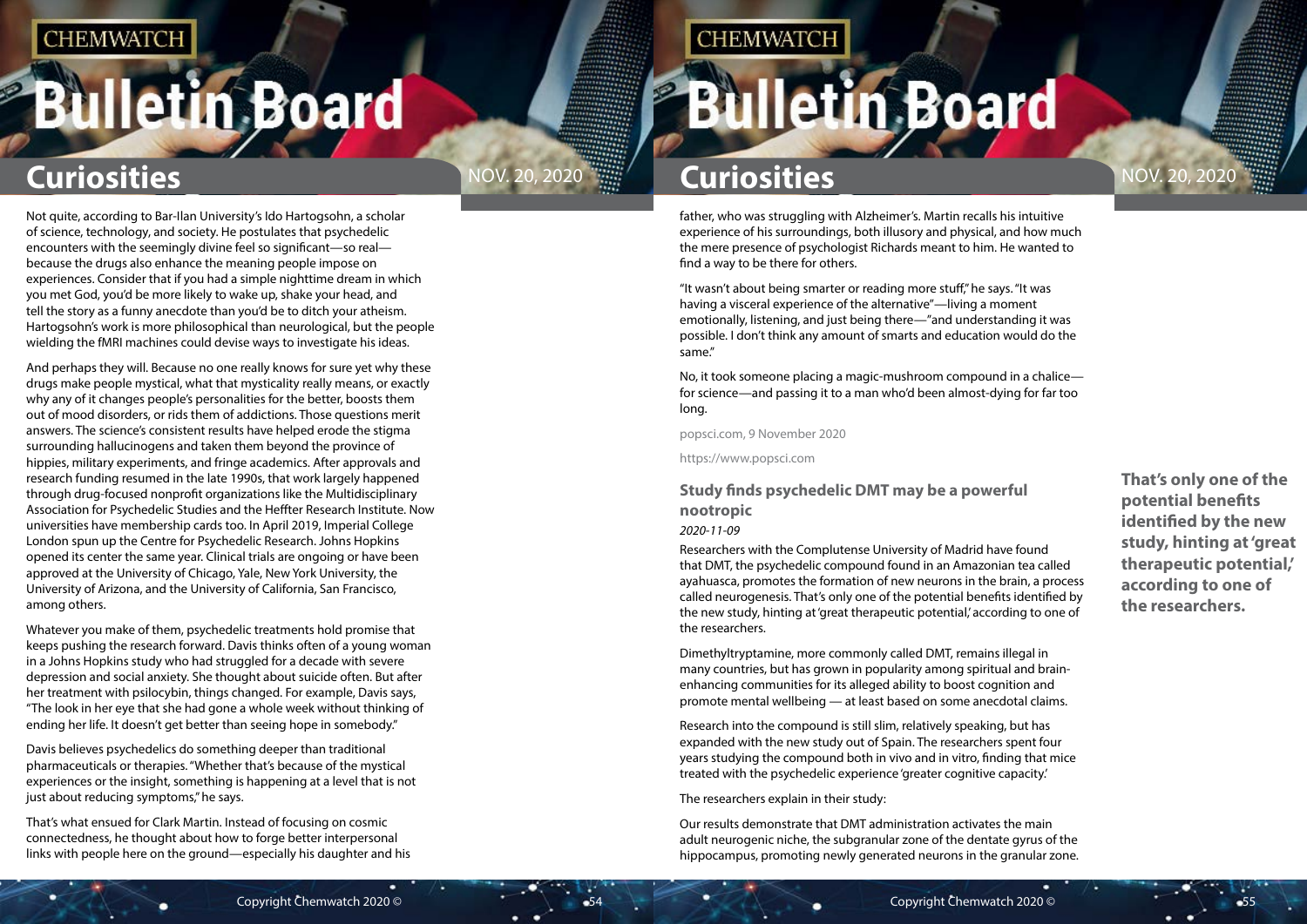# <span id="page-27-0"></span>**Bulletin Board**



**That's only one of the potential benefits identified by the new study, hinting at 'great therapeutic potential,' according to one of the researchers.**

## **Curiosities Curiosities**

Not quite, according to Bar-Ilan University's Ido Hartogsohn, a scholar of science, technology, and society. He postulates that psychedelic encounters with the seemingly divine feel so significant—so real because the drugs also enhance the meaning people impose on experiences. Consider that if you had a simple nighttime dream in which you met God, you'd be more likely to wake up, shake your head, and tell the story as a funny anecdote than you'd be to ditch your atheism. Hartogsohn's work is more philosophical than neurological, but the people wielding the fMRI machines could devise ways to investigate his ideas.

And perhaps they will. Because no one really knows for sure yet why these drugs make people mystical, what that mysticality really means, or exactly why any of it changes people's personalities for the better, boosts them out of mood disorders, or rids them of addictions. Those questions merit answers. The science's consistent results have helped erode the stigma surrounding hallucinogens and taken them beyond the province of hippies, military experiments, and fringe academics. After approvals and research funding resumed in the late 1990s, that work largely happened through drug-focused nonprofit organizations like the Multidisciplinary Association for Psychedelic Studies and the Heffter Research Institute. Now universities have membership cards too. In April 2019, Imperial College London spun up the Centre for Psychedelic Research. Johns Hopkins opened its center the same year. Clinical trials are ongoing or have been approved at the University of Chicago, Yale, New York University, the University of Arizona, and the University of California, San Francisco, among others.

Whatever you make of them, psychedelic treatments hold promise that keeps pushing the research forward. Davis thinks often of a young woman in a Johns Hopkins study who had struggled for a decade with severe depression and social anxiety. She thought about suicide often. But after her treatment with psilocybin, things changed. For example, Davis says, "The look in her eye that she had gone a whole week without thinking of ending her life. It doesn't get better than seeing hope in somebody."

Davis believes psychedelics do something deeper than traditional pharmaceuticals or therapies. "Whether that's because of the mystical experiences or the insight, something is happening at a level that is not just about reducing symptoms," he says.

That's what ensued for Clark Martin. Instead of focusing on cosmic connectedness, he thought about how to forge better interpersonal links with people here on the ground—especially his daughter and his

## **CHEMWATCH**

## **Bulletin Board**

father, who was struggling with Alzheimer's. Martin recalls his intuitive experience of his surroundings, both illusory and physical, and how much the mere presence of psychologist Richards meant to him. He wanted to find a way to be there for others.

"It wasn't about being smarter or reading more stuff," he says. "It was having a visceral experience of the alternative"—living a moment emotionally, listening, and just being there—"and understanding it was possible. I don't think any amount of smarts and education would do the same."

No, it took someone placing a magic-mushroom compound in a chalice for science—and passing it to a man who'd been almost-dying for far too long.

popsci.com, 9 November 2020

https://www.popsci.com

### **Study finds psychedelic DMT may be a powerful nootropic**

#### *2020-11-09*

Researchers with the Complutense University of Madrid have found that DMT, the psychedelic compound found in an Amazonian tea called ayahuasca, promotes the formation of new neurons in the brain, a process called neurogenesis. That's only one of the potential benefits identified by the new study, hinting at 'great therapeutic potential,' according to one of the researchers.

Dimethyltryptamine, more commonly called DMT, remains illegal in many countries, but has grown in popularity among spiritual and brainenhancing communities for its alleged ability to boost cognition and promote mental wellbeing — at least based on some anecdotal claims.

Research into the compound is still slim, relatively speaking, but has expanded with the new study out of Spain. The researchers spent four years studying the compound both in vivo and in vitro, finding that mice treated with the psychedelic experience 'greater cognitive capacity.'

The researchers explain in their study:

Our results demonstrate that DMT administration activates the main adult neurogenic niche, the subgranular zone of the dentate gyrus of the hippocampus, promoting newly generated neurons in the granular zone.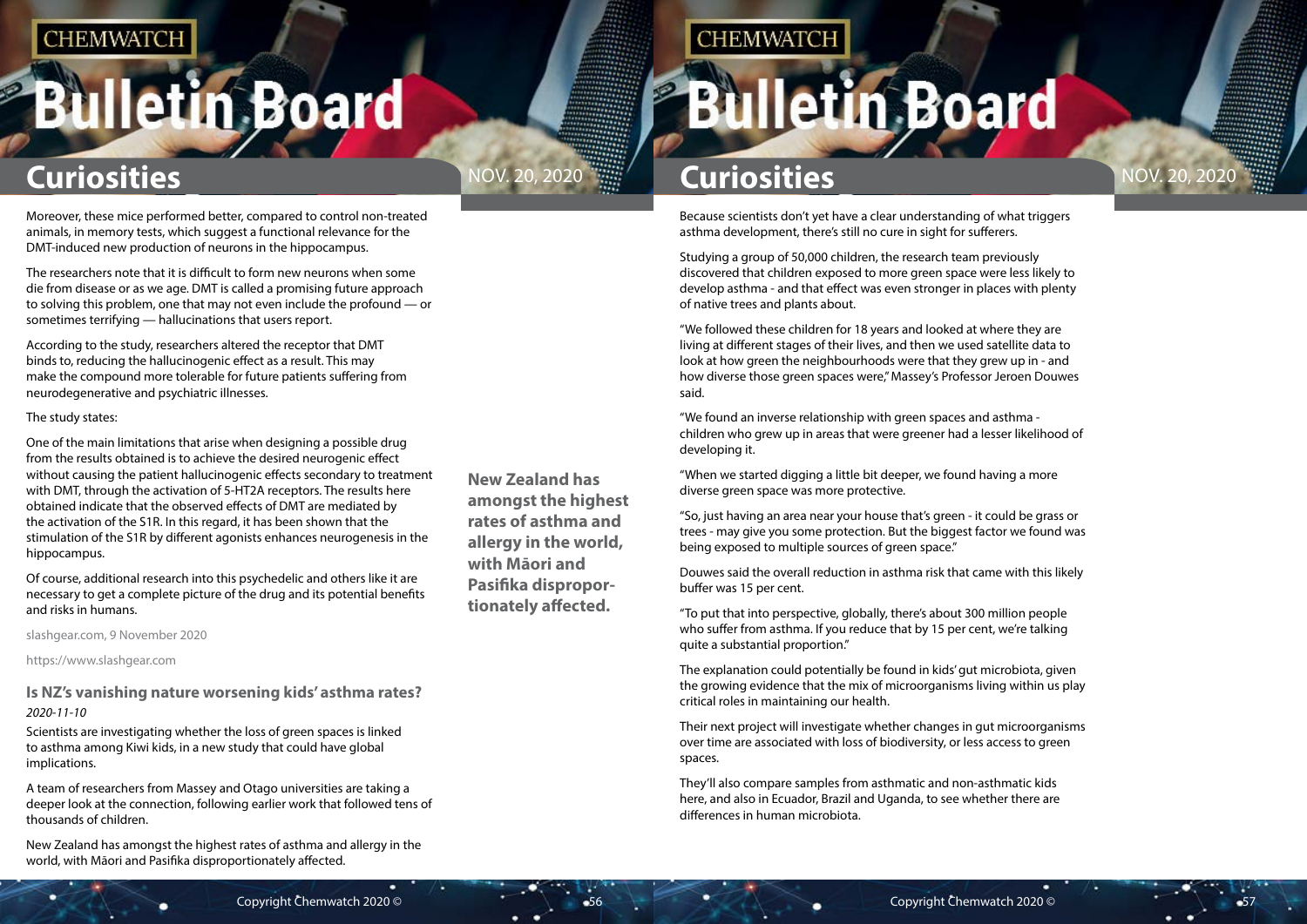# <span id="page-28-0"></span>**Bulletin Board**

### **New Zealand has amongst the highest rates of asthma and allergy in the world, with Māori and Pasifika disproportionately affected.**

## NOV. 20, 2020 **Nov. 20, 2020**

**CHEMWATCH** 

## **Curiosities Curiosities**

Moreover, these mice performed better, compared to control non-treated animals, in memory tests, which suggest a functional relevance for the DMT-induced new production of neurons in the hippocampus.

The researchers note that it is difficult to form new neurons when some die from disease or as we age. DMT is called a promising future approach to solving this problem, one that may not even include the profound — or sometimes terrifying — hallucinations that users report.

According to the study, researchers altered the receptor that DMT binds to, reducing the hallucinogenic effect as a result. This may make the compound more tolerable for future patients suffering from neurodegenerative and psychiatric illnesses.

#### The study states:

One of the main limitations that arise when designing a possible drug from the results obtained is to achieve the desired neurogenic effect without causing the patient hallucinogenic effects secondary to treatment with DMT, through the activation of 5-HT2A receptors. The results here obtained indicate that the observed effects of DMT are mediated by the activation of the S1R. In this regard, it has been shown that the stimulation of the S1R by different agonists enhances neurogenesis in the hippocampus.

Of course, additional research into this psychedelic and others like it are necessary to get a complete picture of the drug and its potential benefits and risks in humans.

slashgear.com, 9 November 2020

https://www.slashgear.com

### **Is NZ's vanishing nature worsening kids' asthma rates?** *2020-11-10*

Scientists are investigating whether the loss of green spaces is linked to asthma among Kiwi kids, in a new study that could have global implications.

A team of researchers from Massey and Otago universities are taking a deeper look at the connection, following earlier work that followed tens of thousands of children.

New Zealand has amongst the highest rates of asthma and allergy in the world, with Māori and Pasifika disproportionately affected.

Because scientists don't yet have a clear understanding of what triggers asthma development, there's still no cure in sight for sufferers.

Studying a group of 50,000 children, the research team previously discovered that children exposed to more green space were less likely to develop asthma - and that effect was even stronger in places with plenty of native trees and plants about.

"We followed these children for 18 years and looked at where they are living at different stages of their lives, and then we used satellite data to look at how green the neighbourhoods were that they grew up in - and how diverse those green spaces were," Massey's Professor Jeroen Douwes said.

"We found an inverse relationship with green spaces and asthma children who grew up in areas that were greener had a lesser likelihood of developing it.

"When we started digging a little bit deeper, we found having a more diverse green space was more protective.

"So, just having an area near your house that's green - it could be grass or trees - may give you some protection. But the biggest factor we found was being exposed to multiple sources of green space."

Douwes said the overall reduction in asthma risk that came with this likely buffer was 15 per cent.

"To put that into perspective, globally, there's about 300 million people who suffer from asthma. If you reduce that by 15 per cent, we're talking quite a substantial proportion."

The explanation could potentially be found in kids' gut microbiota, given the growing evidence that the mix of microorganisms living within us play critical roles in maintaining our health.

Their next project will investigate whether changes in gut microorganisms over time are associated with loss of biodiversity, or less access to green spaces.

They'll also compare samples from asthmatic and non-asthmatic kids here, and also in Ecuador, Brazil and Uganda, to see whether there are differences in human microbiota.



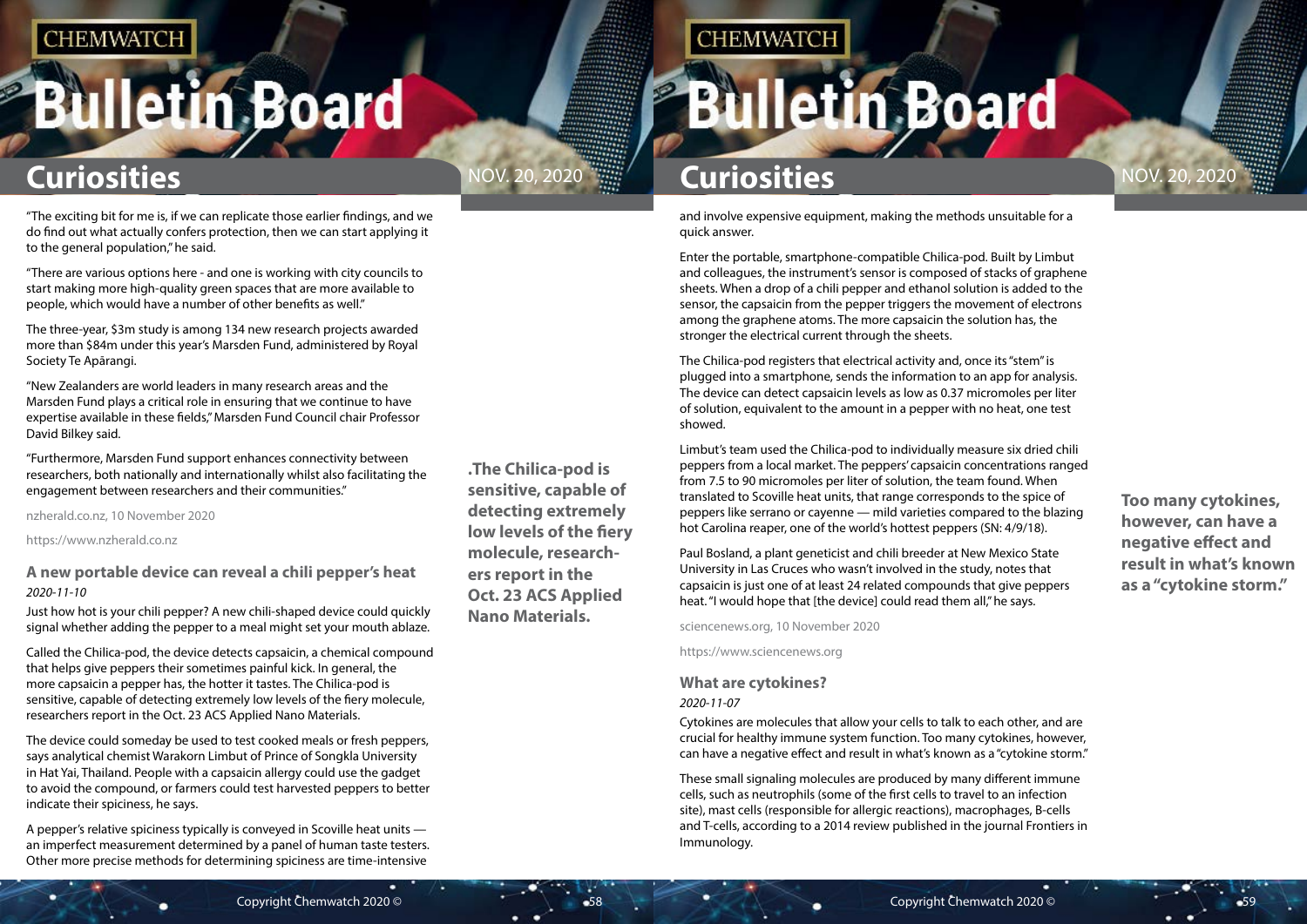# <span id="page-29-0"></span>**Bulletin Board**



### **.The Chilica-pod is sensitive, capable of detecting extremely low levels of the fiery molecule, researchers report in the Oct. 23 ACS Applied Nano Materials.**

## **Bulletin Board**

**CHEMWATCH** 

**Too many cytokines, however, can have a negative effect and result in what's known as a "cytokine storm."**

## **Curiosities Curiosities**

"The exciting bit for me is, if we can replicate those earlier findings, and we do find out what actually confers protection, then we can start applying it to the general population," he said.

"There are various options here - and one is working with city councils to start making more high-quality green spaces that are more available to people, which would have a number of other benefits as well."

The three-year, \$3m study is among 134 new research projects awarded more than \$84m under this year's Marsden Fund, administered by Royal Society Te Apārangi.

"New Zealanders are world leaders in many research areas and the Marsden Fund plays a critical role in ensuring that we continue to have expertise available in these fields," Marsden Fund Council chair Professor David Bilkey said.

"Furthermore, Marsden Fund support enhances connectivity between researchers, both nationally and internationally whilst also facilitating the engagement between researchers and their communities."

nzherald.co.nz, 10 November 2020

https://www.nzherald.co.nz

#### **A new portable device can reveal a chili pepper's heat** *2020-11-10*

Just how hot is your chili pepper? A new chili-shaped device could quickly signal whether adding the pepper to a meal might set your mouth ablaze.

Called the Chilica-pod, the device detects capsaicin, a chemical compound that helps give peppers their sometimes painful kick. In general, the more capsaicin a pepper has, the hotter it tastes. The Chilica-pod is sensitive, capable of detecting extremely low levels of the fiery molecule, researchers report in the Oct. 23 ACS Applied Nano Materials.

Paul Bosland, a plant geneticist and chili breeder at New Mexico State University in Las Cruces who wasn't involved in the study, notes that capsaicin is just one of at least 24 related compounds that give peppers heat. "I would hope that [the device] could read them all," he says.

The device could someday be used to test cooked meals or fresh peppers, says analytical chemist Warakorn Limbut of Prince of Songkla University in Hat Yai, Thailand. People with a capsaicin allergy could use the gadget to avoid the compound, or farmers could test harvested peppers to better indicate their spiciness, he says.

A pepper's relative spiciness typically is conveyed in Scoville heat units an imperfect measurement determined by a panel of human taste testers. Other more precise methods for determining spiciness are time-intensive

and involve expensive equipment, making the methods unsuitable for a quick answer.

Enter the portable, smartphone-compatible Chilica-pod. Built by Limbut and colleagues, the instrument's sensor is composed of stacks of graphene sheets. When a drop of a chili pepper and ethanol solution is added to the sensor, the capsaicin from the pepper triggers the movement of electrons among the graphene atoms. The more capsaicin the solution has, the stronger the electrical current through the sheets.

The Chilica-pod registers that electrical activity and, once its "stem" is plugged into a smartphone, sends the information to an app for analysis. The device can detect capsaicin levels as low as 0.37 micromoles per liter of solution, equivalent to the amount in a pepper with no heat, one test showed.

Limbut's team used the Chilica-pod to individually measure six dried chili peppers from a local market. The peppers' capsaicin concentrations ranged from 7.5 to 90 micromoles per liter of solution, the team found. When translated to Scoville heat units, that range corresponds to the spice of peppers like serrano or cayenne — mild varieties compared to the blazing hot Carolina reaper, one of the world's hottest peppers (SN: 4/9/18).

sciencenews.org, 10 November 2020

https://www.sciencenews.org

### **What are cytokines?**

#### *2020-11-07*

Cytokines are molecules that allow your cells to talk to each other, and are crucial for healthy immune system function. Too many cytokines, however, can have a negative effect and result in what's known as a "cytokine storm."

These small signaling molecules are produced by many different immune cells, such as neutrophils (some of the first cells to travel to an infection site), mast cells (responsible for allergic reactions), macrophages, B-cells and T-cells, according to a 2014 review published in the journal Frontiers in Immunology.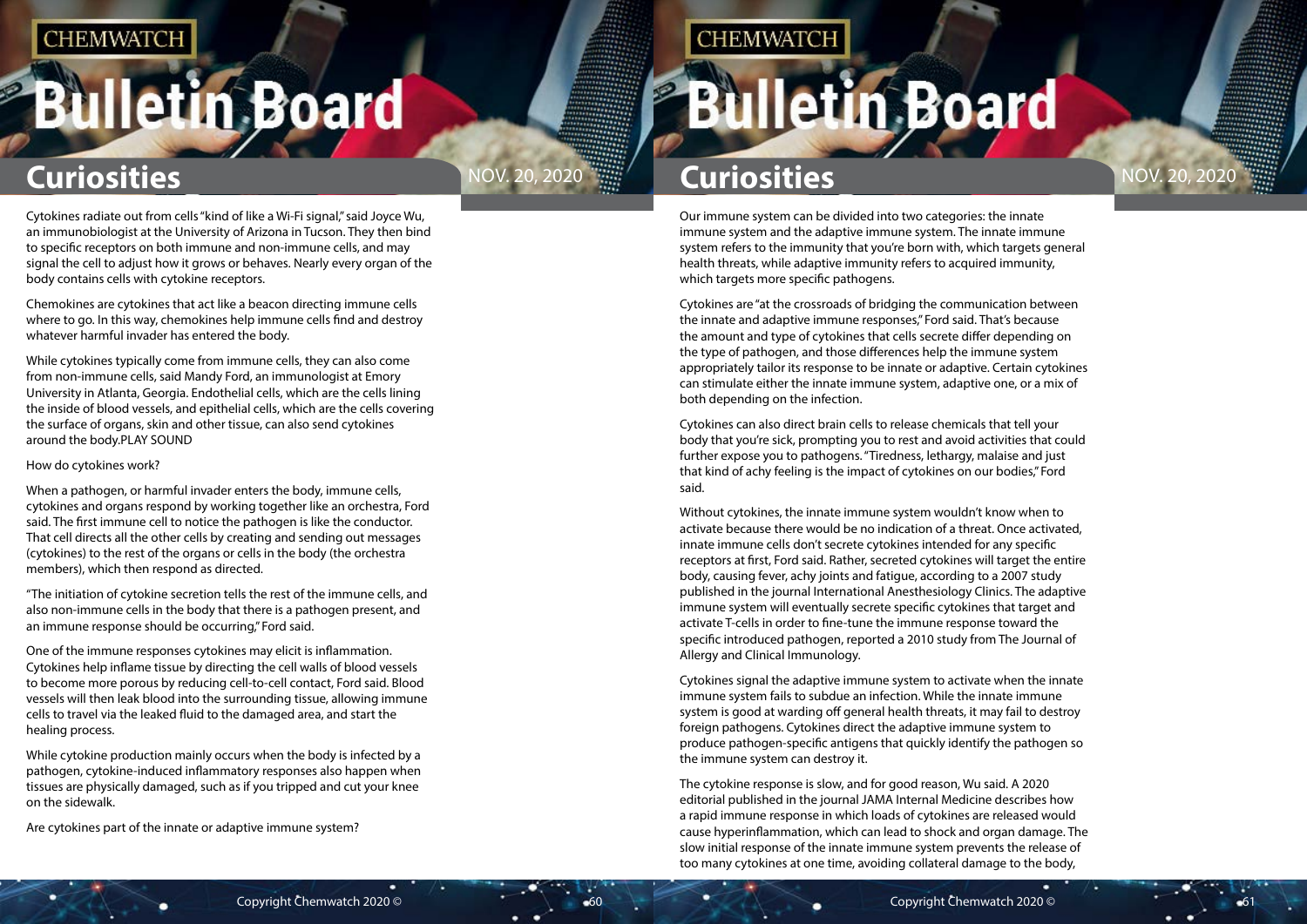# **Bulletin Board**

## **Curiosities** Nov. 20, 2020 **Curiosities** Nov. 20, 2020

Cytokines radiate out from cells "kind of like a Wi-Fi signal," said Joyce Wu, an immunobiologist at the University of Arizona in Tucson. They then bind to specific receptors on both immune and non-immune cells, and may signal the cell to adjust how it grows or behaves. Nearly every organ of the body contains cells with cytokine receptors.

Chemokines are cytokines that act like a beacon directing immune cells where to go. In this way, chemokines help immune cells find and destroy whatever harmful invader has entered the body.

While cytokines typically come from immune cells, they can also come from non-immune cells, said Mandy Ford, an immunologist at Emory University in Atlanta, Georgia. Endothelial cells, which are the cells lining the inside of blood vessels, and epithelial cells, which are the cells covering the surface of organs, skin and other tissue, can also send cytokines around the body.PLAY SOUND

How do cytokines work?

Our immune system can be divided into two categories: the innate immune system and the adaptive immune system. The innate immune system refers to the immunity that you're born with, which targets general health threats, while adaptive immunity refers to acquired immunity, which targets more specific pathogens.

When a pathogen, or harmful invader enters the body, immune cells, cytokines and organs respond by working together like an orchestra, Ford said. The first immune cell to notice the pathogen is like the conductor. That cell directs all the other cells by creating and sending out messages (cytokines) to the rest of the organs or cells in the body (the orchestra members), which then respond as directed.

"The initiation of cytokine secretion tells the rest of the immune cells, and also non-immune cells in the body that there is a pathogen present, and an immune response should be occurring," Ford said.

One of the immune responses cytokines may elicit is inflammation. Cytokines help inflame tissue by directing the cell walls of blood vessels to become more porous by reducing cell-to-cell contact, Ford said. Blood vessels will then leak blood into the surrounding tissue, allowing immune cells to travel via the leaked fluid to the damaged area, and start the healing process.

While cytokine production mainly occurs when the body is infected by a pathogen, cytokine-induced inflammatory responses also happen when tissues are physically damaged, such as if you tripped and cut your knee on the sidewalk.

Are cytokines part of the innate or adaptive immune system?

## **CHEMWATCH**

# **Bulletin Board**

Cytokines are "at the crossroads of bridging the communication between the innate and adaptive immune responses," Ford said. That's because the amount and type of cytokines that cells secrete differ depending on the type of pathogen, and those differences help the immune system appropriately tailor its response to be innate or adaptive. Certain cytokines can stimulate either the innate immune system, adaptive one, or a mix of both depending on the infection.

Cytokines can also direct brain cells to release chemicals that tell your body that you're sick, prompting you to rest and avoid activities that could further expose you to pathogens. "Tiredness, lethargy, malaise and just that kind of achy feeling is the impact of cytokines on our bodies," Ford said.

Without cytokines, the innate immune system wouldn't know when to activate because there would be no indication of a threat. Once activated, innate immune cells don't secrete cytokines intended for any specific receptors at first, Ford said. Rather, secreted cytokines will target the entire body, causing fever, achy joints and fatigue, according to a 2007 study published in the journal International Anesthesiology Clinics. The adaptive immune system will eventually secrete specific cytokines that target and activate T-cells in order to fine-tune the immune response toward the specific introduced pathogen, reported a 2010 study from The Journal of Allergy and Clinical Immunology.

Cytokines signal the adaptive immune system to activate when the innate immune system fails to subdue an infection. While the innate immune system is good at warding off general health threats, it may fail to destroy foreign pathogens. Cytokines direct the adaptive immune system to produce pathogen-specific antigens that quickly identify the pathogen so the immune system can destroy it.

The cytokine response is slow, and for good reason, Wu said. A 2020 editorial published in the journal JAMA Internal Medicine describes how a rapid immune response in which loads of cytokines are released would cause hyperinflammation, which can lead to shock and organ damage. The slow initial response of the innate immune system prevents the release of too many cytokines at one time, avoiding collateral damage to the body,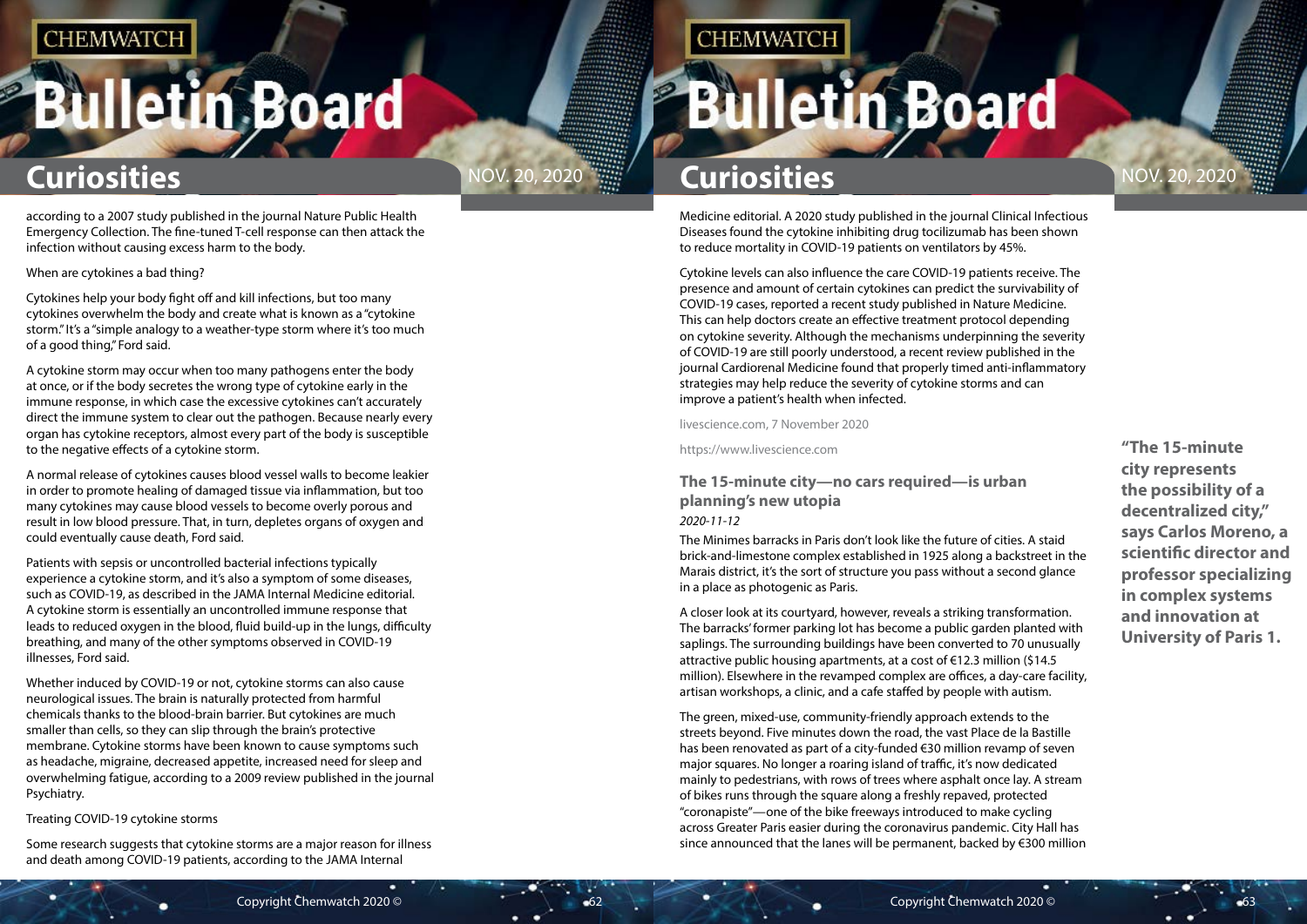# <span id="page-31-0"></span>**Bulletin Board**

**"The 15-minute city represents the possibility of a decentralized city," says Carlos Moreno, a scientific director and professor specializing in complex systems and innovation at University of Paris 1.**

## **Curiosities Curiosities**

according to a 2007 study published in the journal Nature Public Health Emergency Collection. The fine-tuned T-cell response can then attack the infection without causing excess harm to the body.

When are cytokines a bad thing?

Cytokines help your body fight off and kill infections, but too many cytokines overwhelm the body and create what is known as a "cytokine storm." It's a "simple analogy to a weather-type storm where it's too much of a good thing," Ford said.

A cytokine storm may occur when too many pathogens enter the body at once, or if the body secretes the wrong type of cytokine early in the immune response, in which case the excessive cytokines can't accurately direct the immune system to clear out the pathogen. Because nearly every organ has cytokine receptors, almost every part of the body is susceptible to the negative effects of a cytokine storm.

A normal release of cytokines causes blood vessel walls to become leakier in order to promote healing of damaged tissue via inflammation, but too many cytokines may cause blood vessels to become overly porous and result in low blood pressure. That, in turn, depletes organs of oxygen and could eventually cause death, Ford said.

Patients with sepsis or uncontrolled bacterial infections typically experience a cytokine storm, and it's also a symptom of some diseases, such as COVID-19, as described in the JAMA Internal Medicine editorial. A cytokine storm is essentially an uncontrolled immune response that leads to reduced oxygen in the blood, fluid build-up in the lungs, difficulty breathing, and many of the other symptoms observed in COVID-19 illnesses, Ford said.

Whether induced by COVID-19 or not, cytokine storms can also cause neurological issues. The brain is naturally protected from harmful chemicals thanks to the blood-brain barrier. But cytokines are much smaller than cells, so they can slip through the brain's protective membrane. Cytokine storms have been known to cause symptoms such as headache, migraine, decreased appetite, increased need for sleep and overwhelming fatigue, according to a 2009 review published in the journal Psychiatry.

#### Treating COVID-19 cytokine storms

Some research suggests that cytokine storms are a major reason for illness and death among COVID-19 patients, according to the JAMA Internal

# **Bulletin Board**

**CHEMWATCH** 

## NOV. 20, 2020 **Nov. 20, 2020**

Medicine editorial. A 2020 study published in the journal Clinical Infectious Diseases found the cytokine inhibiting drug tocilizumab has been shown to reduce mortality in COVID-19 patients on ventilators by 45%.

Cytokine levels can also influence the care COVID-19 patients receive. The presence and amount of certain cytokines can predict the survivability of COVID-19 cases, reported a recent study published in Nature Medicine. This can help doctors create an effective treatment protocol depending on cytokine severity. Although the mechanisms underpinning the severity of COVID-19 are still poorly understood, a recent review published in the journal Cardiorenal Medicine found that properly timed anti-inflammatory strategies may help reduce the severity of cytokine storms and can improve a patient's health when infected.

livescience.com, 7 November 2020

https://www.livescience.com

### **The 15-minute city—no cars required—is urban planning's new utopia** *2020-11-12*

The Minimes barracks in Paris don't look like the future of cities. A staid brick-and-limestone complex established in 1925 along a backstreet in the Marais district, it's the sort of structure you pass without a second glance in a place as photogenic as Paris.

A closer look at its courtyard, however, reveals a striking transformation. The barracks' former parking lot has become a public garden planted with saplings. The surrounding buildings have been converted to 70 unusually attractive public housing apartments, at a cost of €12.3 million (\$14.5 million). Elsewhere in the revamped complex are offices, a day-care facility, artisan workshops, a clinic, and a cafe staffed by people with autism.

The green, mixed-use, community-friendly approach extends to the streets beyond. Five minutes down the road, the vast Place de la Bastille has been renovated as part of a city-funded €30 million revamp of seven major squares. No longer a roaring island of traffic, it's now dedicated mainly to pedestrians, with rows of trees where asphalt once lay. A stream of bikes runs through the square along a freshly repaved, protected "coronapiste"—one of the bike freeways introduced to make cycling across Greater Paris easier during the coronavirus pandemic. City Hall has since announced that the lanes will be permanent, backed by €300 million

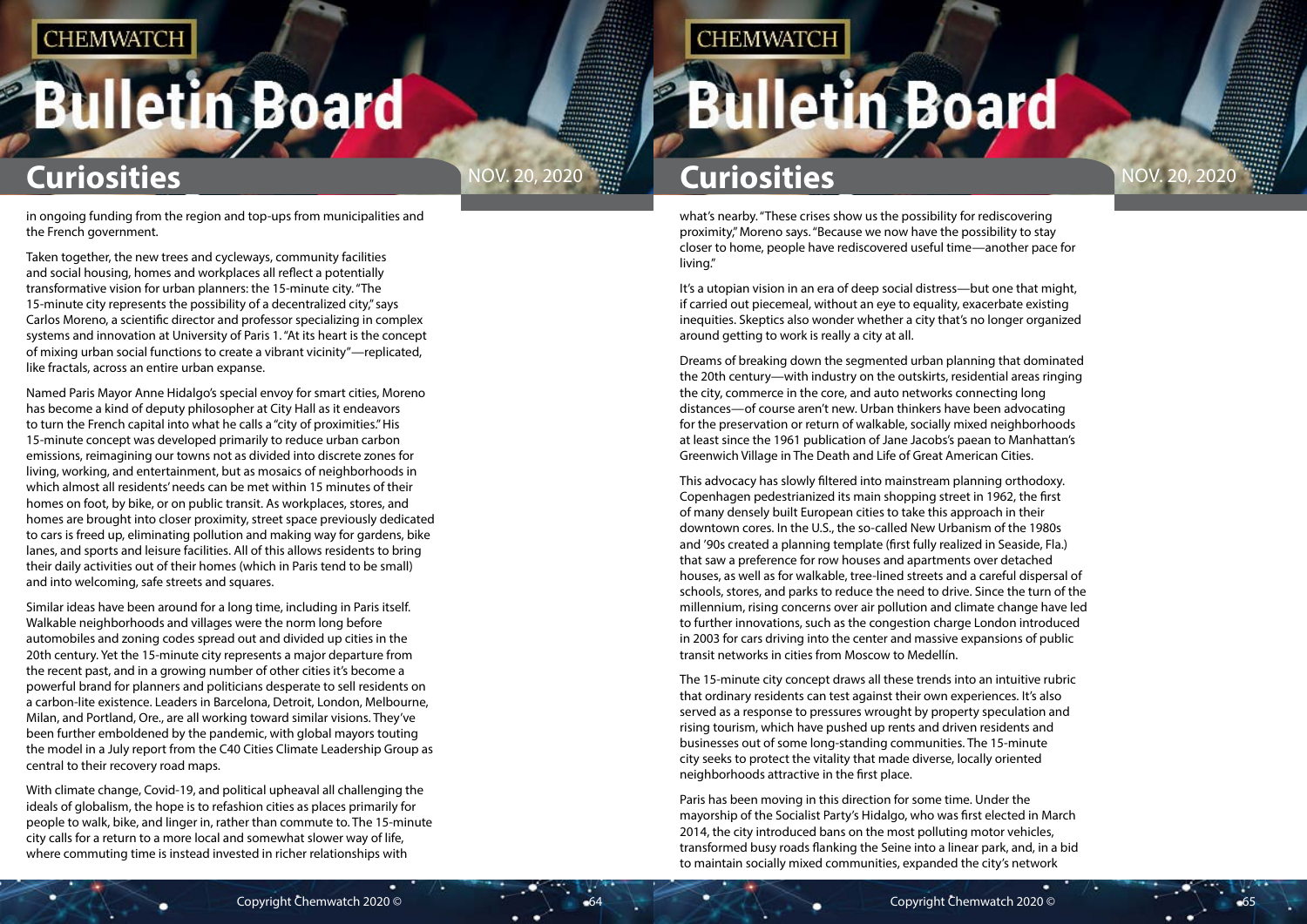# **Bulletin Board**

## **Curiosities** Nov. 20, 2020 **Curiosities** Nov. 20, 2020

in ongoing funding from the region and top-ups from municipalities and the French government.

Taken together, the new trees and cycleways, community facilities and social housing, homes and workplaces all reflect a potentially transformative vision for urban planners: the 15-minute city. "The 15-minute city represents the possibility of a decentralized city," says Carlos Moreno, a scientific director and professor specializing in complex systems and innovation at University of Paris 1. "At its heart is the concept of mixing urban social functions to create a vibrant vicinity"—replicated, like fractals, across an entire urban expanse.

Named Paris Mayor Anne Hidalgo's special envoy for smart cities, Moreno has become a kind of deputy philosopher at City Hall as it endeavors to turn the French capital into what he calls a "city of proximities." His 15-minute concept was developed primarily to reduce urban carbon emissions, reimagining our towns not as divided into discrete zones for living, working, and entertainment, but as mosaics of neighborhoods in which almost all residents' needs can be met within 15 minutes of their homes on foot, by bike, or on public transit. As workplaces, stores, and homes are brought into closer proximity, street space previously dedicated to cars is freed up, eliminating pollution and making way for gardens, bike lanes, and sports and leisure facilities. All of this allows residents to bring their daily activities out of their homes (which in Paris tend to be small) and into welcoming, safe streets and squares.

Similar ideas have been around for a long time, including in Paris itself. Walkable neighborhoods and villages were the norm long before automobiles and zoning codes spread out and divided up cities in the 20th century. Yet the 15-minute city represents a major departure from the recent past, and in a growing number of other cities it's become a powerful brand for planners and politicians desperate to sell residents on a carbon-lite existence. Leaders in Barcelona, Detroit, London, Melbourne, Milan, and Portland, Ore., are all working toward similar visions. They've been further emboldened by the pandemic, with global mayors touting the model in a July report from the C40 Cities Climate Leadership Group as central to their recovery road maps.

With climate change, Covid-19, and political upheaval all challenging the ideals of globalism, the hope is to refashion cities as places primarily for people to walk, bike, and linger in, rather than commute to. The 15-minute city calls for a return to a more local and somewhat slower way of life, where commuting time is instead invested in richer relationships with

## **Bulletin Board**

**CHEMWATCH** 

what's nearby. "These crises show us the possibility for rediscovering proximity," Moreno says. "Because we now have the possibility to stay closer to home, people have rediscovered useful time—another pace for living."

It's a utopian vision in an era of deep social distress—but one that might, if carried out piecemeal, without an eye to equality, exacerbate existing inequities. Skeptics also wonder whether a city that's no longer organized around getting to work is really a city at all.

Dreams of breaking down the segmented urban planning that dominated the 20th century—with industry on the outskirts, residential areas ringing the city, commerce in the core, and auto networks connecting long distances—of course aren't new. Urban thinkers have been advocating for the preservation or return of walkable, socially mixed neighborhoods at least since the 1961 publication of Jane Jacobs's paean to Manhattan's Greenwich Village in The Death and Life of Great American Cities.

This advocacy has slowly filtered into mainstream planning orthodoxy. Copenhagen pedestrianized its main shopping street in 1962, the first of many densely built European cities to take this approach in their downtown cores. In the U.S., the so-called New Urbanism of the 1980s and '90s created a planning template (first fully realized in Seaside, Fla.) that saw a preference for row houses and apartments over detached houses, as well as for walkable, tree-lined streets and a careful dispersal of schools, stores, and parks to reduce the need to drive. Since the turn of the millennium, rising concerns over air pollution and climate change have led to further innovations, such as the congestion charge London introduced in 2003 for cars driving into the center and massive expansions of public transit networks in cities from Moscow to Medellín.

The 15-minute city concept draws all these trends into an intuitive rubric that ordinary residents can test against their own experiences. It's also served as a response to pressures wrought by property speculation and rising tourism, which have pushed up rents and driven residents and businesses out of some long-standing communities. The 15-minute city seeks to protect the vitality that made diverse, locally oriented neighborhoods attractive in the first place.

Paris has been moving in this direction for some time. Under the mayorship of the Socialist Party's Hidalgo, who was first elected in March 2014, the city introduced bans on the most polluting motor vehicles, transformed busy roads flanking the Seine into a linear park, and, in a bid to maintain socially mixed communities, expanded the city's network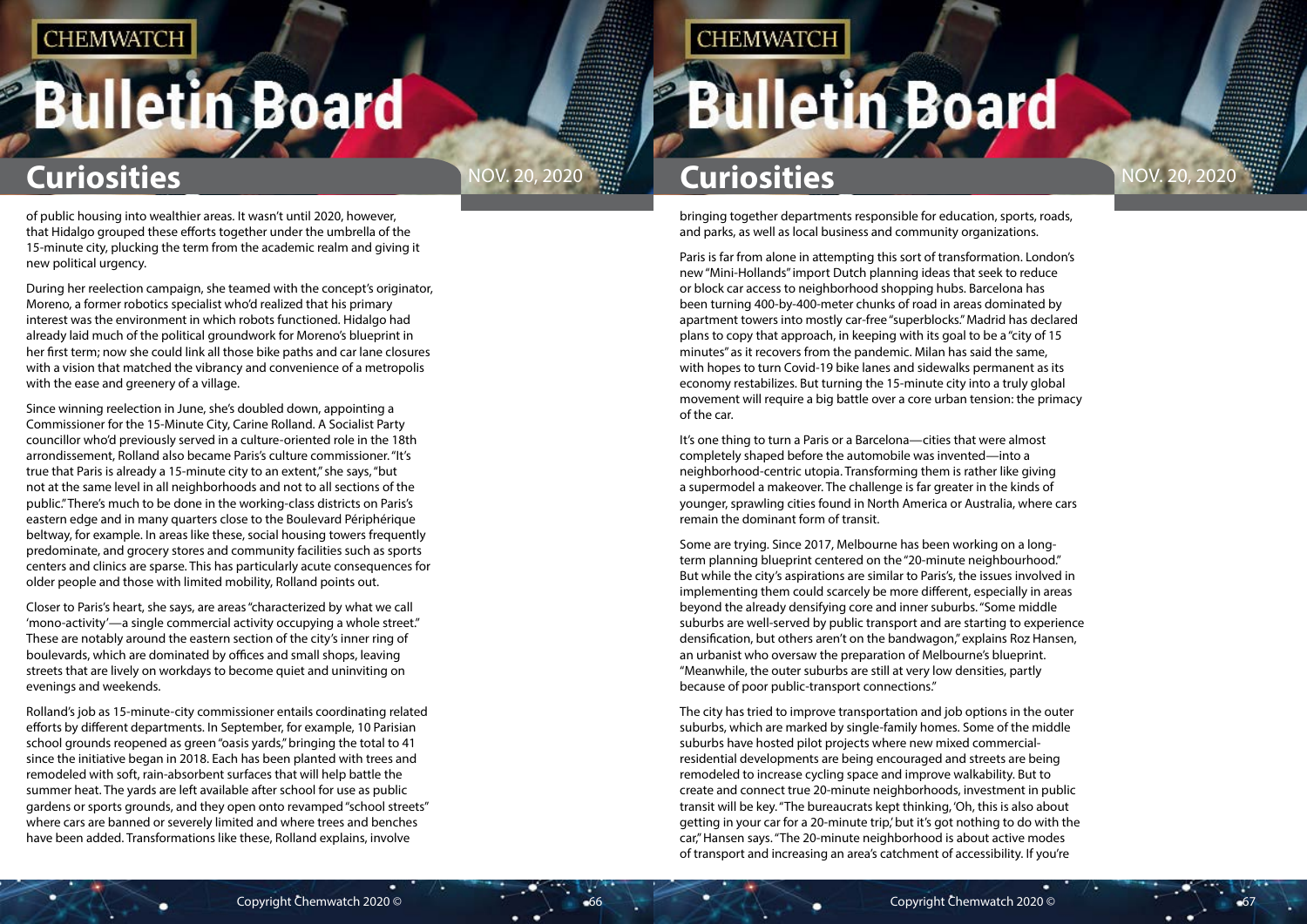# **Bulletin Board**

## **Curiosities** Nov. 20, 2020 **Curiosities** Nov. 20, 2020

of public housing into wealthier areas. It wasn't until 2020, however, that Hidalgo grouped these efforts together under the umbrella of the 15-minute city, plucking the term from the academic realm and giving it new political urgency.

During her reelection campaign, she teamed with the concept's originator, Moreno, a former robotics specialist who'd realized that his primary interest was the environment in which robots functioned. Hidalgo had already laid much of the political groundwork for Moreno's blueprint in her first term; now she could link all those bike paths and car lane closures with a vision that matched the vibrancy and convenience of a metropolis with the ease and greenery of a village.

Since winning reelection in June, she's doubled down, appointing a Commissioner for the 15-Minute City, Carine Rolland. A Socialist Party councillor who'd previously served in a culture-oriented role in the 18th arrondissement, Rolland also became Paris's culture commissioner. "It's true that Paris is already a 15-minute city to an extent," she says, "but not at the same level in all neighborhoods and not to all sections of the public." There's much to be done in the working-class districts on Paris's eastern edge and in many quarters close to the Boulevard Périphérique beltway, for example. In areas like these, social housing towers frequently predominate, and grocery stores and community facilities such as sports centers and clinics are sparse. This has particularly acute consequences for older people and those with limited mobility, Rolland points out.

Closer to Paris's heart, she says, are areas "characterized by what we call 'mono-activity'—a single commercial activity occupying a whole street." These are notably around the eastern section of the city's inner ring of boulevards, which are dominated by offices and small shops, leaving streets that are lively on workdays to become quiet and uninviting on evenings and weekends.

Rolland's job as 15-minute-city commissioner entails coordinating related efforts by different departments. In September, for example, 10 Parisian school grounds reopened as green "oasis yards," bringing the total to 41 since the initiative began in 2018. Each has been planted with trees and remodeled with soft, rain-absorbent surfaces that will help battle the summer heat. The yards are left available after school for use as public gardens or sports grounds, and they open onto revamped "school streets" where cars are banned or severely limited and where trees and benches have been added. Transformations like these, Rolland explains, involve

## **CHEMWATCH**

# **Bulletin Board**

bringing together departments responsible for education, sports, roads, and parks, as well as local business and community organizations.

Paris is far from alone in attempting this sort of transformation. London's new "Mini-Hollands" import Dutch planning ideas that seek to reduce or block car access to neighborhood shopping hubs. Barcelona has been turning 400-by-400-meter chunks of road in areas dominated by apartment towers into mostly car-free "superblocks." Madrid has declared plans to copy that approach, in keeping with its goal to be a "city of 15 minutes" as it recovers from the pandemic. Milan has said the same, with hopes to turn Covid-19 bike lanes and sidewalks permanent as its economy restabilizes. But turning the 15-minute city into a truly global movement will require a big battle over a core urban tension: the primacy of the car.

It's one thing to turn a Paris or a Barcelona—cities that were almost completely shaped before the automobile was invented—into a neighborhood-centric utopia. Transforming them is rather like giving a supermodel a makeover. The challenge is far greater in the kinds of younger, sprawling cities found in North America or Australia, where cars remain the dominant form of transit.

Some are trying. Since 2017, Melbourne has been working on a longterm planning blueprint centered on the "20-minute neighbourhood." But while the city's aspirations are similar to Paris's, the issues involved in implementing them could scarcely be more different, especially in areas beyond the already densifying core and inner suburbs. "Some middle suburbs are well-served by public transport and are starting to experience densification, but others aren't on the bandwagon," explains Roz Hansen, an urbanist who oversaw the preparation of Melbourne's blueprint. "Meanwhile, the outer suburbs are still at very low densities, partly because of poor public-transport connections."

The city has tried to improve transportation and job options in the outer suburbs, which are marked by single-family homes. Some of the middle suburbs have hosted pilot projects where new mixed commercialresidential developments are being encouraged and streets are being remodeled to increase cycling space and improve walkability. But to create and connect true 20-minute neighborhoods, investment in public transit will be key. "The bureaucrats kept thinking, 'Oh, this is also about getting in your car for a 20-minute trip,' but it's got nothing to do with the car," Hansen says. "The 20-minute neighborhood is about active modes of transport and increasing an area's catchment of accessibility. If you're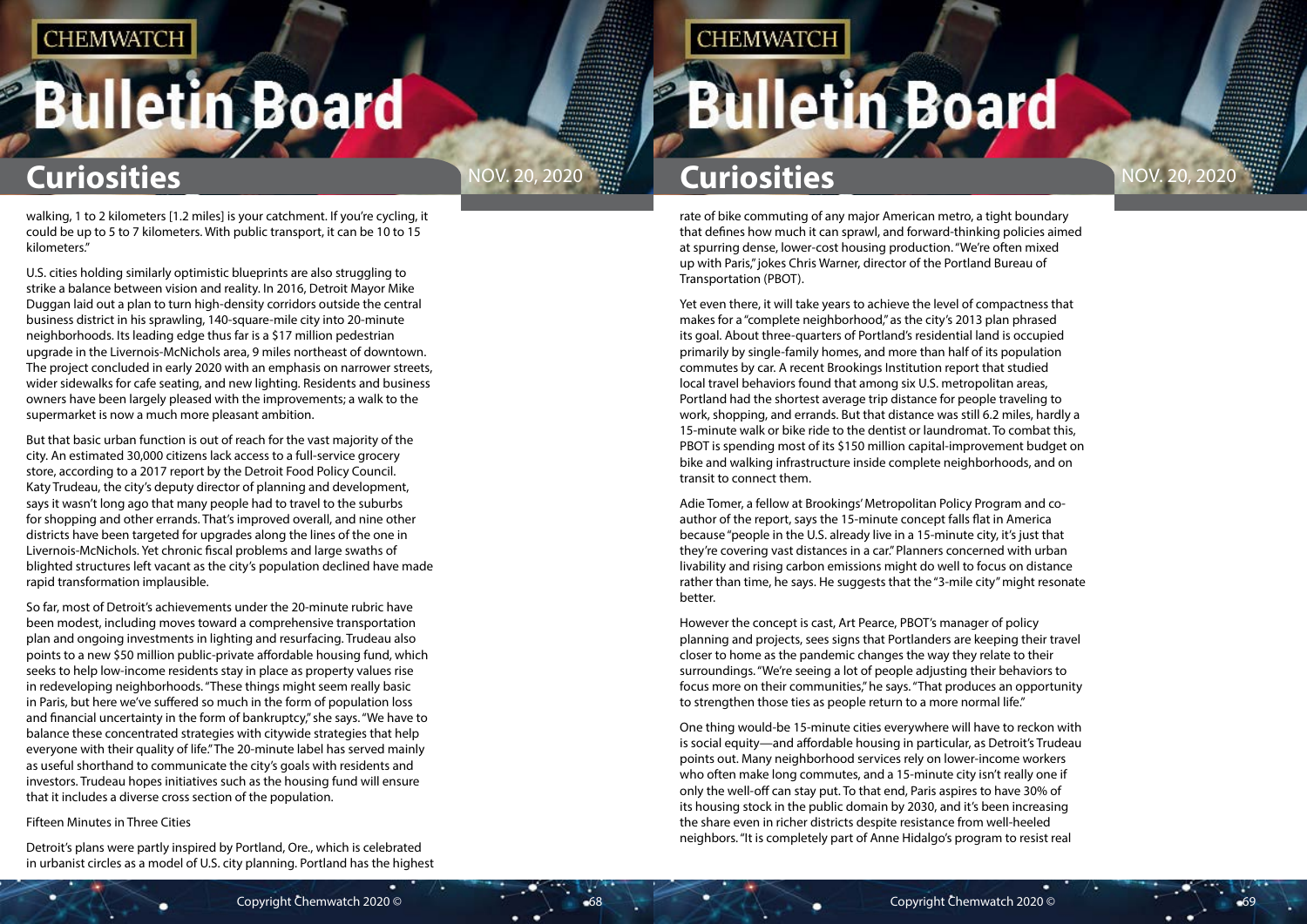# **Bulletin Board**

## **Curiosities** Nov. 20, 2020 **Curiosities** Nov. 20, 2020

walking, 1 to 2 kilometers [1.2 miles] is your catchment. If you're cycling, it could be up to 5 to 7 kilometers. With public transport, it can be 10 to 15 kilometers."

U.S. cities holding similarly optimistic blueprints are also struggling to strike a balance between vision and reality. In 2016, Detroit Mayor Mike Duggan laid out a plan to turn high-density corridors outside the central business district in his sprawling, 140-square-mile city into 20-minute neighborhoods. Its leading edge thus far is a \$17 million pedestrian upgrade in the Livernois-McNichols area, 9 miles northeast of downtown. The project concluded in early 2020 with an emphasis on narrower streets, wider sidewalks for cafe seating, and new lighting. Residents and business owners have been largely pleased with the improvements; a walk to the supermarket is now a much more pleasant ambition.

But that basic urban function is out of reach for the vast majority of the city. An estimated 30,000 citizens lack access to a full-service grocery store, according to a 2017 report by the Detroit Food Policy Council. Katy Trudeau, the city's deputy director of planning and development, says it wasn't long ago that many people had to travel to the suburbs for shopping and other errands. That's improved overall, and nine other districts have been targeted for upgrades along the lines of the one in Livernois-McNichols. Yet chronic fiscal problems and large swaths of blighted structures left vacant as the city's population declined have made rapid transformation implausible.

So far, most of Detroit's achievements under the 20-minute rubric have been modest, including moves toward a comprehensive transportation plan and ongoing investments in lighting and resurfacing. Trudeau also points to a new \$50 million public-private affordable housing fund, which seeks to help low-income residents stay in place as property values rise in redeveloping neighborhoods. "These things might seem really basic in Paris, but here we've suffered so much in the form of population loss and financial uncertainty in the form of bankruptcy," she says. "We have to balance these concentrated strategies with citywide strategies that help everyone with their quality of life." The 20-minute label has served mainly as useful shorthand to communicate the city's goals with residents and investors. Trudeau hopes initiatives such as the housing fund will ensure that it includes a diverse cross section of the population.

#### Fifteen Minutes in Three Cities

Detroit's plans were partly inspired by Portland, Ore., which is celebrated in urbanist circles as a model of U.S. city planning. Portland has the highest

rate of bike commuting of any major American metro, a tight boundary that defines how much it can sprawl, and forward-thinking policies aimed at spurring dense, lower-cost housing production. "We're often mixed up with Paris," jokes Chris Warner, director of the Portland Bureau of Transportation (PBOT).

**CHEMWATCH** 

Yet even there, it will take years to achieve the level of compactness that makes for a "complete neighborhood," as the city's 2013 plan phrased its goal. About three-quarters of Portland's residential land is occupied primarily by single-family homes, and more than half of its population commutes by car. A recent Brookings Institution report that studied local travel behaviors found that among six U.S. metropolitan areas, Portland had the shortest average trip distance for people traveling to work, shopping, and errands. But that distance was still 6.2 miles, hardly a 15-minute walk or bike ride to the dentist or laundromat. To combat this, PBOT is spending most of its \$150 million capital-improvement budget on bike and walking infrastructure inside complete neighborhoods, and on transit to connect them.

Adie Tomer, a fellow at Brookings' Metropolitan Policy Program and coauthor of the report, says the 15-minute concept falls flat in America because "people in the U.S. already live in a 15-minute city, it's just that they're covering vast distances in a car." Planners concerned with urban livability and rising carbon emissions might do well to focus on distance rather than time, he says. He suggests that the "3-mile city" might resonate better.

However the concept is cast, Art Pearce, PBOT's manager of policy planning and projects, sees signs that Portlanders are keeping their travel closer to home as the pandemic changes the way they relate to their surroundings. "We're seeing a lot of people adjusting their behaviors to focus more on their communities," he says. "That produces an opportunity to strengthen those ties as people return to a more normal life."

One thing would-be 15-minute cities everywhere will have to reckon with is social equity—and affordable housing in particular, as Detroit's Trudeau points out. Many neighborhood services rely on lower-income workers who often make long commutes, and a 15-minute city isn't really one if only the well-off can stay put. To that end, Paris aspires to have 30% of its housing stock in the public domain by 2030, and it's been increasing the share even in richer districts despite resistance from well-heeled neighbors. "It is completely part of Anne Hidalgo's program to resist real

# **Bulletin Board**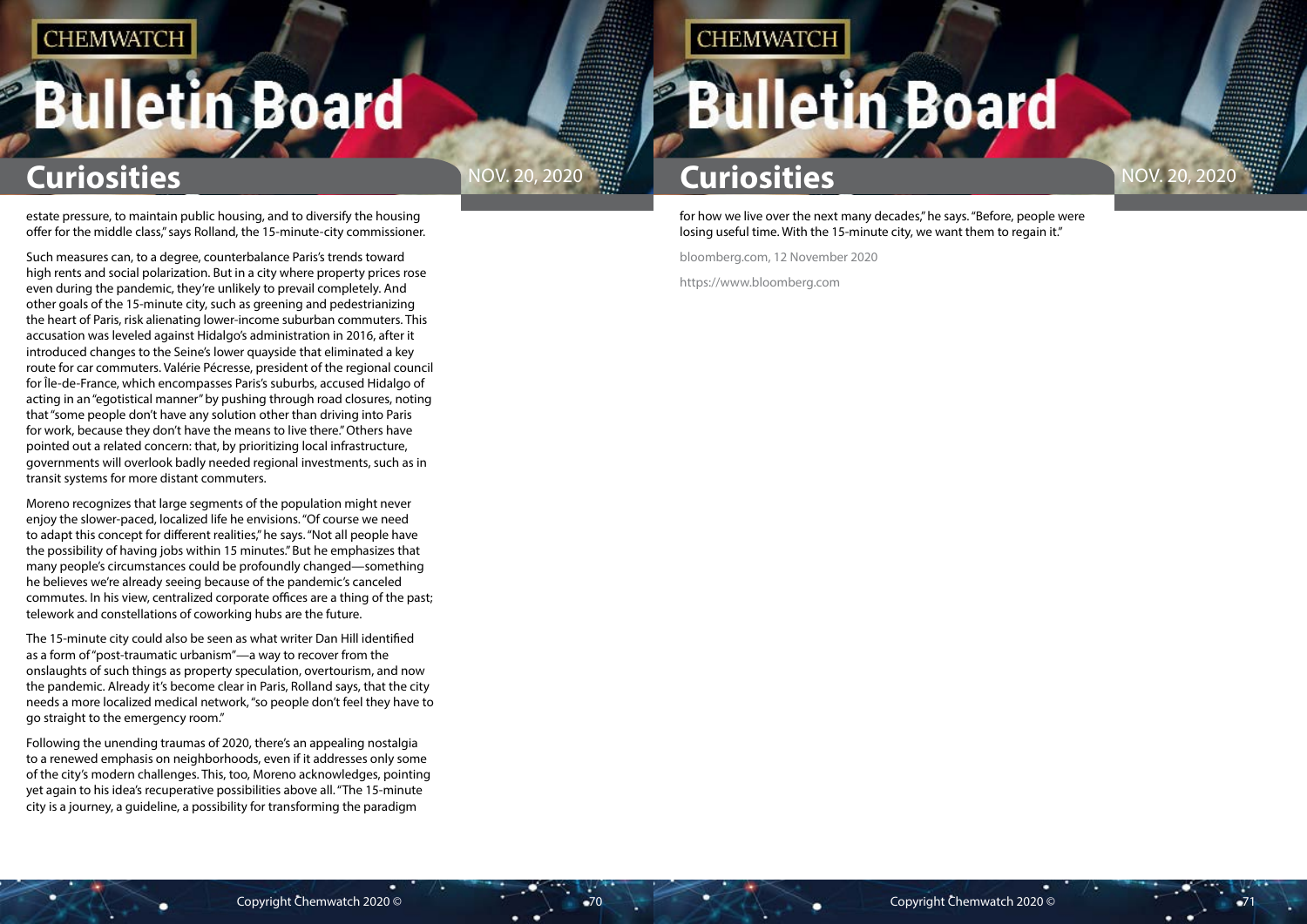# **Bulletin Board**





estate pressure, to maintain public housing, and to diversify the housing offer for the middle class," says Rolland, the 15-minute-city commissioner.

Such measures can, to a degree, counterbalance Paris's trends toward high rents and social polarization. But in a city where property prices rose even during the pandemic, they're unlikely to prevail completely. And other goals of the 15-minute city, such as greening and pedestrianizing the heart of Paris, risk alienating lower-income suburban commuters. This accusation was leveled against Hidalgo's administration in 2016, after it introduced changes to the Seine's lower quayside that eliminated a key route for car commuters. Valérie Pécresse, president of the regional council for Île-de-France, which encompasses Paris's suburbs, accused Hidalgo of acting in an "egotistical manner" by pushing through road closures, noting that "some people don't have any solution other than driving into Paris for work, because they don't have the means to live there." Others have pointed out a related concern: that, by prioritizing local infrastructure, governments will overlook badly needed regional investments, such as in transit systems for more distant commuters.

for how we live over the next many decades," he says. "Before, people were losing useful time. With the 15-minute city, we want them to regain it."

Moreno recognizes that large segments of the population might never enjoy the slower-paced, localized life he envisions. "Of course we need to adapt this concept for different realities," he says. "Not all people have the possibility of having jobs within 15 minutes." But he emphasizes that many people's circumstances could be profoundly changed—something he believes we're already seeing because of the pandemic's canceled commutes. In his view, centralized corporate offices are a thing of the past; telework and constellations of coworking hubs are the future.

The 15-minute city could also be seen as what writer Dan Hill identified as a form of "post-traumatic urbanism"—a way to recover from the onslaughts of such things as property speculation, overtourism, and now the pandemic. Already it's become clear in Paris, Rolland says, that the city needs a more localized medical network, "so people don't feel they have to go straight to the emergency room."

Following the unending traumas of 2020, there's an appealing nostalgia to a renewed emphasis on neighborhoods, even if it addresses only some of the city's modern challenges. This, too, Moreno acknowledges, pointing yet again to his idea's recuperative possibilities above all. "The 15-minute city is a journey, a guideline, a possibility for transforming the paradigm

**CHEMWATCH** 

bloomberg.com, 12 November 2020

https://www.bloomberg.com